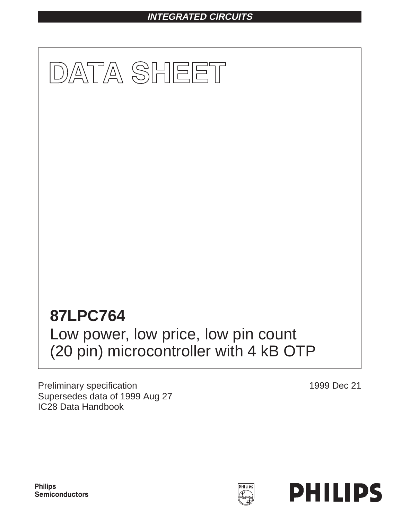# **INTEGRATED CIRCUITS**



Preliminary specification Supersedes data of 1999 Aug 27 IC28 Data Handbook

1999 Dec 21

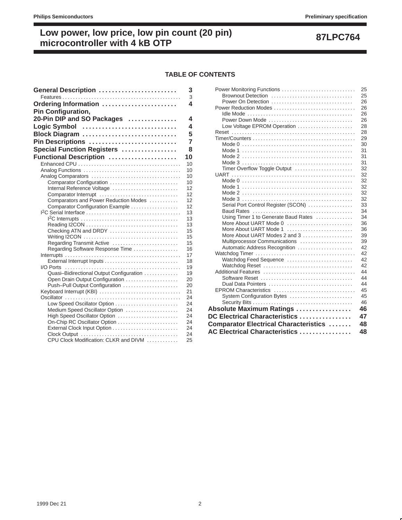## **TABLE OF CONTENTS**

| General Description                      | 3              |
|------------------------------------------|----------------|
|                                          | 3              |
| Ordering Information                     | 4              |
| <b>Pin Configuration,</b>                |                |
| 20-Pin DIP and SO Packages               | 4              |
| Logic Symbol                             | 4              |
| Block Diagram                            | 5              |
| Pin Descriptions                         | $\overline{7}$ |
| Special Function Registers               | 8              |
|                                          | 10             |
| Functional Description                   |                |
|                                          | 10<br>10       |
|                                          | 10             |
| Comparator Configuration                 | 10             |
| Internal Reference Voltage               | 12             |
|                                          | 12             |
| Comparators and Power Reduction Modes    | 12             |
| Comparator Configuration Example         | 12             |
|                                          | 13             |
|                                          | 13             |
|                                          | 13             |
| Checking ATN and DRDY                    | 15             |
|                                          | 15             |
| Regarding Transmit Active                | 15<br>16       |
| Regarding Software Response Time         | 17             |
|                                          | 18             |
|                                          | 19             |
| Quasi-Bidirectional Output Configuration | 19             |
| Open Drain Output Configuration          | 20             |
| Push-Pull Output Configuration           | 20             |
| Keyboard Interrupt (KBI)                 | 21             |
|                                          | 24             |
|                                          | 24             |
| Medium Speed Oscillator Option           | 24             |
| High Speed Oscillator Option             | 24             |
| On-Chip RC Oscillator Option             | 24<br>24       |
| External Clock Input Option              | 24             |
| CPU Clock Modification: CLKR and DIVM    | 25             |
|                                          |                |

| Power Monitoring Functions                    | 25 |
|-----------------------------------------------|----|
| Brownout Detection                            | 25 |
| Power On Detection                            | 26 |
| Power Reduction Modes                         | 26 |
|                                               | 26 |
| Power Down Mode                               | 26 |
| Low Voltage EPROM Operation                   | 28 |
|                                               | 28 |
|                                               | 29 |
|                                               | 30 |
|                                               | 31 |
|                                               | 31 |
|                                               | 31 |
| Timer Overflow Toggle Output                  | 32 |
|                                               | 32 |
|                                               | 32 |
|                                               | 32 |
|                                               | 32 |
|                                               | 32 |
| Serial Port Control Register (SCON)           | 33 |
|                                               | 34 |
| Using Timer 1 to Generate Baud Rates          | 34 |
| More About UART Mode 0                        | 36 |
| More About UART Mode 1                        | 36 |
| More About UART Modes 2 and 3                 | 39 |
| Multiprocessor Communications                 | 39 |
| Automatic Address Recognition                 | 42 |
|                                               | 42 |
| Watchdog Feed Sequence                        | 42 |
| Watchdog Reset                                | 42 |
|                                               | 44 |
|                                               | 44 |
| Dual Data Pointers                            | 44 |
| EPROM Characteristics                         | 45 |
| System Configuration Bytes                    | 45 |
|                                               | 46 |
| Absolute Maximum Ratings                      | 46 |
| DC Electrical Characteristics                 | 47 |
| <b>Comparator Electrical Characteristics </b> | 48 |
| AC Electrical Characteristics                 | 48 |
|                                               |    |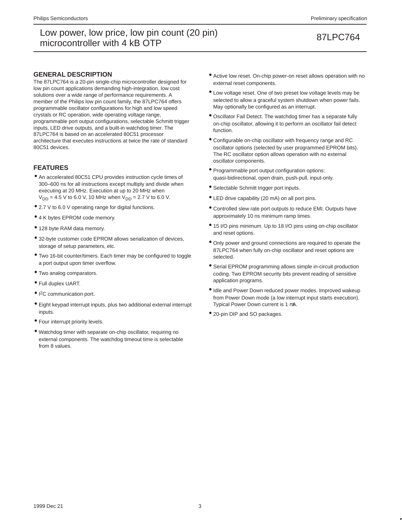## **GENERAL DESCRIPTION**

The 87LPC764 is a 20-pin single-chip microcontroller designed for low pin count applications demanding high-integration, low cost solutions over a wide range of performance requirements. A member of the Philips low pin count family, the 87LPC764 offers programmable oscillator configurations for high and low speed crystals or RC operation, wide operating voltage range, programmable port output configurations, selectable Schmitt trigger inputs, LED drive outputs, and a built-in watchdog timer. The 87LPC764 is based on an accelerated 80C51 processor architecture that executes instructions at twice the rate of standard 80C51 devices.

## **FEATURES**

- An accelerated 80C51 CPU provides instruction cycle times of 300–600 ns for all instructions except multiply and divide when executing at 20 MHz. Execution at up to 20 MHz when  $V_{DD} = 4.5$  V to 6.0 V, 10 MHz when  $V_{DD} = 2.7$  V to 6.0 V.
- 2.7 V to 6.0 V operating range for digital functions.
- 4 K bytes EPROM code memory.
- 128 byte RAM data memory.
- 32-byte customer code EPROM allows serialization of devices, storage of setup parameters, etc.
- Two 16-bit counter/timers. Each timer may be configured to toggle a port output upon timer overflow.
- Two analog comparators.
- Full duplex UART.
- I<sup>2</sup>C communication port.
- Eight keypad interrupt inputs, plus two additional external interrupt inputs.
- Four interrupt priority levels.
- Watchdog timer with separate on-chip oscillator, requiring no external components. The watchdog timeout time is selectable from 8 values.
- Active low reset. On-chip power-on reset allows operation with no external reset components.
- Low voltage reset. One of two preset low voltage levels may be selected to allow a graceful system shutdown when power fails. May optionally be configured as an interrupt.
- Oscillator Fail Detect. The watchdog timer has a separate fully on-chip oscillator, allowing it to perform an oscillator fail detect function.
- Configurable on-chip oscillator with frequency range and RC oscillator options (selected by user programmed EPROM bits). The RC oscillator option allows operation with no external oscillator components.
- Programmable port output configuration options: quasi-bidirectional, open drain, push-pull, input-only.
- Selectable Schmitt trigger port inputs.
- LED drive capability (20 mA) on all port pins.
- Controlled slew rate port outputs to reduce EMI. Outputs have approximately 10 ns minimum ramp times.
- 15 I/O pins minimum. Up to 18 I/O pins using on-chip oscillator and reset options.
- Only power and ground connections are required to operate the 87LPC764 when fully on-chip oscillator and reset options are selected.
- Serial EPROM programming allows simple in-circuit production coding. Two EPROM security bits prevent reading of sensitive application programs.
- Idle and Power Down reduced power modes. Improved wakeup from Power Down mode (a low interrupt input starts execution). Typical Power Down current is 1 µA.
- 20-pin DIP and SO packages.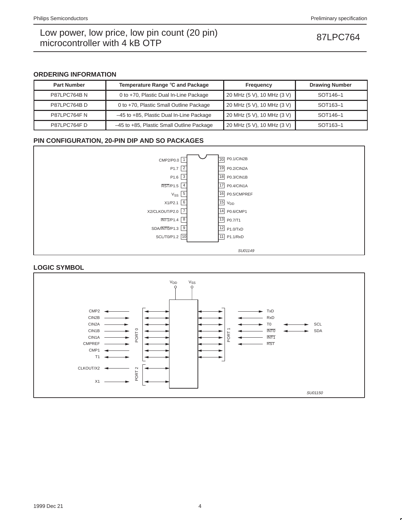## **ORDERING INFORMATION**

| <b>Part Number</b> | Temperature Range °C and Package          | Frequency                  | <b>Drawing Number</b> |
|--------------------|-------------------------------------------|----------------------------|-----------------------|
| <b>P87LPC764BN</b> | 0 to +70, Plastic Dual In-Line Package    | 20 MHz (5 V), 10 MHz (3 V) | SOT <sub>146-1</sub>  |
| P87LPC764BD        | 0 to +70, Plastic Small Outline Package   | 20 MHz (5 V), 10 MHz (3 V) | SOT <sub>163-1</sub>  |
| P87LPC764FN        | -45 to +85, Plastic Dual In-Line Package  | 20 MHz (5 V), 10 MHz (3 V) | SOT <sub>146-1</sub>  |
| P87LPC764FD        | -45 to +85, Plastic Small Outline Package | 20 MHz (5 V), 10 MHz (3 V) | SOT <sub>163-1</sub>  |

## **PIN CONFIGURATION, 20-PIN DIP AND SO PACKAGES**



# **LOGIC SYMBOL**

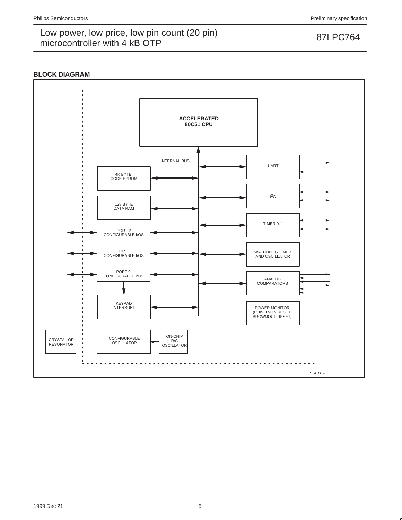# **BLOCK DIAGRAM**

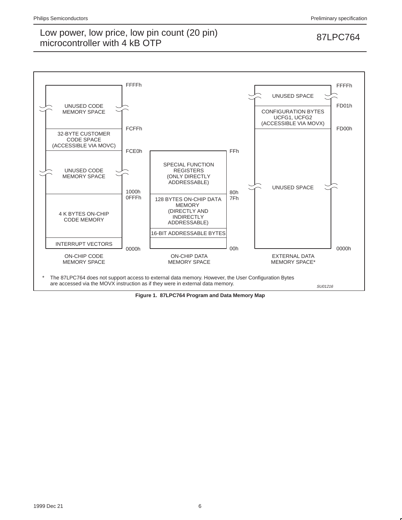

**Figure 1. 87LPC764 Program and Data Memory Map**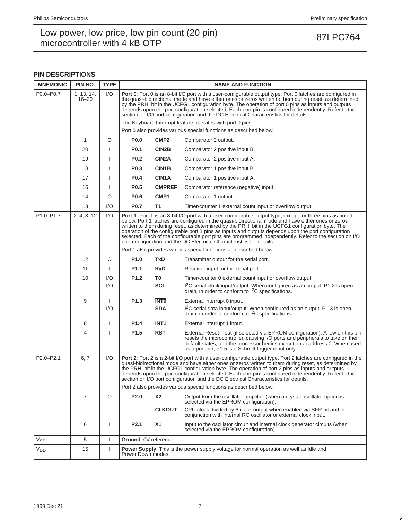## **PIN DESCRIPTIONS**

| <b>MNEMONIC</b> | PIN NO.                 | <b>TYPE</b>  |                   |                                                                                                                                                                                                                                                                                                                                                                                                                                                                                                                              | <b>NAME AND FUNCTION</b>                                                                                                                                                                                                                                                                                                                                                                                                                                                                                                                                                                                            |  |  |  |  |  |  |  |
|-----------------|-------------------------|--------------|-------------------|------------------------------------------------------------------------------------------------------------------------------------------------------------------------------------------------------------------------------------------------------------------------------------------------------------------------------------------------------------------------------------------------------------------------------------------------------------------------------------------------------------------------------|---------------------------------------------------------------------------------------------------------------------------------------------------------------------------------------------------------------------------------------------------------------------------------------------------------------------------------------------------------------------------------------------------------------------------------------------------------------------------------------------------------------------------------------------------------------------------------------------------------------------|--|--|--|--|--|--|--|
| P0.0-P0.7       | 1, 13, 14,<br>$16 - 20$ | 1/O          |                   | Port 0: Port 0 is an 8-bit I/O port with a user-configurable output type. Port 0 latches are configured in<br>the quasi-bidirectional mode and have either ones or zeros written to them during reset, as determined<br>by the PRHI bit in the UCFG1 configuration byte. The operation of port 0 pins as inputs and outputs<br>depends upon the port configuration selected. Each port pin is configured independently. Refer to the<br>section on I/O port configuration and the DC Electrical Characteristics for details. |                                                                                                                                                                                                                                                                                                                                                                                                                                                                                                                                                                                                                     |  |  |  |  |  |  |  |
|                 |                         |              |                   |                                                                                                                                                                                                                                                                                                                                                                                                                                                                                                                              | The Keyboard Interrupt feature operates with port 0 pins.                                                                                                                                                                                                                                                                                                                                                                                                                                                                                                                                                           |  |  |  |  |  |  |  |
|                 |                         |              |                   |                                                                                                                                                                                                                                                                                                                                                                                                                                                                                                                              | Port 0 also provides various special functions as described below.                                                                                                                                                                                                                                                                                                                                                                                                                                                                                                                                                  |  |  |  |  |  |  |  |
|                 | 1                       | O            | <b>P0.0</b>       | CMP <sub>2</sub>                                                                                                                                                                                                                                                                                                                                                                                                                                                                                                             | Comparator 2 output.                                                                                                                                                                                                                                                                                                                                                                                                                                                                                                                                                                                                |  |  |  |  |  |  |  |
|                 | 20                      |              | P0.1              | CIN2B                                                                                                                                                                                                                                                                                                                                                                                                                                                                                                                        | Comparator 2 positive input B.                                                                                                                                                                                                                                                                                                                                                                                                                                                                                                                                                                                      |  |  |  |  |  |  |  |
|                 | 19                      |              | <b>P0.2</b>       | CIN <sub>2</sub> A                                                                                                                                                                                                                                                                                                                                                                                                                                                                                                           | Comparator 2 positive input A.                                                                                                                                                                                                                                                                                                                                                                                                                                                                                                                                                                                      |  |  |  |  |  |  |  |
|                 | 18                      |              | P0.3              | CIN1B                                                                                                                                                                                                                                                                                                                                                                                                                                                                                                                        | Comparator 1 positive input B.                                                                                                                                                                                                                                                                                                                                                                                                                                                                                                                                                                                      |  |  |  |  |  |  |  |
|                 | 17                      |              | <b>P0.4</b>       | CIN1A                                                                                                                                                                                                                                                                                                                                                                                                                                                                                                                        | Comparator 1 positive input A.                                                                                                                                                                                                                                                                                                                                                                                                                                                                                                                                                                                      |  |  |  |  |  |  |  |
|                 | 16                      | 1            | P <sub>0.5</sub>  | <b>CMPREF</b>                                                                                                                                                                                                                                                                                                                                                                                                                                                                                                                | Comparator reference (negative) input.                                                                                                                                                                                                                                                                                                                                                                                                                                                                                                                                                                              |  |  |  |  |  |  |  |
|                 | 14                      | O            | P0.6              | CMP <sub>1</sub>                                                                                                                                                                                                                                                                                                                                                                                                                                                                                                             | Comparator 1 output.                                                                                                                                                                                                                                                                                                                                                                                                                                                                                                                                                                                                |  |  |  |  |  |  |  |
|                 | 13                      | 1/O          | <b>P0.7</b>       | Timer/counter 1 external count input or overflow output.<br>T1                                                                                                                                                                                                                                                                                                                                                                                                                                                               |                                                                                                                                                                                                                                                                                                                                                                                                                                                                                                                                                                                                                     |  |  |  |  |  |  |  |
| P1.0-P1.7       | $2 - 4, 8 - 12$         | 1/O          |                   |                                                                                                                                                                                                                                                                                                                                                                                                                                                                                                                              | <b>Port 1:</b> Port 1 is an 8-bit I/O port with a user-configurable output type, except for three pins as noted<br>below. Port 1 latches are configured in the quasi-bidirectional mode and have either ones or zeros<br>written to them during reset, as determined by the PRHI bit in the UCFG1 configuration byte. The<br>operation of the configurable port 1 pins as inputs and outputs depends upon the port configuration<br>selected. Each of the configurable port pins are programmed independently. Refer to the section on I/O<br>port configuration and the DC Electrical Characteristics for details. |  |  |  |  |  |  |  |
|                 |                         |              |                   |                                                                                                                                                                                                                                                                                                                                                                                                                                                                                                                              | Port 1 also provides various special functions as described below.                                                                                                                                                                                                                                                                                                                                                                                                                                                                                                                                                  |  |  |  |  |  |  |  |
|                 | 12                      | O            | P <sub>1.0</sub>  | <b>TxD</b>                                                                                                                                                                                                                                                                                                                                                                                                                                                                                                                   | Transmitter output for the serial port.                                                                                                                                                                                                                                                                                                                                                                                                                                                                                                                                                                             |  |  |  |  |  |  |  |
|                 | 11                      |              | P <sub>1.1</sub>  | <b>RxD</b>                                                                                                                                                                                                                                                                                                                                                                                                                                                                                                                   | Receiver input for the serial port.                                                                                                                                                                                                                                                                                                                                                                                                                                                                                                                                                                                 |  |  |  |  |  |  |  |
|                 | 10                      | 1/O          | P1.2              | T0                                                                                                                                                                                                                                                                                                                                                                                                                                                                                                                           | Timer/counter 0 external count input or overflow output.                                                                                                                                                                                                                                                                                                                                                                                                                                                                                                                                                            |  |  |  |  |  |  |  |
|                 |                         | 1/O          |                   | <b>SCL</b>                                                                                                                                                                                                                                                                                                                                                                                                                                                                                                                   | I <sup>2</sup> C serial clock input/output. When configured as an output, P1.2 is open<br>drain, in order to conform to <sup>2</sup> C specifications.                                                                                                                                                                                                                                                                                                                                                                                                                                                              |  |  |  |  |  |  |  |
|                 | 9                       |              | P <sub>1.3</sub>  | <b>INTO</b>                                                                                                                                                                                                                                                                                                                                                                                                                                                                                                                  | External interrupt 0 input.                                                                                                                                                                                                                                                                                                                                                                                                                                                                                                                                                                                         |  |  |  |  |  |  |  |
|                 |                         | 1/O          |                   | <b>SDA</b>                                                                                                                                                                                                                                                                                                                                                                                                                                                                                                                   | I <sup>2</sup> C serial data input/output. When configured as an output, P1.3 is open<br>drain, in order to conform to $12C$ specifications.                                                                                                                                                                                                                                                                                                                                                                                                                                                                        |  |  |  |  |  |  |  |
|                 | 8                       |              | P1.4              | <b>INT1</b>                                                                                                                                                                                                                                                                                                                                                                                                                                                                                                                  | External interrupt 1 input.                                                                                                                                                                                                                                                                                                                                                                                                                                                                                                                                                                                         |  |  |  |  |  |  |  |
|                 | 4                       |              | P1.5              | <b>RST</b>                                                                                                                                                                                                                                                                                                                                                                                                                                                                                                                   | External Reset input (if selected via EPROM configuration). A low on this pin<br>resets the microcontroller, causing I/O ports and peripherals to take on their<br>default states, and the processor begins execution at address 0. When used<br>as a port pin, P1.5 is a Schmitt trigger input only.                                                                                                                                                                                                                                                                                                               |  |  |  |  |  |  |  |
| P2.0-P2.1       | 6, 7                    | 1/O          |                   |                                                                                                                                                                                                                                                                                                                                                                                                                                                                                                                              | Port 2: Port 2 is a 2-bit I/O port with a user-configurable output type. Port 2 latches are configured in the<br>quasi-bidirectional mode and have either ones or zeros written to them during reset, as determined by<br>the PRHI bit in the UCFG1 configuration byte. The operation of port 2 pins as inputs and outputs<br>depends upon the port configuration selected. Each port pin is configured independently. Refer to the<br>section on I/O port configuration and the DC Electrical Characteristics for details.                                                                                         |  |  |  |  |  |  |  |
|                 |                         |              |                   |                                                                                                                                                                                                                                                                                                                                                                                                                                                                                                                              | Port 2 also provides various special functions as described below.                                                                                                                                                                                                                                                                                                                                                                                                                                                                                                                                                  |  |  |  |  |  |  |  |
|                 | $\overline{7}$          | O            | P2.0              | <b>X2</b>                                                                                                                                                                                                                                                                                                                                                                                                                                                                                                                    | Output from the oscillator amplifier (when a crystal oscillator option is<br>selected via the EPROM configuration).                                                                                                                                                                                                                                                                                                                                                                                                                                                                                                 |  |  |  |  |  |  |  |
|                 |                         |              |                   | CPU clock divided by 6 clock output when enabled via SFR bit and in<br><b>CLKOUT</b><br>conjunction with internal RC oscillator or external clock input.                                                                                                                                                                                                                                                                                                                                                                     |                                                                                                                                                                                                                                                                                                                                                                                                                                                                                                                                                                                                                     |  |  |  |  |  |  |  |
|                 | 6                       | ı            | P2.1              | <b>X1</b><br>Input to the oscillator circuit and internal clock generator circuits (when<br>selected via the EPROM configuration).                                                                                                                                                                                                                                                                                                                                                                                           |                                                                                                                                                                                                                                                                                                                                                                                                                                                                                                                                                                                                                     |  |  |  |  |  |  |  |
| Vss             | 5                       | $\mathbf{I}$ |                   | Ground: 0V reference.                                                                                                                                                                                                                                                                                                                                                                                                                                                                                                        |                                                                                                                                                                                                                                                                                                                                                                                                                                                                                                                                                                                                                     |  |  |  |  |  |  |  |
| V <sub>DD</sub> | 15                      | ı            | Power Down modes. |                                                                                                                                                                                                                                                                                                                                                                                                                                                                                                                              | <b>Power Supply:</b> This is the power supply voltage for normal operation as well as Idle and                                                                                                                                                                                                                                                                                                                                                                                                                                                                                                                      |  |  |  |  |  |  |  |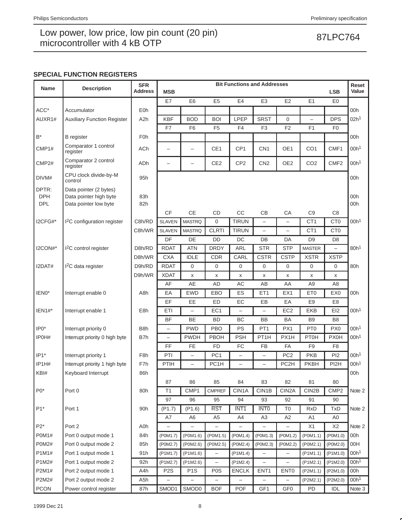## **SPECIAL FUNCTION REGISTERS**

| <b>Name</b>                       | <b>Description</b>                                                        | <b>SFR</b>       | <b>Bit Functions and Addresses</b><br>Reset |                          |                          |                          |                          |                          |                          |                   |                  |
|-----------------------------------|---------------------------------------------------------------------------|------------------|---------------------------------------------|--------------------------|--------------------------|--------------------------|--------------------------|--------------------------|--------------------------|-------------------|------------------|
|                                   |                                                                           | Address          | <b>MSB</b>                                  |                          |                          |                          |                          |                          |                          | <b>LSB</b>        | Value            |
|                                   |                                                                           |                  | E7                                          | E <sub>6</sub>           | E <sub>5</sub>           | E4                       | E <sub>3</sub>           | E <sub>2</sub>           | E <sub>1</sub>           | E <sub>0</sub>    |                  |
| ACC*                              | Accumulator                                                               | E <sub>0</sub> h |                                             |                          |                          |                          |                          |                          |                          |                   | 00h              |
| AUXR1#                            | <b>Auxiliary Function Register</b>                                        | A <sub>2</sub> h | <b>KBF</b>                                  | <b>BOD</b>               | <b>BOI</b>               | <b>LPEP</b>              | <b>SRST</b>              | $\mathbf 0$              | $\overline{\phantom{0}}$ | <b>DPS</b>        | 02h <sup>1</sup> |
|                                   |                                                                           |                  | F7                                          | F <sub>6</sub>           | F <sub>5</sub>           | F <sub>4</sub>           | F <sub>3</sub>           | F <sub>2</sub>           | F <sub>1</sub>           | F <sub>0</sub>    |                  |
| $\mathsf{B}^*$                    | <b>B</b> register                                                         | F <sub>0</sub> h |                                             |                          |                          |                          |                          |                          |                          |                   | 00h              |
| CMP1#                             | Comparator 1 control<br>register                                          | <b>ACh</b>       | -                                           | $\overline{\phantom{0}}$ | CE1                      | CP <sub>1</sub>          | CN <sub>1</sub>          | OE1                      | CO <sub>1</sub>          | CMF1              | 00h <sup>1</sup> |
| CMP <sub>2#</sub>                 | Comparator 2 control<br>register                                          | ADh              | $\overline{\phantom{0}}$                    | ÷                        | CE <sub>2</sub>          | CP <sub>2</sub>          | CN <sub>2</sub>          | OE <sub>2</sub>          | CO <sub>2</sub>          | CMF <sub>2</sub>  | 00h <sup>1</sup> |
| DIVM#                             | CPU clock divide-by-M<br>control                                          | 95h              |                                             |                          |                          |                          |                          |                          |                          |                   | 00h              |
| DPTR:<br><b>DPH</b><br><b>DPL</b> | Data pointer (2 bytes)<br>Data pointer high byte<br>Data pointer low byte | 83h<br>82h       |                                             |                          |                          |                          |                          |                          |                          |                   | 00h<br>00h       |
|                                   |                                                                           |                  | <b>CF</b>                                   | <b>CE</b>                | CD                       | CC                       | CB                       | CA                       | C <sub>9</sub>           | C <sub>8</sub>    |                  |
| I2CFG#*                           | <sup>2</sup> C configuration register                                     | C8h/RD           | <b>SLAVEN</b>                               | <b>MASTRQ</b>            | 0                        | <b>TIRUN</b>             | $\overline{\phantom{0}}$ | $\overline{\phantom{0}}$ | CT <sub>1</sub>          | CT <sub>0</sub>   | 00h <sup>1</sup> |
|                                   |                                                                           | C8h/WR           | <b>SLAVEN</b>                               | <b>MASTRQ</b>            | <b>CLRTI</b>             | <b>TIRUN</b>             | $\overline{\phantom{0}}$ | $\qquad \qquad -$        | CT <sub>1</sub>          | CT <sub>0</sub>   |                  |
|                                   |                                                                           |                  | DF                                          | DE                       | DD                       | DC                       | DB                       | DA                       | D <sub>9</sub>           | D <sub>8</sub>    |                  |
| I2CON#*                           | <sup>2</sup> C control register                                           | D8h/RD           | <b>RDAT</b>                                 | <b>ATN</b>               | <b>DRDY</b>              | <b>ARL</b>               | <b>STR</b>               | <b>STP</b>               | <b>MASTER</b>            | $\equiv$          | 80h <sup>1</sup> |
|                                   |                                                                           | D8h/WR           | <b>CXA</b>                                  | <b>IDLE</b>              | <b>CDR</b>               | CARL                     | <b>CSTR</b>              | <b>CSTP</b>              | <b>XSTR</b>              | <b>XSTP</b>       |                  |
| I2DAT#                            | $12C$ data register                                                       | D9h/RD           | <b>RDAT</b>                                 | $\mathbf{0}$             | 0                        | $\mathbf 0$              | 0                        | 0                        | 0                        | 0                 | 80h              |
|                                   |                                                                           | D9h/WR           | <b>XDAT</b>                                 | X                        | x                        | X                        | X                        | X                        | X                        | X                 |                  |
|                                   |                                                                           |                  | AF                                          | AE                       | <b>AD</b>                | AC                       | AB                       | AA                       | A9                       | A <sub>8</sub>    |                  |
| IEN0*                             | Interrupt enable 0                                                        | A8h              | EA                                          | <b>EWD</b>               | EBO                      | ES                       | ET1                      | EX1                      | ET <sub>0</sub>          | EX <sub>0</sub>   | 00h              |
|                                   |                                                                           |                  | EF                                          | EE                       | ED                       | EC                       | EB                       | EA                       | E <sub>9</sub>           | E <sub>8</sub>    |                  |
| $IEN1#*$                          | Interrupt enable 1                                                        | E8h              | ETI                                         | $\overline{\phantom{0}}$ | EC <sub>1</sub>          |                          | $\overline{\phantom{0}}$ | EC <sub>2</sub>          | <b>EKB</b>               | E12               | 00h <sup>1</sup> |
|                                   |                                                                           |                  | <b>BF</b>                                   | BE                       | <b>BD</b>                | BC                       | <b>BB</b>                | <b>BA</b>                | B <sub>9</sub>           | B <sub>8</sub>    |                  |
| $IPO*$                            | Interrupt priority 0                                                      | B <sub>8</sub> h | $\overline{\phantom{0}}$                    | <b>PWD</b>               | <b>PBO</b>               | PS                       | PT <sub>1</sub>          | PX1                      | PT <sub>0</sub>          | PX <sub>0</sub>   | 00h <sup>1</sup> |
| IP0H#                             | Interrupt priority 0 high byte                                            | B7h              | $\overline{\phantom{0}}$                    | <b>PWDH</b>              | PBOH                     | <b>PSH</b>               | PT <sub>1</sub> H        | PX1H                     | <b>PT0H</b>              | <b>PX0H</b>       | 00h <sup>1</sup> |
|                                   |                                                                           |                  | FF                                          | FE                       | <b>FD</b>                | FC                       | <b>FB</b>                | FA                       | F <sub>9</sub>           | F <sub>8</sub>    |                  |
| $IP1*$                            | Interrupt priority 1                                                      | F8h              | PTI                                         | $\overline{\phantom{0}}$ | PC <sub>1</sub>          | $\overline{\phantom{0}}$ | $\overline{\phantom{0}}$ | PC <sub>2</sub>          | <b>PKB</b>               | PI <sub>2</sub>   | 00h <sup>1</sup> |
| IP1H#                             | Interrupt priority 1 high byte                                            | F7h              | PTIH                                        | $\overline{\phantom{0}}$ | PC <sub>1</sub> H        | $\overline{\phantom{0}}$ | $\overline{\phantom{0}}$ | PC <sub>2</sub> H        | <b>PKBH</b>              | PI <sub>2</sub> H | 00h <sup>1</sup> |
| KBI#                              | Keyboard Interrupt                                                        | 86h              | 87                                          | 86                       | 85                       | 84                       | 83                       | 82                       | 81                       | 80                | 00h              |
| $P0*$                             | Port 0                                                                    | 80h              | T1                                          | CMP1                     | <b>CMPREF</b>            | CIN1A                    | CIN1B                    | CIN <sub>2</sub> A       | CIN2B                    | CMP <sub>2</sub>  | Note 2           |
|                                   |                                                                           |                  | 97                                          | 96                       | 95                       | 94                       | 93                       | 92                       | 91                       | 90                |                  |
| $P1*$                             | Port 1                                                                    | 90h              | (P1.7)                                      | (P1.6)                   | <b>RST</b>               | INT <sub>1</sub>         | <b>INTO</b>              | T <sub>0</sub>           | <b>RxD</b>               | <b>TxD</b>        | Note 2           |
|                                   |                                                                           |                  | A7                                          | A <sub>6</sub>           | A <sub>5</sub>           | A4                       | A <sub>3</sub>           | A <sub>2</sub>           | A <sub>1</sub>           | A <sub>0</sub>    |                  |
| $P2*$                             | Port 2                                                                    | A0h              |                                             |                          |                          |                          |                          |                          | X1                       | X <sub>2</sub>    | Note 2           |
| P0M1#                             | Port 0 output mode 1                                                      | 84h              | (P0M1.7)                                    | (P0M1.6)                 | (P0M1.5)                 | (P0M1.4)                 | (P0M1.3)                 | (P0M1.2)                 | (POM1.1)                 | (POM1.0)          | 00h              |
| <b>P0M2#</b>                      | Port 0 output mode 2                                                      | 85h              | (P0M2.7)                                    | (POM2.6)                 | (P0M2.5)                 | (POM2.4)                 | (P0M2.3)                 | (P0M2.2)                 | (POM2.1)                 | (P0M2.0)          | 00H              |
| P1M1#                             | Port 1 output mode 1                                                      | 91h              | $($ P1M1.7 $)$                              | $($ P1M1.6)              | $\overline{\phantom{0}}$ | $($ P1M1.4 $)$           |                          |                          | $($ P1M1.1)              | $($ P1M1.0)       | 00h <sup>1</sup> |
| P1M2#                             | Port 1 output mode 2                                                      | 92h              | (P1M2.7)                                    | (P1M2.6)                 | -                        | (P1M2.4)                 | -                        |                          | (P1M2.1)                 | (P1M2.0)          | 00h <sup>1</sup> |
| P2M1#                             | Port 2 output mode 1                                                      | A4h              | P <sub>2</sub> S                            | P <sub>1</sub> S         | P <sub>0</sub> S         | <b>ENCLK</b>             | ENT <sub>1</sub>         | ENT <sub>0</sub>         | (P2M1.1)                 | (P2M1.0)          | 00h              |
| P2M2#                             | Port 2 output mode 2                                                      | A <sub>5</sub> h | $\overline{\phantom{0}}$                    |                          |                          | $\overline{\phantom{0}}$ | $\overline{\phantom{0}}$ |                          | (P2M2.1)                 | (P2M2.0)          | 00h <sup>1</sup> |
| PCON                              | Power control register                                                    | 87h              | SMOD1                                       | SMOD0                    | <b>BOF</b>               | POF                      | GF1                      | GF <sub>0</sub>          | PD                       | IDL               | Note 3           |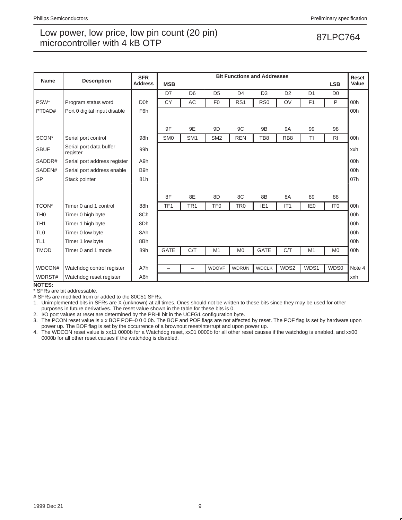| <b>Name</b>     | <b>Description</b>                  | <b>Bit Functions and Addresses</b><br><b>SFR</b> |                          |                 |                 |                 |                 |                 |                 |                 |        |
|-----------------|-------------------------------------|--------------------------------------------------|--------------------------|-----------------|-----------------|-----------------|-----------------|-----------------|-----------------|-----------------|--------|
|                 |                                     | <b>Address</b>                                   | <b>MSB</b>               |                 |                 |                 |                 |                 |                 | <b>LSB</b>      | Value  |
|                 |                                     |                                                  | D7                       | D <sub>6</sub>  | D <sub>5</sub>  | D <sub>4</sub>  | D <sub>3</sub>  | D <sub>2</sub>  | D <sub>1</sub>  | D <sub>0</sub>  |        |
| PSW*            | Program status word                 | D <sub>0</sub> h                                 | <b>CY</b>                | AC              | F <sub>0</sub>  | RS <sub>1</sub> | R <sub>S0</sub> | OV              | F <sub>1</sub>  | P               | 00h    |
| PT0AD#          | Port 0 digital input disable        | F6h                                              |                          |                 |                 |                 |                 |                 |                 |                 | 00h    |
|                 |                                     |                                                  |                          |                 |                 |                 |                 |                 |                 |                 |        |
|                 |                                     |                                                  | 9F                       | 9E              | 9 <sub>D</sub>  | 9C              | 9B              | <b>9A</b>       | 99              | 98              |        |
| SCON*           | Serial port control                 | 98h                                              | SM <sub>0</sub>          | SM <sub>1</sub> | SM <sub>2</sub> | <b>REN</b>      | TB8             | RB <sub>8</sub> | TI              | R <sub>1</sub>  | 00h    |
| <b>SBUF</b>     | Serial port data buffer<br>register | 99h                                              |                          |                 |                 |                 |                 |                 |                 |                 | xxh    |
| SADDR#          | Serial port address register        | A9h                                              |                          |                 |                 |                 |                 |                 |                 |                 | 00h    |
| SADEN#          | Serial port address enable          | B <sub>9</sub> h                                 |                          |                 |                 |                 |                 |                 |                 |                 | 00h    |
| <b>SP</b>       | Stack pointer                       | 81h                                              |                          |                 |                 |                 |                 |                 |                 |                 | 07h    |
|                 |                                     |                                                  |                          |                 |                 |                 |                 |                 |                 |                 |        |
|                 |                                     |                                                  | 8F                       | 8E              | 8D              | 8C              | 8B              | 8A              | 89              | 88              |        |
| TCON*           | Timer 0 and 1 control               | 88h                                              | TF <sub>1</sub>          | TR <sub>1</sub> | TF <sub>0</sub> | TR <sub>0</sub> | IE <sub>1</sub> | IT <sub>1</sub> | IE <sub>0</sub> | IT <sub>0</sub> | 00h    |
| TH <sub>0</sub> | Timer 0 high byte                   | 8Ch                                              |                          |                 |                 |                 |                 |                 |                 |                 | 00h    |
| TH <sub>1</sub> | Timer 1 high byte                   | 8Dh                                              |                          |                 |                 |                 |                 |                 |                 |                 | 00h    |
| TL <sub>0</sub> | Timer 0 low byte                    | 8Ah                                              |                          |                 |                 |                 |                 |                 |                 |                 | 00h    |
| TL <sub>1</sub> | Timer 1 low byte                    | 8Bh                                              |                          |                 |                 |                 |                 |                 |                 |                 | 00h    |
| <b>TMOD</b>     | Timer 0 and 1 mode                  | 89h                                              | <b>GATE</b>              | C/T             | M1              | M <sub>0</sub>  | <b>GATE</b>     | C/T             | M <sub>1</sub>  | M <sub>0</sub>  | 00h    |
|                 |                                     |                                                  |                          |                 |                 |                 |                 |                 |                 |                 |        |
| WDCON#          | Watchdog control register           | A7h                                              | $\overline{\phantom{0}}$ | -               | <b>WDOVF</b>    | <b>WDRUN</b>    | <b>WDCLK</b>    | WDS2            | WDS1            | WDS0            | Note 4 |
| WDRST#          | Watchdog reset register             | A6h                                              |                          |                 |                 |                 |                 |                 |                 |                 | xxh    |

## **NOTES:**

\* SFRs are bit addressable.

# SFRs are modified from or added to the 80C51 SFRs.

1. Unimplemented bits in SFRs are X (unknown) at all times. Ones should not be written to these bits since they may be used for other purposes in future derivatives. The reset value shown in the table for these bits is 0.

2. I/O port values at reset are determined by the PRHI bit in the UCFG1 configuration byte.

3. The PCON reset value is x x BOF POF–0 0 0 0b. The BOF and POF flags are not affected by reset. The POF flag is set by hardware upon power up. The BOF flag is set by the occurrence of a brownout reset/interrupt and upon power up.

4. The WDCON reset value is xx11 0000b for a Watchdog reset, xx01 0000b for all other reset causes if the watchdog is enabled, and xx00 0000b for all other reset causes if the watchdog is disabled.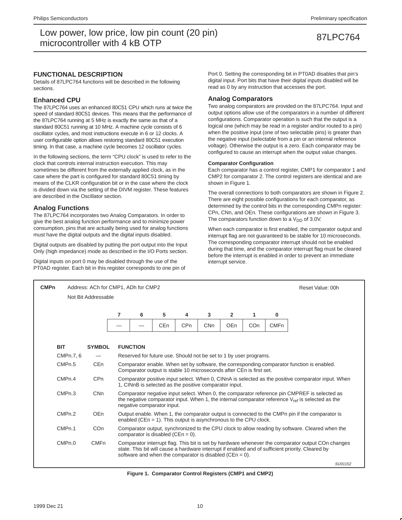## **FUNCTIONAL DESCRIPTION**

Details of 87LPC764 functions will be described in the following sections.

## **Enhanced CPU**

The 87LPC764 uses an enhanced 80C51 CPU which runs at twice the speed of standard 80C51 devices. This means that the performance of the 87LPC764 running at 5 MHz is exactly the same as that of a standard 80C51 running at 10 MHz. A machine cycle consists of 6 oscillator cycles, and most instructions execute in 6 or 12 clocks. A user configurable option allows restoring standard 80C51 execution timing. In that case, a machine cycle becomes 12 oscillator cycles.

In the following sections, the term "CPU clock" is used to refer to the clock that controls internal instruction execution. This may sometimes be different from the externally applied clock, as in the case where the part is configured for standard 80C51 timing by means of the CLKR configuration bit or in the case where the clock is divided down via the setting of the DIVM register. These features are described in the Oscillator section.

## **Analog Functions**

The 87LPC764 incorporates two Analog Comparators. In order to give the best analog function performance and to minimize power consumption, pins that are actually being used for analog functions must have the digital outputs and the digital inputs disabled.

Digital outputs are disabled by putting the port output into the Input Only (high impedance) mode as described in the I/O Ports section.

Digital inputs on port 0 may be disabled through the use of the PT0AD register. Each bit in this register corresponds to one pin of Port 0. Setting the corresponding bit in PT0AD disables that pin's digital input. Port bits that have their digital inputs disabled will be read as 0 by any instruction that accesses the port.

## **Analog Comparators**

Two analog comparators are provided on the 87LPC764. Input and output options allow use of the comparators in a number of different configurations. Comparator operation is such that the output is a logical one (which may be read in a register and/or routed to a pin) when the positive input (one of two selectable pins) is greater than the negative input (selectable from a pin or an internal reference voltage). Otherwise the output is a zero. Each comparator may be configured to cause an interrupt when the output value changes.

## **Comparator Configuration**

Each comparator has a control register, CMP1 for comparator 1 and CMP2 for comparator 2. The control registers are identical and are shown in Figure 1.

The overall connections to both comparators are shown in Figure 2. There are eight possible configurations for each comparator, as determined by the control bits in the corresponding CMPn register: CPn, CNn, and OEn. These configurations are shown in Figure 3. The comparators function down to a  $V_{DD}$  of 3.0V.

When each comparator is first enabled, the comparator output and interrupt flag are not guaranteed to be stable for 10 microseconds. The corresponding comparator interrupt should not be enabled during that time, and the comparator interrupt flag must be cleared before the interrupt is enabled in order to prevent an immediate interrupt service.

| <b>CMPn</b> | Address: ACh for CMP1, ADh for CMP2<br>Reset Value: 00h |                     |   |                                                                                                                                                                                                                                                                       |                                                                   |     |            |                |     |             |                                                                                                                                                                                                       |  |
|-------------|---------------------------------------------------------|---------------------|---|-----------------------------------------------------------------------------------------------------------------------------------------------------------------------------------------------------------------------------------------------------------------------|-------------------------------------------------------------------|-----|------------|----------------|-----|-------------|-------------------------------------------------------------------------------------------------------------------------------------------------------------------------------------------------------|--|
|             |                                                         | Not Bit Addressable |   |                                                                                                                                                                                                                                                                       |                                                                   |     |            |                |     |             |                                                                                                                                                                                                       |  |
|             |                                                         |                     | 7 | 6                                                                                                                                                                                                                                                                     | 5                                                                 | 4   | 3          | $\overline{2}$ | 1   | $\bf{0}$    |                                                                                                                                                                                                       |  |
|             |                                                         |                     |   |                                                                                                                                                                                                                                                                       | <b>CEn</b>                                                        | CPn | <b>CNn</b> | OEn            | COn | <b>CMFn</b> |                                                                                                                                                                                                       |  |
| <b>BIT</b>  |                                                         | <b>SYMBOL</b>       |   | <b>FUNCTION</b>                                                                                                                                                                                                                                                       |                                                                   |     |            |                |     |             |                                                                                                                                                                                                       |  |
|             | CMPn.7, 6                                               |                     |   |                                                                                                                                                                                                                                                                       | Reserved for future use. Should not be set to 1 by user programs. |     |            |                |     |             |                                                                                                                                                                                                       |  |
|             | CMP <sub>n.5</sub>                                      | CE <sub>n</sub>     |   |                                                                                                                                                                                                                                                                       |                                                                   |     |            |                |     |             |                                                                                                                                                                                                       |  |
|             |                                                         |                     |   | Comparator enable. When set by software, the corresponding comparator function is enabled.<br>Comparator output is stable 10 microseconds after CEn is first set.                                                                                                     |                                                                   |     |            |                |     |             |                                                                                                                                                                                                       |  |
|             | CMP <sub>n.4</sub>                                      | C <sub>Pn</sub>     |   |                                                                                                                                                                                                                                                                       | 1. CINnB is selected as the positive comparator input.            |     |            |                |     |             | Comparator positive input select. When 0, CINnA is selected as the positive comparator input. When                                                                                                    |  |
|             | CMP <sub>n.3</sub>                                      | <b>CNn</b>          |   |                                                                                                                                                                                                                                                                       | negative comparator input.                                        |     |            |                |     |             | Comparator negative input select. When 0, the comparator reference pin CMPREF is selected as<br>the negative comparator input. When 1, the internal comparator reference $V_{ref}$ is selected as the |  |
|             | CMP <sub>n.2</sub>                                      | OE <sub>n</sub>     |   |                                                                                                                                                                                                                                                                       | enabled (CEn = 1). This output is asynchronous to the CPU clock.  |     |            |                |     |             | Output enable. When 1, the comparator output is connected to the CMPn pin if the comparator is                                                                                                        |  |
|             | CMP <sub>n.1</sub>                                      | C <sub>On</sub>     |   |                                                                                                                                                                                                                                                                       | comparator is disabled ( $CEn = 0$ ).                             |     |            |                |     |             | Comparator output, synchronized to the CPU clock to allow reading by software. Cleared when the                                                                                                       |  |
|             | CMP <sub>n.0</sub>                                      | <b>CMFn</b>         |   | Comparator interrupt flag. This bit is set by hardware whenever the comparator output COn changes<br>state. This bit will cause a hardware interrupt if enabled and of sufficient priority. Cleared by<br>software and when the comparator is disabled ( $CEn = 0$ ). |                                                                   |     |            |                |     |             |                                                                                                                                                                                                       |  |
|             |                                                         |                     |   |                                                                                                                                                                                                                                                                       |                                                                   |     |            |                |     |             | SU01152                                                                                                                                                                                               |  |

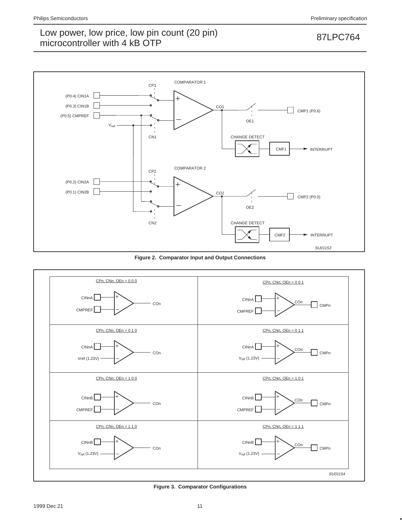

**Figure 2. Comparator Input and Output Connections**



**Figure 3. Comparator Configurations**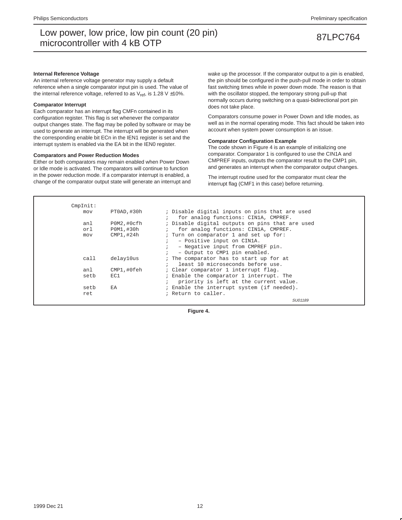### **Internal Reference Voltage**

An internal reference voltage generator may supply a default reference when a single comparator input pin is used. The value of the internal reference voltage, referred to as  $V_{ref}$ , is 1.28 V  $\pm$ 10%.

### **Comparator Interrupt**

Each comparator has an interrupt flag CMFn contained in its configuration register. This flag is set whenever the comparator output changes state. The flag may be polled by software or may be used to generate an interrupt. The interrupt will be generated when the corresponding enable bit ECn in the IEN1 register is set and the interrupt system is enabled via the EA bit in the IEN0 register.

### **Comparators and Power Reduction Modes**

Either or both comparators may remain enabled when Power Down or Idle mode is activated. The comparators will continue to function in the power reduction mode. If a comparator interrupt is enabled, a change of the comparator output state will generate an interrupt and wake up the processor. If the comparator output to a pin is enabled, the pin should be configured in the push-pull mode in order to obtain fast switching times while in power down mode. The reason is that with the oscillator stopped, the temporary strong pull-up that normally occurs during switching on a quasi-bidirectional port pin does not take place.

Comparators consume power in Power Down and Idle modes, as well as in the normal operating mode. This fact should be taken into account when system power consumption is an issue.

## **Comparator Configuration Example**

The code shown in Figure 4 is an example of initializing one comparator. Comparator 1 is configured to use the CIN1A and CMPREF inputs, outputs the comparator result to the CMP1 pin, and generates an interrupt when the comparator output changes.

The interrupt routine used for the comparator must clear the interrupt flag (CMF1 in this case) before returning.

| CmpInit: |             |                                                 |
|----------|-------------|-------------------------------------------------|
| mov      | PTOAD. #30h | ; Disable digital inputs on pins that are used  |
|          |             | for analog functions: CIN1A, CMPREF.            |
| anl      | POM2,#Ocfh  | ; Disable digital outputs on pins that are used |
| orl      | P0M1,#30h   | for analog functions: CIN1A, CMPREF.            |
| mov      | CMP1,#24h   | ; Turn on comparator 1 and set up for:          |
|          |             | - Positive input on CIN1A.                      |
|          |             | - Negative input from CMPREF pin.               |
|          |             | - Output to CMP1 pin enabled.<br>$\ddot{ }$     |
| call     | delav10us   | ; The comparator has to start up for at         |
|          |             | least 10 microseconds before use.               |
| anl      | CMP1,#0feh  | : Clear comparator 1 interrupt flag.            |
| setb     | EC1         | ; Enable the comparator 1 interrupt. The        |
|          |             | priority is left at the current value.          |
| setb     | EA          | ; Enable the interrupt system (if needed).      |
| ret      |             | ; Return to caller.                             |
|          |             | SU01189                                         |

**Figure 4.**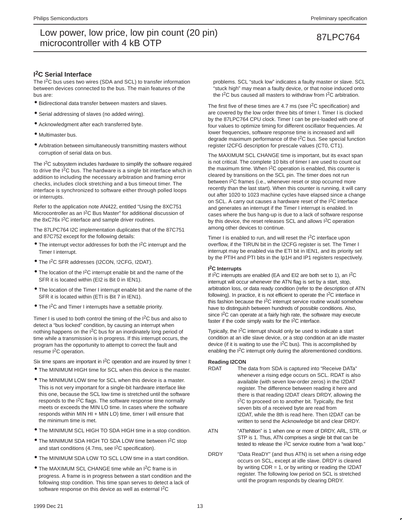## **I 2C Serial Interface**

The I<sup>2</sup>C bus uses two wires (SDA and SCL) to transfer information between devices connected to the bus. The main features of the bus are:

- Bidirectional data transfer between masters and slaves.
- Serial addressing of slaves (no added wiring).
- Acknowledgment after each transferred byte.
- Multimaster bus.
- Arbitration between simultaneously transmitting masters without corruption of serial data on bus.

The I<sup>2</sup>C subsystem includes hardware to simplify the software required to drive the I<sup>2</sup>C bus. The hardware is a single bit interface which in addition to including the necessary arbitration and framing error checks, includes clock stretching and a bus timeout timer. The interface is synchronized to software either through polled loops or interrupts.

Refer to the application note AN422, entitled "Using the 8XC751 Microcontroller as an I2C Bus Master" for additional discussion of the 8xC76x I<sup>2</sup>C interface and sample driver routines.

The 87LPC764 I2C implementation duplicates that of the 87C751 and 87C752 except for the following details:

- The interrupt vector addresses for both the I2C interrupt and the Timer I interrupt.
- The I2C SFR addresses (I2CON, !2CFG, I2DAT).
- $\bullet$  The location of the I<sup>2</sup>C interrupt enable bit and the name of the SFR it is located within (EI2 is Bit 0 in IEN1).
- The location of the Timer I interrupt enable bit and the name of the SFR it is located within (ETI is Bit 7 in IEN1).
- The I<sup>2</sup>C and Timer I interrupts have a settable priority.

Timer I is used to both control the timing of the  $1<sup>2</sup>C$  bus and also to detect a "bus locked" condition, by causing an interrupt when nothing happens on the I2C bus for an inordinately long period of time while a transmission is in progress. If this interrupt occurs, the program has the opportunity to attempt to correct the fault and resume I2C operation.

Six time spans are important in I<sup>2</sup>C operation and are insured by timer I:

- The MINIMUM HIGH time for SCL when this device is the master.
- The MINIMUM LOW time for SCL when this device is a master. This is not very important for a single-bit hardware interface like this one, because the SCL low time is stretched until the software responds to the  $1<sup>2</sup>C$  flags. The software response time normally meets or exceeds the MIN LO time. In cases where the software responds within MIN HI + MIN LO) time, timer I will ensure that the minimum time is met.
- The MINIMUM SCL HIGH TO SDA HIGH time in a stop condition.
- The MINIMUM SDA HIGH TO SDA LOW time between I<sup>2</sup>C stop and start conditions (4.7ms, see  $1<sup>2</sup>C$  specification).
- The MINIMUM SDA LOW TO SCL LOW time in a start condition.
- The MAXIMUM SCL CHANGE time while an I2C frame is in progress. A frame is in progress between a start condition and the following stop condition. This time span serves to detect a lack of software response on this device as well as external I<sup>2</sup>C

problems. SCL "stuck low" indicates a faulty master or slave. SCL "stuck high" may mean a faulty device, or that noise induced onto the I2C bus caused all masters to withdraw from I2C arbitration.

The first five of these times are 4.7 ms (see  $12C$  specification) and are covered by the low order three bits of timer I. Timer I is clocked by the 87LPC764 CPU clock. Timer I can be pre-loaded with one of four values to optimize timing for different oscillator frequencies. At lower frequencies, software response time is increased and will degrade maximum performance of the I2C bus. See special function register I2CFG description for prescale values (CT0, CT1).

The MAXIMUM SCL CHANGE time is important, but its exact span is not critical. The complete 10 bits of timer I are used to count out the maximum time. When  $1<sup>2</sup>C$  operation is enabled, this counter is cleared by transitions on the SCL pin. The timer does not run between I2C frames (i.e., whenever reset or stop occurred more recently than the last start). When this counter is running, it will carry out after 1020 to 1023 machine cycles have elapsed since a change on SCL. A carry out causes a hardware reset of the I2C interface and generates an interrupt if the Timer I interrupt is enabled. In cases where the bus hang-up is due to a lack of software response by this device, the reset releases SCL and allows I2C operation among other devices to continue.

Timer I is enabled to run, and will reset the I2C interface upon overflow, if the TIRUN bit in the I2CFG register is set. The Timer I interrupt may be enabled via the ETI bit in IEN1, and its priority set by the PTIH and PTI bits in the Ip1H and IP1 registers respectively.

## **I 2C Interrupts**

If I2C interrupts are enabled (EA and EI2 are both set to 1), an I2C interrupt will occur whenever the ATN flag is set by a start, stop, arbitration loss, or data ready condition (refer to the description of ATN following). In practice, it is not efficient to operate the I2C interface in this fashion because the I2C interrupt service routine would somehow have to distinguish between hundreds of possible conditions. Also, since I<sup>2</sup>C can operate at a fairly high rate, the software may execute faster if the code simply waits for the I2C interface.

Typically, the I2C interrupt should only be used to indicate a start condition at an idle slave device, or a stop condition at an idle master device (if it is waiting to use the  $I<sup>2</sup>C$  bus). This is accomplished by enabling the I2C interrupt only during the aforementioned conditions.

## **Reading I2CON**

- RDAT The data from SDA is captured into "Receive DATa" whenever a rising edge occurs on SCL. RDAT is also available (with seven low-order zeros) in the I2DAT register. The difference between reading it here and there is that reading I2DAT clears DRDY, allowing the I<sup>2</sup>C to proceed on to another bit. Typically, the first seven bits of a received byte are read from I2DAT, while the 8th is read here. Then I2DAT can be written to send the Acknowledge bit and clear DRDY.
- ATN "ATteNtion" is 1 when one or more of DRDY, ARL, STR, or STP is 1. Thus, ATN comprises a single bit that can be tested to release the I2C service routine from a "wait loop."
- DRDY "Data ReaDY" (and thus ATN) is set when a rising edge occurs on SCL, except at idle slave. DRDY is cleared by writing  $CDR = 1$ , or by writing or reading the I2DAT register. The following low period on SCL is stretched until the program responds by clearing DRDY.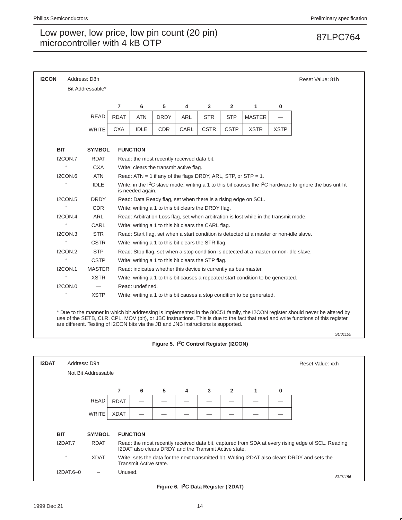| <b>I2CON</b> |                            | Address: D8h                                                                       |                |                                                                                                                                                        |                                                                 |      |             |             |                                                                                         |             | Reset Value: 81h                                                                                                                                                                                                                                                   |  |  |
|--------------|----------------------------|------------------------------------------------------------------------------------|----------------|--------------------------------------------------------------------------------------------------------------------------------------------------------|-----------------------------------------------------------------|------|-------------|-------------|-----------------------------------------------------------------------------------------|-------------|--------------------------------------------------------------------------------------------------------------------------------------------------------------------------------------------------------------------------------------------------------------------|--|--|
|              |                            | Bit Addressable*                                                                   |                |                                                                                                                                                        |                                                                 |      |             |             |                                                                                         |             |                                                                                                                                                                                                                                                                    |  |  |
|              |                            |                                                                                    |                |                                                                                                                                                        |                                                                 |      |             |             |                                                                                         |             |                                                                                                                                                                                                                                                                    |  |  |
|              |                            |                                                                                    | $\overline{7}$ | 5<br>6<br>4<br>3<br>$\mathbf{2}$<br>1<br>0                                                                                                             |                                                                 |      |             |             |                                                                                         |             |                                                                                                                                                                                                                                                                    |  |  |
|              |                            | <b>READ</b>                                                                        | <b>RDAT</b>    | <b>ATN</b>                                                                                                                                             | <b>DRDY</b>                                                     | ARL  | <b>STR</b>  | <b>STP</b>  | <b>MASTER</b>                                                                           |             |                                                                                                                                                                                                                                                                    |  |  |
|              |                            | <b>WRITE</b>                                                                       | <b>CXA</b>     | <b>IDLE</b>                                                                                                                                            | <b>CDR</b>                                                      | CARL | <b>CSTR</b> | <b>CSTP</b> | <b>XSTR</b>                                                                             | <b>XSTP</b> |                                                                                                                                                                                                                                                                    |  |  |
| <b>BIT</b>   |                            | <b>SYMBOL</b>                                                                      |                | <b>FUNCTION</b>                                                                                                                                        |                                                                 |      |             |             |                                                                                         |             |                                                                                                                                                                                                                                                                    |  |  |
|              | I2CON.7                    | <b>RDAT</b>                                                                        |                |                                                                                                                                                        | Read: the most recently received data bit.                      |      |             |             |                                                                                         |             |                                                                                                                                                                                                                                                                    |  |  |
|              | $\mathfrak{c}\mathfrak{c}$ | <b>CXA</b>                                                                         |                |                                                                                                                                                        | Write: clears the transmit active flag.                         |      |             |             |                                                                                         |             |                                                                                                                                                                                                                                                                    |  |  |
|              | ICON.6                     | <b>ATN</b>                                                                         |                |                                                                                                                                                        |                                                                 |      |             |             | Read: $ATN = 1$ if any of the flags DRDY, ARL, STP, or STP = 1.                         |             |                                                                                                                                                                                                                                                                    |  |  |
|              | 'n.                        | <b>IDLE</b>                                                                        |                | Write: in the I <sup>2</sup> C slave mode, writing a 1 to this bit causes the I <sup>2</sup> C hardware to ignore the bus until it<br>is needed again. |                                                                 |      |             |             |                                                                                         |             |                                                                                                                                                                                                                                                                    |  |  |
|              | I2CON.5                    | <b>DRDY</b>                                                                        |                |                                                                                                                                                        |                                                                 |      |             |             | Read: Data Ready flag, set when there is a rising edge on SCL.                          |             |                                                                                                                                                                                                                                                                    |  |  |
|              | $\mathfrak{c}\mathfrak{c}$ | <b>CDR</b>                                                                         |                |                                                                                                                                                        | Write: writing a 1 to this bit clears the DRDY flag.            |      |             |             |                                                                                         |             |                                                                                                                                                                                                                                                                    |  |  |
|              | IZCON.4                    | <b>ARL</b>                                                                         |                |                                                                                                                                                        |                                                                 |      |             |             | Read: Arbitration Loss flag, set when arbitration is lost while in the transmit mode.   |             |                                                                                                                                                                                                                                                                    |  |  |
|              | å.                         | CARL                                                                               |                |                                                                                                                                                        | Write: writing a 1 to this bit clears the CARL flag.            |      |             |             |                                                                                         |             |                                                                                                                                                                                                                                                                    |  |  |
|              | IZCON.3                    | <b>STR</b>                                                                         |                |                                                                                                                                                        |                                                                 |      |             |             | Read: Start flag, set when a start condition is detected at a master or non-idle slave. |             |                                                                                                                                                                                                                                                                    |  |  |
|              | ££                         | <b>CSTR</b>                                                                        |                |                                                                                                                                                        | Write: writing a 1 to this bit clears the STR flag.             |      |             |             |                                                                                         |             |                                                                                                                                                                                                                                                                    |  |  |
|              | <b>I2CON.2</b>             | <b>STP</b>                                                                         |                |                                                                                                                                                        |                                                                 |      |             |             | Read: Stop flag, set when a stop condition is detected at a master or non-idle slave.   |             |                                                                                                                                                                                                                                                                    |  |  |
|              | $\mathfrak{c}\mathfrak{c}$ | <b>CSTP</b>                                                                        |                |                                                                                                                                                        | Write: writing a 1 to this bit clears the STP flag.             |      |             |             |                                                                                         |             |                                                                                                                                                                                                                                                                    |  |  |
|              | <b>I2CON.1</b>             | <b>MASTER</b>                                                                      |                |                                                                                                                                                        | Read: indicates whether this device is currently as bus master. |      |             |             |                                                                                         |             |                                                                                                                                                                                                                                                                    |  |  |
|              | u                          | <b>XSTR</b>                                                                        |                |                                                                                                                                                        |                                                                 |      |             |             | Write: writing a 1 to this bit causes a repeated start condition to be generated.       |             |                                                                                                                                                                                                                                                                    |  |  |
|              | <b>I2CON.0</b>             |                                                                                    |                | Read: undefined.                                                                                                                                       |                                                                 |      |             |             |                                                                                         |             |                                                                                                                                                                                                                                                                    |  |  |
|              | u                          | <b>XSTP</b>                                                                        |                |                                                                                                                                                        |                                                                 |      |             |             | Write: writing a 1 to this bit causes a stop condition to be generated.                 |             |                                                                                                                                                                                                                                                                    |  |  |
|              |                            | are different. Testing of I2CON bits via the JB and JNB instructions is supported. |                |                                                                                                                                                        |                                                                 |      |             |             |                                                                                         |             | * Due to the manner in which bit addressing is implemented in the 80C51 family, the I2CON register should never be altered by<br>use of the SETB, CLR, CPL, MOV (bit), or JBC instructions. This is due to the fact that read and write functions of this register |  |  |
|              |                            |                                                                                    |                |                                                                                                                                                        |                                                                 |      |             |             |                                                                                         |             | SU01155                                                                                                                                                                                                                                                            |  |  |

## **Figure 5. I2C Control Register (I2CON)**

| <b>I2DAT</b> | Address: D9h               |                     |             |                        |   |   |                                                       |                |   |   | Reset Value: xxh                                                                                  |
|--------------|----------------------------|---------------------|-------------|------------------------|---|---|-------------------------------------------------------|----------------|---|---|---------------------------------------------------------------------------------------------------|
|              |                            | Not Bit Addressable |             |                        |   |   |                                                       |                |   |   |                                                                                                   |
|              |                            |                     |             |                        |   |   |                                                       |                |   |   |                                                                                                   |
|              |                            |                     | 7           | 6                      | 5 | 4 | 3                                                     | $\overline{2}$ | 1 | 0 |                                                                                                   |
|              |                            | <b>READ</b>         | <b>RDAT</b> |                        |   |   |                                                       |                |   |   |                                                                                                   |
|              |                            | <b>WRITE</b>        | <b>XDAT</b> |                        |   |   |                                                       |                |   |   |                                                                                                   |
|              |                            |                     |             |                        |   |   |                                                       |                |   |   |                                                                                                   |
|              | <b>BIT</b>                 | <b>SYMBOL</b>       |             | <b>FUNCTION</b>        |   |   |                                                       |                |   |   |                                                                                                   |
|              | I2DAT.7                    | <b>RDAT</b>         |             |                        |   |   | I2DAT also clears DRDY and the Transmit Active state. |                |   |   | Read: the most recently received data bit, captured from SDA at every rising edge of SCL. Reading |
|              | $\mathfrak{c}\mathfrak{c}$ | <b>XDAT</b>         |             | Transmit Active state. |   |   |                                                       |                |   |   | Write: sets the data for the next transmitted bit. Writing I2DAT also clears DRDY and sets the    |
|              | $I2$ DAT.6-0               |                     | Unused.     |                        |   |   |                                                       |                |   |   | SU01156                                                                                           |

**Figure 6. I2C Data Register (I 2DAT)**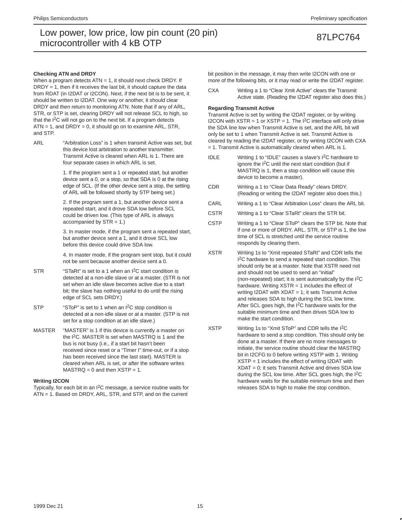### **Checking ATN and DRDY**

When a program detects  $ATN = 1$ , it should next check DRDY. If  $DRDY = 1$ , then if it receives the last bit, it should capture the data from RDAT (in I2DAT or I2CON). Next, if the next bit is to be sent, it should be written to I2DAT. One way or another, it should clear DRDY and then return to monitoring ATN. Note that if any of ARL, STR, or STP is set, clearing DRDY will not release SCL to high, so that the I<sup>2</sup>C will not go on to the next bit. If a program detects  $ATN = 1$ , and  $DRDY = 0$ , it should go on to examine  $ARL$ ,  $STR$ , and STP.

ARL "Arbitration Loss" is 1 when transmit Active was set, but this device lost arbitration to another transmitter. Transmit Active is cleared when ARL is 1. There are four separate cases in which ARL is set.

> 1. If the program sent a 1 or repeated start, but another device sent a 0, or a stop, so that SDA is 0 at the rising edge of SCL. (If the other device sent a stop, the setting of ARL will be followed shortly by STP being set.)

2. If the program sent a 1, but another device sent a repeated start, and it drove SDA low before SCL could be driven low. (This type of ARL is always accompanied by  $STR = 1.$ )

3. In master mode, if the program sent a repeated start, but another device sent a 1, and it drove SCL low before this device could drive SDA low.

4. In master mode, if the program sent stop, but it could not be sent because another device sent a 0.

- STR "STaRt" is set to a 1 when an I<sup>2</sup>C start condition is detected at a non-idle slave or at a master. (STR is not set when an idle slave becomes active due to a start bit; the slave has nothing useful to do until the rising edge of SCL sets DRDY.)
- STP "SToP" is set to 1 when an I<sup>2</sup>C stop condition is detected at a non-idle slave or at a master. (STP is not set for a stop condition at an idle slave.)
- MASTER "MASTER" is 1 if this device is currently a master on the I2C. MASTER is set when MASTRQ is 1 and the bus is not busy (i.e., if a start bit hasn't been received since reset or a "Timer I" time-out, or if a stop has been received since the last start). MASTER is cleared when ARL is set, or after the software writes  $MASTRQ = 0$  and then  $XSTP = 1$ .

### **Writing I2CON**

Typically, for each bit in an I2C message, a service routine waits for ATN = 1. Based on DRDY, ARL, STR, and STP, and on the current bit position in the message, it may then write I2CON with one or more of the following bits, or it may read or write the I2DAT register.

CXA Writing a 1 to "Clear Xmit Active" clears the Transmit Active state. (Reading the I2DAT register also does this.)

### **Regarding Transmit Active**

Transmit Active is set by writing the I2DAT register, or by writing I2CON with  $XSTR = 1$  or  $XSTP = 1$ . The  $I^2C$  interface will only drive the SDA line low when Transmit Active is set, and the ARL bit will only be set to 1 when Transmit Active is set. Transmit Active is cleared by reading the I2DAT register, or by writing I2CON with CXA = 1. Transmit Active is automatically cleared when ARL is 1.

- IDLE Writing 1 to "IDLE" causes a slave's  $I^2C$  hardware to ignore the  $I<sup>2</sup>C$  until the next start condition (but if MASTRQ is 1, then a stop condition will cause this device to become a master).
- CDR Writing a 1 to "Clear Data Ready" clears DRDY. (Reading or writing the I2DAT register also does this.)
- CARL Writing a 1 to "Clear Arbitration Loss" clears the ARL bit.
- CSTR Writing a 1 to "Clear STaRt" clears the STR bit.
- CSTP Writing a 1 to "Clear SToP" clears the STP bit. Note that if one or more of DRDY, ARL, STR, or STP is 1, the low time of SCL is stretched until the service routine responds by clearing them.
- XSTR Writing 1s to "Xmit repeated STaRt" and CDR tells the I<sup>2</sup>C hardware to send a repeated start condition. This should only be at a master. Note that XSTR need not and should not be used to send an "initial" (non-repeated) start; it is sent automatically by the I2C hardware. Writing XSTR = 1 includes the effect of writing I2DAT with XDAT = 1; it sets Transmit Active and releases SDA to high during the SCL low time. After SCL goes high, the I2C hardware waits for the suitable minimum time and then drives SDA low to make the start condition.
- XSTP Writing 1s to "Xmit SToP" and CDR tells the I2C hardware to send a stop condition. This should only be done at a master. If there are no more messages to initiate, the service routine should clear the MASTRQ bit in I2CFG to 0 before writing XSTP with 1. Writing XSTP = 1 includes the effect of writing I2DAT with XDAT = 0; it sets Transmit Active and drives SDA low during the SCL low time. After SCL goes high, the I<sup>2</sup>C hardware waits for the suitable minimum time and then releases SDA to high to make the stop condition.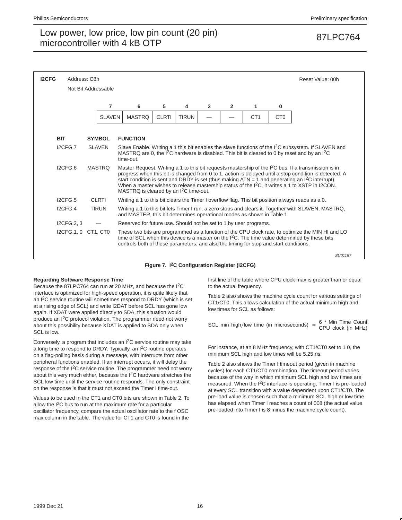| <b>I2CFG</b> | Address: C8h |                     |                                                                                       |                                                                                                                                                                                                                                          |              |   |                |                 |                 | Reset Value: 00h                                                                                                                                                                                                                                                                                                                                                                                                                     |  |
|--------------|--------------|---------------------|---------------------------------------------------------------------------------------|------------------------------------------------------------------------------------------------------------------------------------------------------------------------------------------------------------------------------------------|--------------|---|----------------|-----------------|-----------------|--------------------------------------------------------------------------------------------------------------------------------------------------------------------------------------------------------------------------------------------------------------------------------------------------------------------------------------------------------------------------------------------------------------------------------------|--|
|              |              | Not Bit Addressable |                                                                                       |                                                                                                                                                                                                                                          |              |   |                |                 |                 |                                                                                                                                                                                                                                                                                                                                                                                                                                      |  |
|              |              | $\overline{7}$      | 6                                                                                     | 5                                                                                                                                                                                                                                        | 4            | 3 | $\overline{2}$ | 1               | 0               |                                                                                                                                                                                                                                                                                                                                                                                                                                      |  |
|              |              | <b>SLAVEN</b>       | <b>MASTRQ</b>                                                                         | <b>CLRTI</b>                                                                                                                                                                                                                             | <b>TIRUN</b> |   |                | CT <sub>1</sub> | C <sub>T0</sub> |                                                                                                                                                                                                                                                                                                                                                                                                                                      |  |
| <b>BIT</b>   |              | <b>SYMBOL</b>       | <b>FUNCTION</b>                                                                       |                                                                                                                                                                                                                                          |              |   |                |                 |                 |                                                                                                                                                                                                                                                                                                                                                                                                                                      |  |
|              | I2CFG.7      | <b>SLAVEN</b>       | time-out.                                                                             | Slave Enable. Writing a 1 this bit enables the slave functions of the I <sup>2</sup> C subsystem. If SLAVEN and<br>MASTRQ are 0, the I <sup>2</sup> C hardware is disabled. This bit is cleared to 0 by reset and by an I <sup>2</sup> C |              |   |                |                 |                 |                                                                                                                                                                                                                                                                                                                                                                                                                                      |  |
|              | I2CFG.6      | <b>MASTRO</b>       | MASTRQ is cleared by an I <sup>2</sup> C time-out.                                    |                                                                                                                                                                                                                                          |              |   |                |                 |                 | Master Request. Writing a 1 to this bit requests mastership of the $12C$ bus. If a transmission is in<br>progress when this bit is changed from 0 to 1, action is delayed until a stop condition is detected. A<br>start condition is sent and DRDY is set (thus making $ATN = 1$ and generating an $1^2C$ interrupt).<br>When a master wishes to release mastership status of the I <sup>2</sup> C, it writes a 1 to XSTP in I2CON. |  |
|              | ICFG.5       | <b>CLRTI</b>        |                                                                                       |                                                                                                                                                                                                                                          |              |   |                |                 |                 | Writing a 1 to this bit clears the Timer I overflow flag. This bit position always reads as a 0.                                                                                                                                                                                                                                                                                                                                     |  |
|              | ICFG.4       | <b>TIRUN</b>        | and MASTER, this bit determines operational modes as shown in Table 1.                |                                                                                                                                                                                                                                          |              |   |                |                 |                 | Writing a 1 to this bit lets Timer I run; a zero stops and clears it. Together with SLAVEN, MASTRQ,                                                                                                                                                                                                                                                                                                                                  |  |
|              | I2CFG.2, 3   |                     | Reserved for future use. Should not be set to 1 by user programs.                     |                                                                                                                                                                                                                                          |              |   |                |                 |                 |                                                                                                                                                                                                                                                                                                                                                                                                                                      |  |
|              |              | I2CFG.1, 0 CT1, CT0 | controls both of these parameters, and also the timing for stop and start conditions. |                                                                                                                                                                                                                                          |              |   |                |                 |                 | These two bits are programmed as a function of the CPU clock rate, to optimize the MIN HI and LO<br>time of SCL when this device is a master on the I <sup>2</sup> C. The time value determined by these bits                                                                                                                                                                                                                        |  |
|              |              |                     |                                                                                       |                                                                                                                                                                                                                                          |              |   |                |                 |                 | SU01157                                                                                                                                                                                                                                                                                                                                                                                                                              |  |

## **Figure 7. I2C Configuration Register (I2CFG)**

## **Regarding Software Response Time**

Because the 87LPC764 can run at 20 MHz, and because the I2C interface is optimized for high-speed operation, it is quite likely that an  $I^2C$  service routine will sometimes respond to DRDY (which is set at a rising edge of SCL) and write I2DAT before SCL has gone low again. If XDAT were applied directly to SDA, this situation would produce an I<sup>2</sup>C protocol violation. The programmer need not worry about this possibility because XDAT is applied to SDA only when SCL is low.

Conversely, a program that includes an I2C service routine may take a long time to respond to DRDY. Typically, an I<sup>2</sup>C routine operates on a flag-polling basis during a message, with interrupts from other peripheral functions enabled. If an interrupt occurs, it will delay the response of the I2C service routine. The programmer need not worry about this very much either, because the I<sup>2</sup>C hardware stretches the SCL low time until the service routine responds. The only constraint on the response is that it must not exceed the Timer I time-out.

Values to be used in the CT1 and CT0 bits are shown in Table 2. To allow the  $12C$  bus to run at the maximum rate for a particular oscillator frequency, compare the actual oscillator rate to the f OSC max column in the table. The value for CT1 and CT0 is found in the

first line of the table where CPU clock max is greater than or equal to the actual frequency.

Table 2 also shows the machine cycle count for various settings of CT1/CT0. This allows calculation of the actual minimum high and low times for SCL as follows:

SCL min high/low time (in microseconds) =  $\frac{6 * \text{ Min Time Count}}{\text{CPU clock (in MHz)}}$ 

For instance, at an 8 MHz frequency, with CT1/CT0 set to 1 0, the minimum SCL high and low times will be 5.25  $\mu$ s.

Table 2 also shows the Timer I timeout period (given in machine cycles) for each CT1/CT0 combination. The timeout period varies because of the way in which minimum SCL high and low times are measured. When the I2C interface is operating, Timer I is pre-loaded at every SCL transition with a value dependent upon CT1/CT0. The pre-load value is chosen such that a minimum SCL high or low time has elapsed when Timer I reaches a count of 008 (the actual value pre-loaded into Timer I is 8 minus the machine cycle count).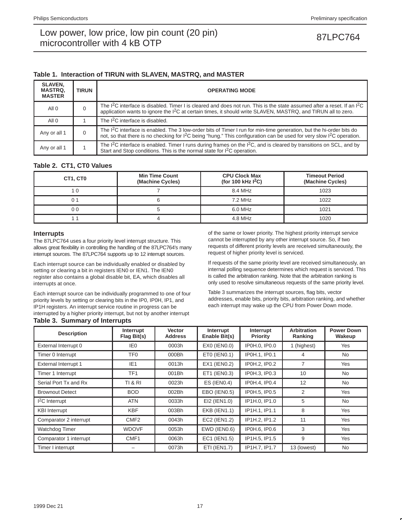## **Table 1. Interaction of TIRUN with SLAVEN, MASTRQ, and MASTER**

| <b>SLAVEN.</b><br><b>MASTRQ.</b><br><b>MASTER</b> | <b>TIRUN</b> | <b>OPERATING MODE</b>                                                                                                                                                                                                                                                       |
|---------------------------------------------------|--------------|-----------------------------------------------------------------------------------------------------------------------------------------------------------------------------------------------------------------------------------------------------------------------------|
| All 0                                             | 0            | The I <sup>2</sup> C interface is disabled. Timer I is cleared and does not run. This is the state assumed after a reset. If an I <sup>2</sup> C<br>application wants to ignore the <sup>2</sup> C at certain times, it should write SLAVEN, MASTRQ, and TIRUN all to zero. |
| All <sub>0</sub>                                  |              | The I <sup>2</sup> C interface is disabled.                                                                                                                                                                                                                                 |
| Any or all 1                                      | 0            | The $1^2C$ interface is enabled. The 3 low-order bits of Timer I run for min-time generation, but the hi-order bits do<br>not, so that there is no checking for I <sup>2</sup> C being "hung." This configuration can be used for very slow I <sup>2</sup> C operation.     |
| Any or all 1                                      |              | The $12C$ interface is enabled. Timer I runs during frames on the $12C$ , and is cleared by transitions on SCL, and by<br>Start and Stop conditions. This is the normal state for I <sup>2</sup> C operation.                                                               |

## **Table 2. CT1, CT0 Values**

| CT1, CT0 | <b>Min Time Count</b><br>(Machine Cycles) | <b>CPU Clock Max</b><br>(for 100 kHz $1^2C$ ) | <b>Timeout Period</b><br>(Machine Cycles) |
|----------|-------------------------------------------|-----------------------------------------------|-------------------------------------------|
|          |                                           | 8.4 MHz                                       | 1023                                      |
|          |                                           | 7.2 MHz                                       | 1022                                      |
| 0 0      |                                           | 6.0 MHz                                       | 1021                                      |
|          |                                           | 4.8 MHz                                       | 1020                                      |

## **Interrupts**

The 87LPC764 uses a four priority level interrupt structure. This allows great flexibility in controlling the handling of the 87LPC764's many interrupt sources. The 87LPC764 supports up to 12 interrupt sources.

Each interrupt source can be individually enabled or disabled by setting or clearing a bit in registers IEN0 or IEN1. The IEN0 register also contains a global disable bit, EA, which disables all interrupts at once.

Each interrupt source can be individually programmed to one of four priority levels by setting or clearing bits in the IP0, IP0H, IP1, and IP1H registers. An interrupt service routine in progress can be interrupted by a higher priority interrupt, but not by another interrupt **Table 3. Summary of Interrupts**

### of the same or lower priority. The highest priority interrupt service cannot be interrupted by any other interrupt source. So, if two requests of different priority levels are received simultaneously, the request of higher priority level is serviced.

If requests of the same priority level are received simultaneously, an internal polling sequence determines which request is serviced. This is called the arbitration ranking. Note that the arbitration ranking is only used to resolve simultaneous requests of the same priority level.

Table 3 summarizes the interrupt sources, flag bits, vector addresses, enable bits, priority bits, arbitration ranking, and whether each interrupt may wake up the CPU from Power Down mode.

| <b>Description</b>          | Interrupt<br>Flag Bit(s) | <b>Vector</b><br><b>Address</b> | Interrupt<br>Enable Bit(s) | Interrupt<br>Priority | <b>Arbitration</b><br>Ranking | <b>Power Down</b><br>Wakeup |
|-----------------------------|--------------------------|---------------------------------|----------------------------|-----------------------|-------------------------------|-----------------------------|
| External Interrupt 0        | IE0                      | 0003h                           | EX0 (IEN0.0)               | IP0H.0, IP0.0         | 1 (highest)                   | <b>Yes</b>                  |
| Timer 0 Interrupt           | TF <sub>0</sub>          | 000Bh                           | ET0 (IEN0.1)               | IP0H.1, IP0.1         | 4                             | No                          |
| <b>External Interrupt 1</b> | IE <sub>1</sub>          | 0013h                           | EX1 (IEN0.2)               | IP0H.2, IP0.2         | 7                             | Yes                         |
| Timer 1 Interrupt           | TF <sub>1</sub>          | 001Bh                           | ET1 (IEN0.3)               | IP0H.3, IP0.3         | 10                            | <b>No</b>                   |
| Serial Port Tx and Rx       | <b>TI &amp; RI</b>       | 0023h                           | <b>ES (IEN0.4)</b>         | IP0H.4. IP0.4         | 12                            | No                          |
| <b>Brownout Detect</b>      | <b>BOD</b>               | 002Bh                           | EBO (IEN0.5)               | IP0H.5, IP0.5         | 2                             | Yes                         |
| $I2C$ Interrupt             | <b>ATN</b>               | 0033h                           | EI2 (IEN1.0)               | IP1H.0, IP1.0         | 5                             | <b>No</b>                   |
| <b>KBI</b> Interrupt        | <b>KBF</b>               | 003Bh                           | <b>EKB (IEN1.1)</b>        | IP1H.1. IP1.1         | 8                             | Yes                         |
| Comparator 2 interrupt      | CMF <sub>2</sub>         | 0043h                           | EC2 (IEN1.2)               | IP1H.2, IP1.2         | 11                            | Yes                         |
| Watchdog Timer              | <b>WDOVF</b>             | 0053h                           | EWD (IEN0.6)               | IP0H.6, IP0.6         | 3                             | Yes                         |
| Comparator 1 interrupt      | CMF1                     | 0063h                           | EC1 (IEN1.5)               | IP1H.5, IP1.5         | 9                             | Yes                         |
| Timer I interrupt           |                          | 0073h                           | ETI (IEN1.7)               | IP1H.7. IP1.7         | 13 (lowest)                   | <b>No</b>                   |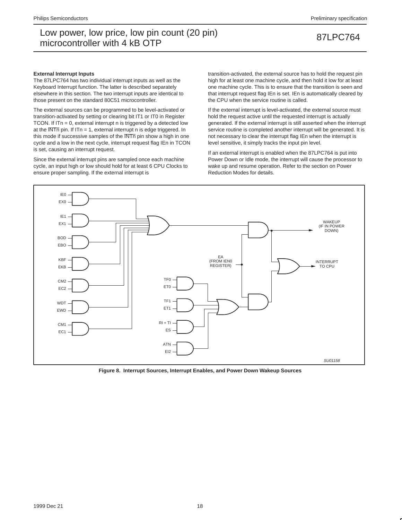### **External Interrupt Inputs**

The 87LPC764 has two individual interrupt inputs as well as the Keyboard Interrupt function. The latter is described separately elsewhere in this section. The two interrupt inputs are identical to those present on the standard 80C51 microcontroller.

The external sources can be programmed to be level-activated or transition-activated by setting or clearing bit IT1 or IT0 in Register TCON. If ITn = 0, external interrupt n is triggered by a detected low at the  $\overline{\text{INTn}}$  pin. If ITn = 1, external interrupt n is edge triggered. In this mode if successive samples of the INTn pin show a high in one cycle and a low in the next cycle, interrupt request flag IEn in TCON is set, causing an interrupt request.

Since the external interrupt pins are sampled once each machine cycle, an input high or low should hold for at least 6 CPU Clocks to ensure proper sampling. If the external interrupt is

transition-activated, the external source has to hold the request pin high for at least one machine cycle, and then hold it low for at least one machine cycle. This is to ensure that the transition is seen and that interrupt request flag IEn is set. IEn is automatically cleared by the CPU when the service routine is called.

If the external interrupt is level-activated, the external source must hold the request active until the requested interrupt is actually generated. If the external interrupt is still asserted when the interrupt service routine is completed another interrupt will be generated. It is not necessary to clear the interrupt flag IEn when the interrupt is level sensitive, it simply tracks the input pin level.

If an external interrupt is enabled when the 87LPC764 is put into Power Down or Idle mode, the interrupt will cause the processor to wake up and resume operation. Refer to the section on Power Reduction Modes for details.



**Figure 8. Interrupt Sources, Interrupt Enables, and Power Down Wakeup Sources**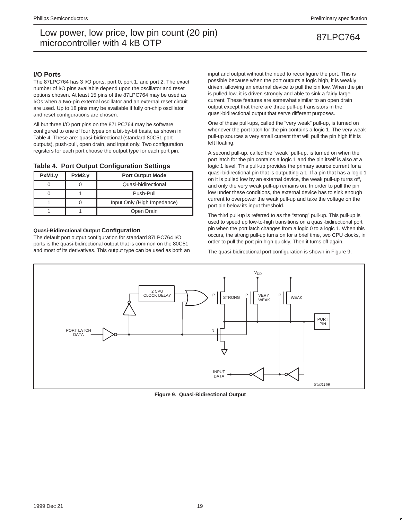## **I/O Ports**

The 87LPC764 has 3 I/O ports, port 0, port 1, and port 2. The exact number of I/O pins available depend upon the oscillator and reset options chosen. At least 15 pins of the 87LPC764 may be used as I/Os when a two-pin external oscillator and an external reset circuit are used. Up to 18 pins may be available if fully on-chip oscillator and reset configurations are chosen.

All but three I/O port pins on the 87LPC764 may be software configured to one of four types on a bit-by-bit basis, as shown in Table 4. These are: quasi-bidirectional (standard 80C51 port outputs), push-pull, open drain, and input only. Two configuration registers for each port choose the output type for each port pin.

## **Table 4. Port Output Configuration Settings**

| PxM1.y | PxM2.y | <b>Port Output Mode</b>     |  |  |  |  |  |
|--------|--------|-----------------------------|--|--|--|--|--|
|        |        | Quasi-bidirectional         |  |  |  |  |  |
|        |        | Push-Pull                   |  |  |  |  |  |
|        |        | Input Only (High Impedance) |  |  |  |  |  |
|        |        | Open Drain                  |  |  |  |  |  |

## **Quasi-Bidirectional Output Configuration**

The default port output configuration for standard 87LPC764 I/O ports is the quasi-bidirectional output that is common on the 80C51 and most of its derivatives. This output type can be used as both an input and output without the need to reconfigure the port. This is possible because when the port outputs a logic high, it is weakly driven, allowing an external device to pull the pin low. When the pin is pulled low, it is driven strongly and able to sink a fairly large current. These features are somewhat similar to an open drain output except that there are three pull-up transistors in the quasi-bidirectional output that serve different purposes.

One of these pull-ups, called the "very weak" pull-up, is turned on whenever the port latch for the pin contains a logic 1. The very weak pull-up sources a very small current that will pull the pin high if it is left floating.

A second pull-up, called the "weak" pull-up, is turned on when the port latch for the pin contains a logic 1 and the pin itself is also at a logic 1 level. This pull-up provides the primary source current for a quasi-bidirectional pin that is outputting a 1. If a pin that has a logic 1 on it is pulled low by an external device, the weak pull-up turns off, and only the very weak pull-up remains on. In order to pull the pin low under these conditions, the external device has to sink enough current to overpower the weak pull-up and take the voltage on the port pin below its input threshold.

The third pull-up is referred to as the "strong" pull-up. This pull-up is used to speed up low-to-high transitions on a quasi-bidirectional port pin when the port latch changes from a logic 0 to a logic 1. When this occurs, the strong pull-up turns on for a brief time, two CPU clocks, in order to pull the port pin high quickly. Then it turns off again.

The quasi-bidirectional port configuration is shown in Figure 9.



**Figure 9. Quasi-Bidirectional Output**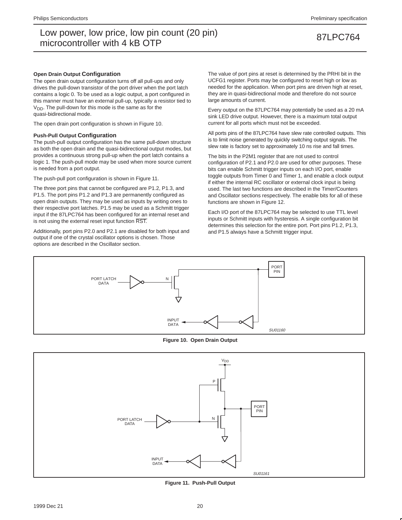## **Open Drain Output Configuration**

The open drain output configuration turns off all pull-ups and only drives the pull-down transistor of the port driver when the port latch contains a logic 0. To be used as a logic output, a port configured in this manner must have an external pull-up, typically a resistor tied to  $V<sub>DD</sub>$ . The pull-down for this mode is the same as for the quasi-bidirectional mode.

The open drain port configuration is shown in Figure 10.

### **Push-Pull Output Configuration**

The push-pull output configuration has the same pull-down structure as both the open drain and the quasi-bidirectional output modes, but provides a continuous strong pull-up when the port latch contains a logic 1. The push-pull mode may be used when more source current is needed from a port output.

The push-pull port configuration is shown in Figure 11.

The three port pins that cannot be configured are P1.2, P1.3, and P1.5. The port pins P1.2 and P1.3 are permanently configured as open drain outputs. They may be used as inputs by writing ones to their respective port latches. P1.5 may be used as a Schmitt trigger input if the 87LPC764 has been configured for an internal reset and is not using the external reset input function RST.

Additionally, port pins P2.0 and P2.1 are disabled for both input and output if one of the crystal oscillator options is chosen. Those options are described in the Oscillator section.

The value of port pins at reset is determined by the PRHI bit in the UCFG1 register. Ports may be configured to reset high or low as needed for the application. When port pins are driven high at reset, they are in quasi-bidirectional mode and therefore do not source large amounts of current.

Every output on the 87LPC764 may potentially be used as a 20 mA sink LED drive output. However, there is a maximum total output current for all ports which must not be exceeded.

All ports pins of the 87LPC764 have slew rate controlled outputs. This is to limit noise generated by quickly switching output signals. The slew rate is factory set to approximately 10 ns rise and fall times.

The bits in the P2M1 register that are not used to control configuration of P2.1 and P2.0 are used for other purposes. These bits can enable Schmitt trigger inputs on each I/O port, enable toggle outputs from Timer 0 and Timer 1, and enable a clock output if either the internal RC oscillator or external clock input is being used. The last two functions are described in the Timer/Counters and Oscillator sections respectively. The enable bits for all of these functions are shown in Figure 12.

Each I/O port of the 87LPC764 may be selected to use TTL level inputs or Schmitt inputs with hysteresis. A single configuration bit determines this selection for the entire port. Port pins P1.2, P1.3, and P1.5 always have a Schmitt trigger input.



**Figure 10. Open Drain Output**



**Figure 11. Push-Pull Output**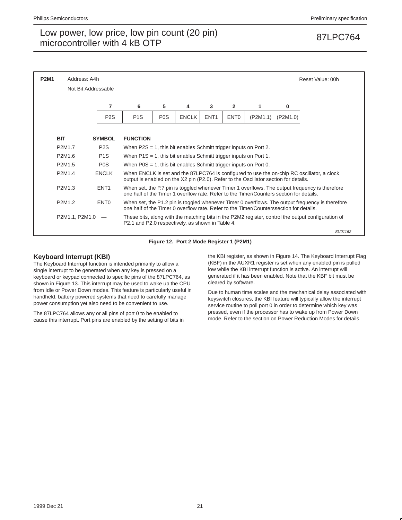| <b>P2M1</b> | Address: A4h                    |                  |                                                                                         |                                                                                                                                                                                           |              |                  |                  |          |          | Reset Value: 00h                                                                                   |  |  |  |
|-------------|---------------------------------|------------------|-----------------------------------------------------------------------------------------|-------------------------------------------------------------------------------------------------------------------------------------------------------------------------------------------|--------------|------------------|------------------|----------|----------|----------------------------------------------------------------------------------------------------|--|--|--|
|             | Not Bit Addressable             |                  |                                                                                         |                                                                                                                                                                                           |              |                  |                  |          |          |                                                                                                    |  |  |  |
|             |                                 | 7                | 6                                                                                       | 5                                                                                                                                                                                         | 4            | 3                | $\mathbf{2}$     | 1        | 0        |                                                                                                    |  |  |  |
|             |                                 | P <sub>2</sub> S | P <sub>1</sub> S                                                                        | P <sub>0</sub> S                                                                                                                                                                          | <b>ENCLK</b> | ENT <sub>1</sub> | ENT <sub>0</sub> | (P2M1.1) | (P2M1.0) |                                                                                                    |  |  |  |
|             |                                 |                  |                                                                                         |                                                                                                                                                                                           |              |                  |                  |          |          |                                                                                                    |  |  |  |
|             | <b>BIT</b>                      | <b>SYMBOL</b>    | <b>FUNCTION</b>                                                                         |                                                                                                                                                                                           |              |                  |                  |          |          |                                                                                                    |  |  |  |
|             | P2M1.7                          | P <sub>2</sub> S |                                                                                         | When $P2S = 1$ , this bit enables Schmitt trigger inputs on Port 2.                                                                                                                       |              |                  |                  |          |          |                                                                                                    |  |  |  |
|             | P2M1.6                          | P <sub>1</sub> S | When $P1S = 1$ , this bit enables Schmitt trigger inputs on Port 1.                     |                                                                                                                                                                                           |              |                  |                  |          |          |                                                                                                    |  |  |  |
|             | P <sub>2</sub> M <sub>1.5</sub> | P <sub>0</sub> S | When $POS = 1$ , this bit enables Schmitt trigger inputs on Port 0.                     |                                                                                                                                                                                           |              |                  |                  |          |          |                                                                                                    |  |  |  |
|             | P2M1.4                          | <b>ENCLK</b>     | output is enabled on the X2 pin (P2.0). Refer to the Oscillator section for details.    |                                                                                                                                                                                           |              |                  |                  |          |          | When ENCLK is set and the 87LPC764 is configured to use the on-chip RC oscillator, a clock         |  |  |  |
|             | P2M1.3                          | ENT <sub>1</sub> | one half of the Timer 1 overflow rate. Refer to the Timer/Counters section for details. |                                                                                                                                                                                           |              |                  |                  |          |          | When set, the P.7 pin is toggled whenever Timer 1 overflows. The output frequency is therefore     |  |  |  |
|             | P2M1.2                          | ENT <sub>0</sub> |                                                                                         | When set, the P1.2 pin is toggled whenever Timer 0 overflows. The output frequency is therefore<br>one half of the Timer 0 overflow rate. Refer to the Timer/Counterssection for details. |              |                  |                  |          |          |                                                                                                    |  |  |  |
|             | P2M1.1, P2M1.0                  |                  | P2.1 and P2.0 respectively, as shown in Table 4.                                        |                                                                                                                                                                                           |              |                  |                  |          |          | These bits, along with the matching bits in the P2M2 register, control the output configuration of |  |  |  |
|             |                                 |                  |                                                                                         |                                                                                                                                                                                           |              |                  |                  |          |          | SU01162                                                                                            |  |  |  |

**Figure 12. Port 2 Mode Register 1 (P2M1)**

## **Keyboard Interrupt (KBI)**

The Keyboard Interrupt function is intended primarily to allow a single interrupt to be generated when any key is pressed on a keyboard or keypad connected to specific pins of the 87LPC764, as shown in Figure 13. This interrupt may be used to wake up the CPU from Idle or Power Down modes. This feature is particularly useful in handheld, battery powered systems that need to carefully manage power consumption yet also need to be convenient to use.

The 87LPC764 allows any or all pins of port 0 to be enabled to cause this interrupt. Port pins are enabled by the setting of bits in the KBI register, as shown in Figure 14. The Keyboard Interrupt Flag (KBF) in the AUXR1 register is set when any enabled pin is pulled low while the KBI interrupt function is active. An interrupt will generated if it has been enabled. Note that the KBF bit must be cleared by software.

Due to human time scales and the mechanical delay associated with keyswitch closures, the KBI feature will typically allow the interrupt service routine to poll port 0 in order to determine which key was pressed, even if the processor has to wake up from Power Down mode. Refer to the section on Power Reduction Modes for details.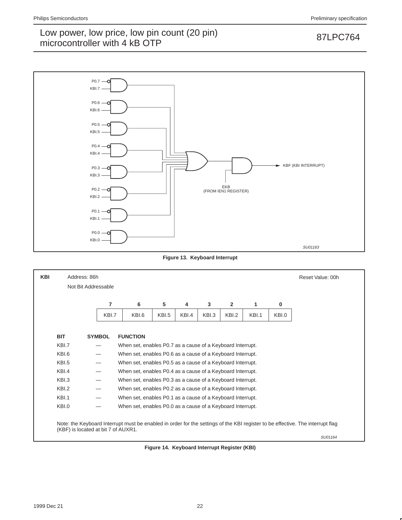

**Figure 13. Keyboard Interrupt**



**Figure 14. Keyboard Interrupt Register (KBI)**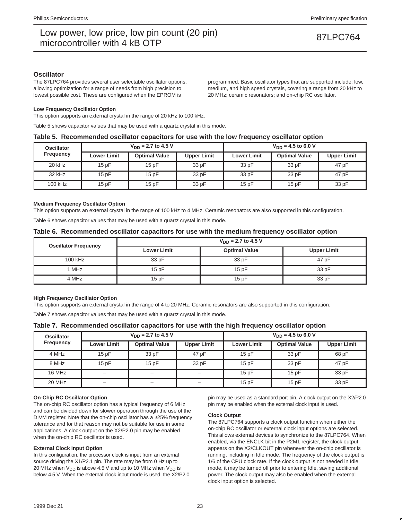## **Oscillator**

The 87LPC764 provides several user selectable oscillator options, allowing optimization for a range of needs from high precision to lowest possible cost. These are configured when the EPROM is

programmed. Basic oscillator types that are supported include: low, medium, and high speed crystals, covering a range from 20 kHz to 20 MHz; ceramic resonators; and on-chip RC oscillator.

## **Low Frequency Oscillator Option**

This option supports an external crystal in the range of 20 kHz to 100 kHz.

Table 5 shows capacitor values that may be used with a quartz crystal in this mode.

## **Table 5. Recommended oscillator capacitors for use with the low frequency oscillator option**

| <b>Oscillator</b><br>Frequency |                    | $V_{DD}$ = 2.7 to 4.5 V |                    | $V_{DD} = 4.5$ to 6.0 V |                      |                    |  |  |
|--------------------------------|--------------------|-------------------------|--------------------|-------------------------|----------------------|--------------------|--|--|
|                                | <b>Lower Limit</b> | <b>Optimal Value</b>    | <b>Upper Limit</b> | <b>Lower Limit</b>      | <b>Optimal Value</b> | <b>Upper Limit</b> |  |  |
| 20 kHz                         | 15pF               | 15pF                    | 33 pF              | 33 pF                   | 33 pF                | 47 pF              |  |  |
| 32 kHz                         | 15pF               | 15pF                    | 33 pF              | 33 pF                   | 33 pF                | 47 pF              |  |  |
| 100 kHz                        | 15 pF              | 15pF                    | 33 pF              | 15pF                    | 15pF                 | 33 pF              |  |  |

## **Medium Frequency Oscillator Option**

This option supports an external crystal in the range of 100 kHz to 4 MHz. Ceramic resonators are also supported in this configuration.

Table 6 shows capacitor values that may be used with a quartz crystal in this mode.

## **Table 6. Recommended oscillator capacitors for use with the medium frequency oscillator option**

| <b>Oscillator Frequency</b> | $V_{DD}$ = 2.7 to 4.5 V |                      |                    |  |  |  |  |  |
|-----------------------------|-------------------------|----------------------|--------------------|--|--|--|--|--|
|                             | <b>Lower Limit</b>      | <b>Optimal Value</b> | <b>Upper Limit</b> |  |  |  |  |  |
| 100 kHz                     | 33 pF                   | 33 pF                | 47 pF              |  |  |  |  |  |
| 1 MHz                       | 15pF                    | 15pF                 | 33 pF              |  |  |  |  |  |
| 4 MHz                       | 15pF                    | 15pF                 | 33 pF              |  |  |  |  |  |

## **High Frequency Oscillator Option**

This option supports an external crystal in the range of 4 to 20 MHz. Ceramic resonators are also supported in this configuration.

Table 7 shows capacitor values that may be used with a quartz crystal in this mode.

## **Table 7. Recommended oscillator capacitors for use with the high frequency oscillator option**

| <b>Oscillator</b> |                    | $V_{DD}$ = 2.7 to 4.5 V |                          | $V_{DD} = 4.5$ to 6.0 V |                      |                    |  |
|-------------------|--------------------|-------------------------|--------------------------|-------------------------|----------------------|--------------------|--|
| <b>Frequency</b>  | <b>Lower Limit</b> | <b>Optimal Value</b>    | <b>Upper Limit</b>       | <b>Lower Limit</b>      | <b>Optimal Value</b> | <b>Upper Limit</b> |  |
| 4 MHz             | 15pF               | 33 pF                   | 47 pF                    | 15pF                    | 33 pF                | 68 pF              |  |
| 8 MHz             | 15pF               | 15pF                    | 15pF<br>33 pF            |                         | 33 pF                | 47 pF              |  |
| 16 MHz            | -                  | -                       | $\qquad \qquad -$        | 15pF                    | 15pF                 | 33 pF              |  |
| 20 MHz            |                    |                         | $\overline{\phantom{0}}$ | 15pF                    | 15pF                 | 33 pF              |  |

## **On-Chip RC Oscillator Option**

The on-chip RC oscillator option has a typical frequency of 6 MHz and can be divided down for slower operation through the use of the DIVM register. Note that the on-chip oscillator has a  $\pm 25\%$  frequency tolerance and for that reason may not be suitable for use in some applications. A clock output on the X2/P2.0 pin may be enabled when the on-chip RC oscillator is used.

## **External Clock Input Option**

In this configuration, the processor clock is input from an external source driving the X1/P2.1 pin. The rate may be from 0 Hz up to 20 MHz when  $V_{DD}$  is above 4.5 V and up to 10 MHz when  $V_{DD}$  is below 4.5 V. When the external clock input mode is used, the X2/P2.0 pin may be used as a standard port pin. A clock output on the X2/P2.0 pin may be enabled when the external clock input is used.

### **Clock Output**

The 87LPC764 supports a clock output function when either the on-chip RC oscillator or external clock input options are selected. This allows external devices to synchronize to the 87LPC764. When enabled, via the ENCLK bit in the P2M1 register, the clock output appears on the X2/CLKOUT pin whenever the on-chip oscillator is running, including in Idle mode. The frequency of the clock output is 1/6 of the CPU clock rate. If the clock output is not needed in Idle mode, it may be turned off prior to entering Idle, saving additional power. The clock output may also be enabled when the external clock input option is selected.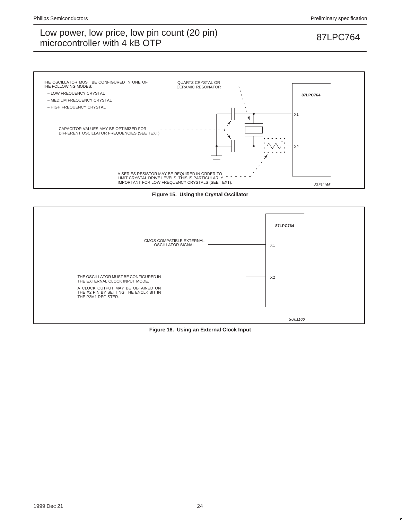

**Figure 15. Using the Crystal Oscillator**



**Figure 16. Using an External Clock Input**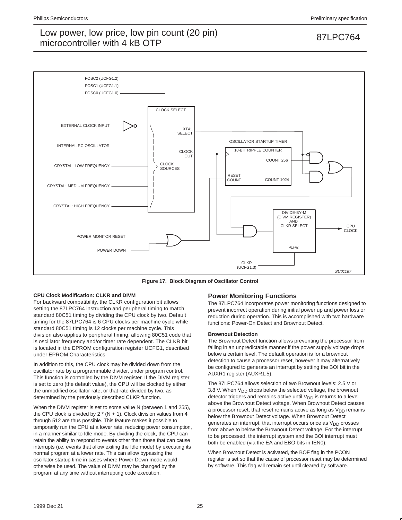

**Figure 17. Block Diagram of Oscillator Control**

## **CPU Clock Modification: CLKR and DIVM**

For backward compatibility, the CLKR configuration bit allows setting the 87LPC764 instruction and peripheral timing to match standard 80C51 timing by dividing the CPU clock by two. Default timing for the 87LPC764 is 6 CPU clocks per machine cycle while standard 80C51 timing is 12 clocks per machine cycle. This division also applies to peripheral timing, allowing 80C51 code that is oscillator frequency and/or timer rate dependent. The CLKR bit is located in the EPROM configuration register UCFG1, described under EPROM Characteristics

In addition to this, the CPU clock may be divided down from the oscillator rate by a programmable divider, under program control. This function is controlled by the DIVM register. If the DIVM register is set to zero (the default value), the CPU will be clocked by either the unmodified oscillator rate, or that rate divided by two, as determined by the previously described CLKR function.

When the DIVM register is set to some value N (between 1 and 255), the CPU clock is divided by  $2 * (N + 1)$ . Clock division values from 4 through 512 are thus possible. This feature makes it possible to temporarily run the CPU at a lower rate, reducing power consumption, in a manner similar to Idle mode. By dividing the clock, the CPU can retain the ability to respond to events other than those that can cause interrupts (i.e. events that allow exiting the Idle mode) by executing its normal program at a lower rate. This can allow bypassing the oscillator startup time in cases where Power Down mode would otherwise be used. The value of DIVM may be changed by the program at any time without interrupting code execution.

## **Power Monitoring Functions**

The 87LPC764 incorporates power monitoring functions designed to prevent incorrect operation during initial power up and power loss or reduction during operation. This is accomplished with two hardware functions: Power-On Detect and Brownout Detect.

### **Brownout Detection**

The Brownout Detect function allows preventing the processor from failing in an unpredictable manner if the power supply voltage drops below a certain level. The default operation is for a brownout detection to cause a processor reset, however it may alternatively be configured to generate an interrupt by setting the BOI bit in the AUXR1 register (AUXR1.5).

The 87LPC764 allows selection of two Brownout levels: 2.5 V or 3.8 V. When  $V_{DD}$  drops below the selected voltage, the brownout detector triggers and remains active until  $V_{DD}$  is returns to a level above the Brownout Detect voltage. When Brownout Detect causes a processor reset, that reset remains active as long as  $V_{DD}$  remains below the Brownout Detect voltage. When Brownout Detect generates an interrupt, that interrupt occurs once as  $V_{DD}$  crosses from above to below the Brownout Detect voltage. For the interrupt to be processed, the interrupt system and the BOI interrupt must both be enabled (via the EA and EBO bits in IEN0).

When Brownout Detect is activated, the BOF flag in the PCON register is set so that the cause of processor reset may be determined by software. This flag will remain set until cleared by software.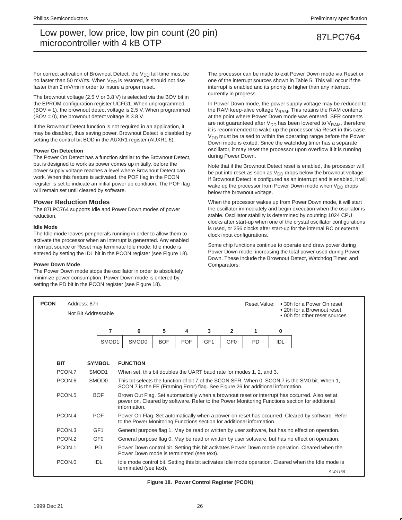For correct activation of Brownout Detect, the  $V_{DD}$  fall time must be no faster than 50 mV/ $\mu$ s. When V<sub>DD</sub> is restored, is should not rise faster than 2 mV/µs in order to insure a proper reset.

The brownout voltage (2.5 V or 3.8 V) is selected via the BOV bit in the EPROM configuration register UCFG1. When unprogrammed (BOV = 1), the brownout detect voltage is 2.5 V. When programmed  $(BOV = 0)$ , the brownout detect voltage is 3.8 V.

If the Brownout Detect function is not required in an application, it may be disabled, thus saving power. Brownout Detect is disabled by setting the control bit BOD in the AUXR1 register (AUXR1.6).

## **Power On Detection**

The Power On Detect has a function similar to the Brownout Detect, but is designed to work as power comes up initially, before the power supply voltage reaches a level where Brownout Detect can work. When this feature is activated, the POF flag in the PCON register is set to indicate an initial power up condition. The POF flag will remain set until cleared by software.

## **Power Reduction Modes**

The 87LPC764 supports Idle and Power Down modes of power reduction.

## **Idle Mode**

The Idle mode leaves peripherals running in order to allow them to activate the processor when an interrupt is generated. Any enabled interrupt source or Reset may terminate Idle mode. Idle mode is entered by setting the IDL bit in the PCON register (see Figure 18).

## **Power Down Mode**

The Power Down mode stops the oscillator in order to absolutely minimize power consumption. Power Down mode is entered by setting the PD bit in the PCON register (see Figure 18).

The processor can be made to exit Power Down mode via Reset or one of the interrupt sources shown in Table 5. This will occur if the interrupt is enabled and its priority is higher than any interrupt currently in progress.

In Power Down mode, the power supply voltage may be reduced to the RAM keep-alive voltage  $V_{RAM}$ . This retains the RAM contents at the point where Power Down mode was entered. SFR contents are not guaranteed after  $V_{DD}$  has been lowered to  $V_{RAM}$ , therefore it is recommended to wake up the processor via Reset in this case. V<sub>DD</sub> must be raised to within the operating range before the Power Down mode is exited. Since the watchdog timer has a separate oscillator, it may reset the processor upon overflow if it is running during Power Down.

Note that if the Brownout Detect reset is enabled, the processor will be put into reset as soon as  $V_{DD}$  drops below the brownout voltage. If Brownout Detect is configured as an interrupt and is enabled, it will wake up the processor from Power Down mode when  $V_{DD}$  drops below the brownout voltage.

When the processor wakes up from Power Down mode, it will start the oscillator immediately and begin execution when the oscillator is stable. Oscillator stability is determined by counting 1024 CPU clocks after start-up when one of the crystal oscillator configurations is used, or 256 clocks after start-up for the internal RC or external clock input configurations.

Some chip functions continue to operate and draw power during Power Down mode, increasing the total power used during Power Down. These include the Brownout Detect, Watchdog Timer, and Comparators.

| <b>PCON</b> | Address: 87h       | Not Bit Addressable |       |                                                                                                                                             |            | Reset Value: • 30h for a Power On reset<br>• 20h for a Brownout reset<br>• 00h for other reset sources |                 |                 |           |     |                                                                                                                                                                                                 |  |
|-------------|--------------------|---------------------|-------|---------------------------------------------------------------------------------------------------------------------------------------------|------------|--------------------------------------------------------------------------------------------------------|-----------------|-----------------|-----------|-----|-------------------------------------------------------------------------------------------------------------------------------------------------------------------------------------------------|--|
|             |                    |                     | 7     | 6                                                                                                                                           | 5          | 4                                                                                                      | 3               | $\overline{2}$  | 1         | 0   |                                                                                                                                                                                                 |  |
|             |                    |                     | SMOD1 | SMOD <sub>0</sub>                                                                                                                           | <b>BOF</b> | <b>POF</b>                                                                                             | GF <sub>1</sub> | GF <sub>0</sub> | <b>PD</b> | IDL |                                                                                                                                                                                                 |  |
| <b>BIT</b>  |                    | <b>SYMBOL</b>       |       | <b>FUNCTION</b>                                                                                                                             |            |                                                                                                        |                 |                 |           |     |                                                                                                                                                                                                 |  |
|             | PCON.7             | SMOD <sub>1</sub>   |       | When set, this bit doubles the UART baud rate for modes 1, 2, and 3.                                                                        |            |                                                                                                        |                 |                 |           |     |                                                                                                                                                                                                 |  |
|             | PCON.6             | SMOD <sub>0</sub>   |       | SCON.7 is the FE (Framing Error) flag. See Figure 26 for additional information.                                                            |            |                                                                                                        |                 |                 |           |     | This bit selects the function of bit 7 of the SCON SFR. When 0, SCON.7 is the SM0 bit. When 1,                                                                                                  |  |
|             | PCON <sub>.5</sub> | <b>BOF</b>          |       | information.                                                                                                                                |            |                                                                                                        |                 |                 |           |     | Brown Out Flag. Set automatically when a brownout reset or interrupt has occurred. Also set at<br>power on. Cleared by software. Refer to the Power Monitoring Functions section for additional |  |
|             | PCON.4             | <b>POF</b>          |       | to the Power Monitoring Functions section for additional information.                                                                       |            |                                                                                                        |                 |                 |           |     | Power On Flag. Set automatically when a power-on reset has occurred. Cleared by software. Refer                                                                                                 |  |
|             | PCON.3             | GF <sub>1</sub>     |       |                                                                                                                                             |            |                                                                                                        |                 |                 |           |     | General purpose flag 1. May be read or written by user software, but has no effect on operation.                                                                                                |  |
|             | PCON.2             | GF <sub>0</sub>     |       |                                                                                                                                             |            |                                                                                                        |                 |                 |           |     | General purpose flag 0. May be read or written by user software, but has no effect on operation.                                                                                                |  |
|             | PCON.1             | <b>PD</b>           |       | Power Down control bit. Setting this bit activates Power Down mode operation. Cleared when the<br>Power Down mode is terminated (see text). |            |                                                                                                        |                 |                 |           |     |                                                                                                                                                                                                 |  |
|             | PCON.0             | <b>IDL</b>          |       | Idle mode control bit. Setting this bit activates Idle mode operation. Cleared when the Idle mode is<br>terminated (see text).<br>SU01168   |            |                                                                                                        |                 |                 |           |     |                                                                                                                                                                                                 |  |

**Figure 18. Power Control Register (PCON)**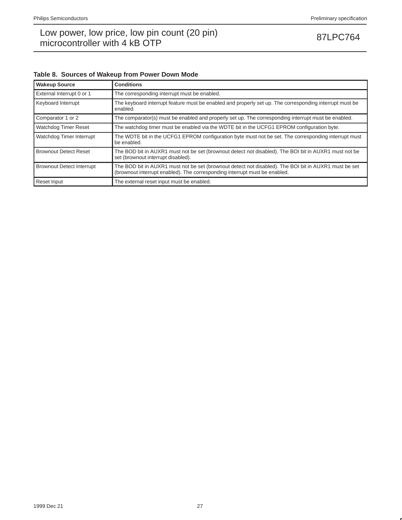| Table 8. Sources of Wakeup from Power Down Mode |  |  |  |
|-------------------------------------------------|--|--|--|
|                                                 |  |  |  |

| <b>Wakeup Source</b>             | <b>Conditions</b>                                                                                                                                                                   |
|----------------------------------|-------------------------------------------------------------------------------------------------------------------------------------------------------------------------------------|
| External Interrupt 0 or 1        | The corresponding interrupt must be enabled.                                                                                                                                        |
| Keyboard Interrupt               | The keyboard interrupt feature must be enabled and properly set up. The corresponding interrupt must be<br>enabled.                                                                 |
| Comparator 1 or 2                | The comparator(s) must be enabled and properly set up. The corresponding interrupt must be enabled.                                                                                 |
| Watchdog Timer Reset             | The watchdog timer must be enabled via the WDTE bit in the UCFG1 EPROM configuration byte.                                                                                          |
| Watchdog Timer Interrupt         | The WDTE bit in the UCFG1 EPROM configuration byte must not be set. The corresponding interrupt must<br>be enabled.                                                                 |
| <b>Brownout Detect Reset</b>     | The BOD bit in AUXR1 must not be set (brownout detect not disabled). The BOI bit in AUXR1 must not be<br>set (brownout interrupt disabled).                                         |
| <b>Brownout Detect Interrupt</b> | The BOD bit in AUXR1 must not be set (brownout detect not disabled). The BOI bit in AUXR1 must be set<br>(brownout interrupt enabled). The corresponding interrupt must be enabled. |
| Reset Input                      | The external reset input must be enabled.                                                                                                                                           |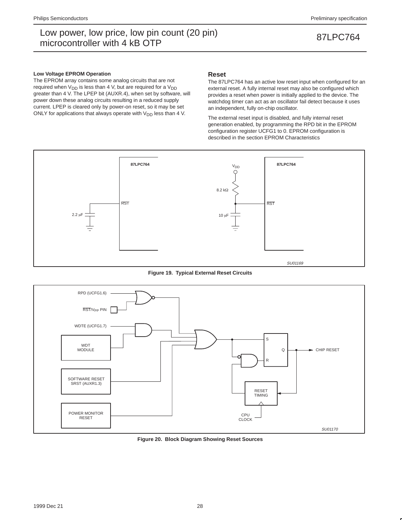### **Low Voltage EPROM Operation**

The EPROM array contains some analog circuits that are not required when  $V_{DD}$  is less than 4 V, but are required for a  $V_{DD}$ greater than 4 V. The LPEP bit (AUXR.4), when set by software, will power down these analog circuits resulting in a reduced supply current. LPEP is cleared only by power-on reset, so it may be set ONLY for applications that always operate with  $V_{DD}$  less than 4 V.

## **Reset**

The 87LPC764 has an active low reset input when configured for an external reset. A fully internal reset may also be configured which provides a reset when power is initially applied to the device. The watchdog timer can act as an oscillator fail detect because it uses an independent, fully on-chip oscillator.

The external reset input is disabled, and fully internal reset generation enabled, by programming the RPD bit in the EPROM configuration register UCFG1 to 0. EPROM configuration is described in the section EPROM Characteristics



**Figure 19. Typical External Reset Circuits**



**Figure 20. Block Diagram Showing Reset Sources**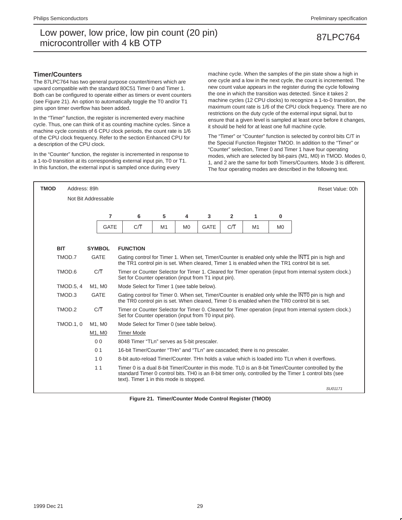## **Timer/Counters**

The 87LPC764 has two general purpose counter/timers which are upward compatible with the standard 80C51 Timer 0 and Timer 1. Both can be configured to operate either as timers or event counters (see Figure 21). An option to automatically toggle the T0 and/or T1 pins upon timer overflow has been added.

In the "Timer" function, the register is incremented every machine cycle. Thus, one can think of it as counting machine cycles. Since a machine cycle consists of 6 CPU clock periods, the count rate is 1/6 of the CPU clock frequency. Refer to the section Enhanced CPU for a description of the CPU clock.

In the "Counter" function, the register is incremented in response to a 1-to-0 transition at its corresponding external input pin, T0 or T1. In this function, the external input is sampled once during every

machine cycle. When the samples of the pin state show a high in one cycle and a low in the next cycle, the count is incremented. The new count value appears in the register during the cycle following the one in which the transition was detected. Since it takes 2 machine cycles (12 CPU clocks) to recognize a 1-to-0 transition, the maximum count rate is 1/6 of the CPU clock frequency. There are no restrictions on the duty cycle of the external input signal, but to ensure that a given level is sampled at least once before it changes, it should be held for at least one full machine cycle.

The "Timer" or "Counter" function is selected by control bits C/T in the Special Function Register TMOD. In addition to the "Timer" or "Counter" selection, Timer 0 and Timer 1 have four operating modes, which are selected by bit-pairs (M1, M0) in TMOD. Modes 0, 1, and 2 are the same for both Timers/Counters. Mode 3 is different. The four operating modes are described in the following text.

| <b>TMOD</b> | Address: 89h     |                     |                                                                           |                                                                                                                                                                                                     |                |             |              |    |                | Reset Value: 00h                                                                                                                                                                                              |  |  |  |
|-------------|------------------|---------------------|---------------------------------------------------------------------------|-----------------------------------------------------------------------------------------------------------------------------------------------------------------------------------------------------|----------------|-------------|--------------|----|----------------|---------------------------------------------------------------------------------------------------------------------------------------------------------------------------------------------------------------|--|--|--|
|             |                  | Not Bit Addressable |                                                                           |                                                                                                                                                                                                     |                |             |              |    |                |                                                                                                                                                                                                               |  |  |  |
|             |                  | $\overline{7}$      | 6                                                                         | 5                                                                                                                                                                                                   | 4              | 3           | $\mathbf{2}$ | 1  | $\bf{0}$       |                                                                                                                                                                                                               |  |  |  |
|             |                  | <b>GATE</b>         | СĀ                                                                        | M1                                                                                                                                                                                                  | M <sub>0</sub> | <b>GATE</b> | СĀ           | M1 | M <sub>0</sub> |                                                                                                                                                                                                               |  |  |  |
|             |                  |                     |                                                                           |                                                                                                                                                                                                     |                |             |              |    |                |                                                                                                                                                                                                               |  |  |  |
| <b>BIT</b>  |                  | <b>SYMBOL</b>       | <b>FUNCTION</b>                                                           |                                                                                                                                                                                                     |                |             |              |    |                |                                                                                                                                                                                                               |  |  |  |
|             | TMOD.7           | <b>GATE</b>         |                                                                           | Gating control for Timer 1. When set, Timer/Counter is enabled only while the INT1 pin is high and<br>the TR1 control pin is set. When cleared, Timer 1 is enabled when the TR1 control bit is set. |                |             |              |    |                |                                                                                                                                                                                                               |  |  |  |
|             | TMOD.6           | C/T                 |                                                                           | Timer or Counter Selector for Timer 1. Cleared for Timer operation (input from internal system clock.)<br>Set for Counter operation (input from T1 input pin).                                      |                |             |              |    |                |                                                                                                                                                                                                               |  |  |  |
|             | <b>TMOD.5, 4</b> | M1. M0              |                                                                           | Mode Select for Timer 1 (see table below).                                                                                                                                                          |                |             |              |    |                |                                                                                                                                                                                                               |  |  |  |
|             | TMOD.3           | <b>GATE</b>         |                                                                           |                                                                                                                                                                                                     |                |             |              |    |                | Gating control for Timer 0. When set, Timer/Counter is enabled only while the INTO pin is high and<br>the TR0 control pin is set. When cleared, Timer 0 is enabled when the TR0 control bit is set.           |  |  |  |
|             | TMOD.2           | C/T                 | Set for Counter operation (input from T0 input pin).                      |                                                                                                                                                                                                     |                |             |              |    |                | Timer or Counter Selector for Timer 0. Cleared for Timer operation (input from internal system clock.)                                                                                                        |  |  |  |
|             | <b>TMOD.1.0</b>  | M1. M0              | Mode Select for Timer 0 (see table below).                                |                                                                                                                                                                                                     |                |             |              |    |                |                                                                                                                                                                                                               |  |  |  |
|             |                  | M1, M0              | <b>Timer Mode</b>                                                         |                                                                                                                                                                                                     |                |             |              |    |                |                                                                                                                                                                                                               |  |  |  |
|             |                  | 0 <sub>0</sub>      | 8048 Timer "TLn" serves as 5-bit prescaler.                               |                                                                                                                                                                                                     |                |             |              |    |                |                                                                                                                                                                                                               |  |  |  |
|             |                  | 0 <sub>1</sub>      | 16-bit Timer/Counter "THn" and "TLn" are cascaded; there is no prescaler. |                                                                                                                                                                                                     |                |             |              |    |                |                                                                                                                                                                                                               |  |  |  |
|             |                  | 10                  |                                                                           | 8-bit auto-reload Timer/Counter. THn holds a value which is loaded into TLn when it overflows.                                                                                                      |                |             |              |    |                |                                                                                                                                                                                                               |  |  |  |
|             |                  | 11                  | text). Timer 1 in this mode is stopped.                                   |                                                                                                                                                                                                     |                |             |              |    |                | Timer 0 is a dual 8-bit Timer/Counter in this mode. TL0 is an 8-bit Timer/Counter controlled by the<br>standard Timer 0 control bits. THO is an 8-bit timer only, controlled by the Timer 1 control bits (see |  |  |  |
|             |                  |                     |                                                                           |                                                                                                                                                                                                     |                |             |              |    |                | SLI01171                                                                                                                                                                                                      |  |  |  |

**Figure 21. Timer/Counter Mode Control Register (TMOD)**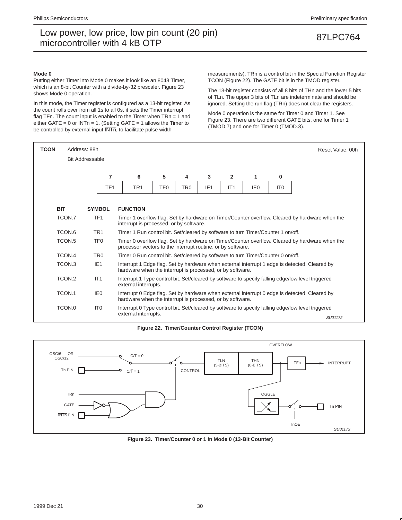### **Mode 0**

Putting either Timer into Mode 0 makes it look like an 8048 Timer, which is an 8-bit Counter with a divide-by-32 prescaler. Figure 23 shows Mode 0 operation.

In this mode, the Timer register is configured as a 13-bit register. As the count rolls over from all 1s to all 0s, it sets the Timer interrupt flag TFn. The count input is enabled to the Timer when TRn = 1 and either GATE = 0 or  $\overline{\text{INTn}}$  = 1. (Setting GATE = 1 allows the Timer to be controlled by external input  $\overline{\text{INTn}}$ , to facilitate pulse width

measurements). TRn is a control bit in the Special Function Register TCON (Figure 22). The GATE bit is in the TMOD register.

The 13-bit register consists of all 8 bits of THn and the lower 5 bits of TLn. The upper 3 bits of TLn are indeterminate and should be ignored. Setting the run flag (TRn) does not clear the registers.

Mode 0 operation is the same for Timer 0 and Timer 1. See Figure 23. There are two different GATE bits, one for Timer 1 (TMOD.7) and one for Timer 0 (TMOD.3).

| <b>TCON</b> | Address: 88h           |                 |                 |                                                                                                                                                            |                 |                 |                 |                |                 |                 | Reset Value: 00h                                                                                             |  |
|-------------|------------------------|-----------------|-----------------|------------------------------------------------------------------------------------------------------------------------------------------------------------|-----------------|-----------------|-----------------|----------------|-----------------|-----------------|--------------------------------------------------------------------------------------------------------------|--|
|             | <b>Bit Addressable</b> |                 |                 |                                                                                                                                                            |                 |                 |                 |                |                 |                 |                                                                                                              |  |
|             |                        |                 |                 |                                                                                                                                                            |                 |                 |                 |                |                 |                 |                                                                                                              |  |
|             |                        |                 | 7               | 6                                                                                                                                                          | 5               | 4               | 3               | $\overline{2}$ | 1               | 0               |                                                                                                              |  |
|             |                        |                 | TF <sub>1</sub> | TR <sub>1</sub>                                                                                                                                            | TF <sub>0</sub> | TR <sub>0</sub> | IE <sub>1</sub> | IT1            | IE <sub>0</sub> | IT <sub>0</sub> |                                                                                                              |  |
|             |                        |                 |                 |                                                                                                                                                            |                 |                 |                 |                |                 |                 |                                                                                                              |  |
| <b>BIT</b>  |                        | <b>SYMBOL</b>   |                 | <b>FUNCTION</b>                                                                                                                                            |                 |                 |                 |                |                 |                 |                                                                                                              |  |
|             | TCON.7                 | TF <sub>1</sub> |                 | Timer 1 overflow flag. Set by hardware on Timer/Counter overflow. Cleared by hardware when the<br>interrupt is processed, or by software.                  |                 |                 |                 |                |                 |                 |                                                                                                              |  |
|             | TCON.6                 | TR <sub>1</sub> |                 | Timer 1 Run control bit. Set/cleared by software to turn Timer/Counter 1 on/off.                                                                           |                 |                 |                 |                |                 |                 |                                                                                                              |  |
|             | TCON.5                 | TF <sub>0</sub> |                 | processor vectors to the interrupt routine, or by software.                                                                                                |                 |                 |                 |                |                 |                 | Timer 0 overflow flag. Set by hardware on Timer/Counter overflow. Cleared by hardware when the               |  |
|             | TCON.4                 | TR <sub>0</sub> |                 | Timer 0 Run control bit. Set/cleared by software to turn Timer/Counter 0 on/off.                                                                           |                 |                 |                 |                |                 |                 |                                                                                                              |  |
|             | TCON.3                 | IE <sub>1</sub> |                 | hardware when the interrupt is processed, or by software.                                                                                                  |                 |                 |                 |                |                 |                 | Interrupt 1 Edge flag. Set by hardware when external interrupt 1 edge is detected. Cleared by                |  |
|             | TCON.2                 | IT1             |                 | external interrupts.                                                                                                                                       |                 |                 |                 |                |                 |                 | Interrupt 1 Type control bit. Set/cleared by software to specify falling edge/low level triggered            |  |
|             | TCON.1                 | IE <sub>0</sub> |                 | Interrupt 0 Edge flag. Set by hardware when external interrupt 0 edge is detected. Cleared by<br>hardware when the interrupt is processed, or by software. |                 |                 |                 |                |                 |                 |                                                                                                              |  |
|             | TCON.0                 | IT <sub>0</sub> |                 | external interrupts.                                                                                                                                       |                 |                 |                 |                |                 |                 | Interrupt 0 Type control bit. Set/cleared by software to specify falling edge/low level triggered<br>SU01172 |  |

**Figure 22. Timer/Counter Control Register (TCON)**



**Figure 23. Timer/Counter 0 or 1 in Mode 0 (13-Bit Counter)**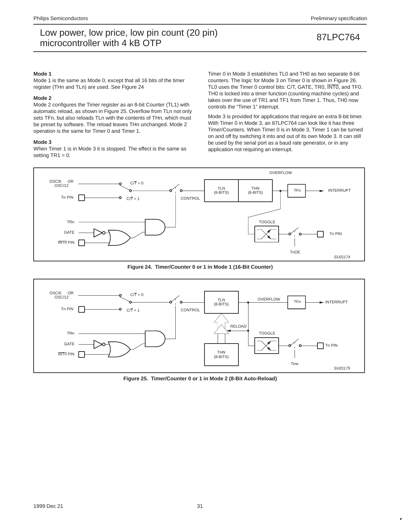### **Mode 1**

Mode 1 is the same as Mode 0, except that all 16 bits of the timer register (THn and TLn) are used. See Figure 24

### **Mode 2**

Mode 2 configures the Timer register as an 8-bit Counter (TL1) with automatic reload, as shown in Figure 25. Overflow from TLn not only sets TFn, but also reloads TLn with the contents of THn, which must be preset by software. The reload leaves THn unchanged. Mode 2 operation is the same for Timer 0 and Timer 1.

### **Mode 3**

When Timer 1 is in Mode 3 it is stopped. The effect is the same as setting  $TR1 = 0$ .

Timer 0 in Mode 3 establishes TL0 and TH0 as two separate 8-bit counters. The logic for Mode 3 on Timer 0 is shown in Figure 26. TL0 uses the Timer 0 control bits: C/T, GATE, TR0, INT0, and TF0. TH0 is locked into a timer function (counting machine cycles) and takes over the use of TR1 and TF1 from Timer 1. Thus, TH0 now controls the "Timer 1" interrupt.

Mode 3 is provided for applications that require an extra 8-bit timer. With Timer 0 in Mode 3, an 87LPC764 can look like it has three Timer/Counters. When Timer 0 is in Mode 3, Timer 1 can be turned on and off by switching it into and out of its own Mode 3. It can still be used by the serial port as a baud rate generator, or in any application not requiring an interrupt.



**Figure 24. Timer/Counter 0 or 1 in Mode 1 (16-Bit Counter)**



**Figure 25. Timer/Counter 0 or 1 in Mode 2 (8-Bit Auto-Reload)**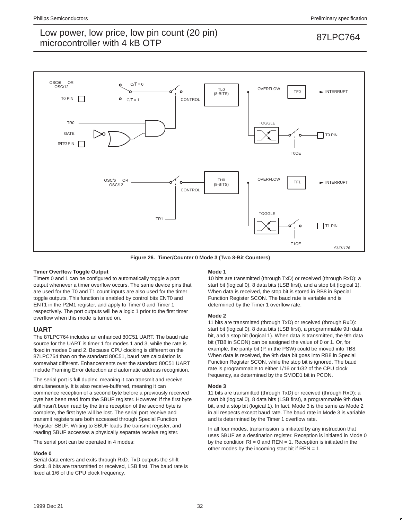

**Figure 26. Timer/Counter 0 Mode 3 (Two 8-Bit Counters)**

## **Timer Overflow Toggle Output**

Timers 0 and 1 can be configured to automatically toggle a port output whenever a timer overflow occurs. The same device pins that are used for the T0 and T1 count inputs are also used for the timer toggle outputs. This function is enabled by control bits ENT0 and ENT1 in the P2M1 register, and apply to Timer 0 and Timer 1 respectively. The port outputs will be a logic 1 prior to the first timer overflow when this mode is turned on.

## **UART**

The 87LPC764 includes an enhanced 80C51 UART. The baud rate source for the UART is timer 1 for modes 1 and 3, while the rate is fixed in modes 0 and 2. Because CPU clocking is different on the 87LPC764 than on the standard 80C51, baud rate calculation is somewhat different. Enhancements over the standard 80C51 UART include Framing Error detection and automatic address recognition.

The serial port is full duplex, meaning it can transmit and receive simultaneously. It is also receive-buffered, meaning it can commence reception of a second byte before a previously received byte has been read from the SBUF register. However, if the first byte still hasn't been read by the time reception of the second byte is complete, the first byte will be lost. The serial port receive and transmit registers are both accessed through Special Function Register SBUF. Writing to SBUF loads the transmit register, and reading SBUF accesses a physically separate receive register.

The serial port can be operated in 4 modes:

## **Mode 0**

Serial data enters and exits through RxD. TxD outputs the shift clock. 8 bits are transmitted or received, LSB first. The baud rate is fixed at 1/6 of the CPU clock frequency.

## **Mode 1**

10 bits are transmitted (through TxD) or received (through RxD): a start bit (logical 0), 8 data bits (LSB first), and a stop bit (logical 1). When data is received, the stop bit is stored in RB8 in Special Function Register SCON. The baud rate is variable and is determined by the Timer 1 overflow rate.

## **Mode 2**

11 bits are transmitted (through TxD) or received (through RxD): start bit (logical 0), 8 data bits (LSB first), a programmable 9th data bit, and a stop bit (logical 1). When data is transmitted, the 9th data bit (TB8 in SCON) can be assigned the value of 0 or 1. Or, for example, the parity bit (P, in the PSW) could be moved into TB8. When data is received, the 9th data bit goes into RB8 in Special Function Register SCON, while the stop bit is ignored. The baud rate is programmable to either 1/16 or 1/32 of the CPU clock frequency, as determined by the SMOD1 bit in PCON.

## **Mode 3**

11 bits are transmitted (through TxD) or received (through RxD): a start bit (logical 0), 8 data bits (LSB first), a programmable 9th data bit, and a stop bit (logical 1). In fact, Mode 3 is the same as Mode 2 in all respects except baud rate. The baud rate in Mode 3 is variable and is determined by the Timer 1 overflow rate.

In all four modes, transmission is initiated by any instruction that uses SBUF as a destination register. Reception is initiated in Mode 0 by the condition  $RI = 0$  and  $REN = 1$ . Reception is initiated in the other modes by the incoming start bit if  $REN = 1$ .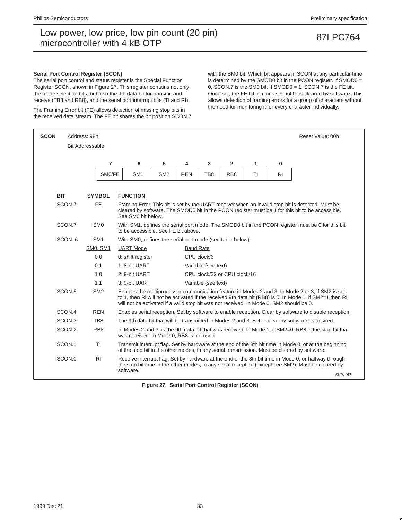### **Serial Port Control Register (SCON)**

The serial port control and status register is the Special Function Register SCON, shown in Figure 27. This register contains not only the mode selection bits, but also the 9th data bit for transmit and receive (TB8 and RB8), and the serial port interrupt bits (TI and RI).

The Framing Error bit (FE) allows detection of missing stop bits in the received data stream. The FE bit shares the bit position SCON.7 with the SM0 bit. Which bit appears in SCON at any particular time is determined by the SMOD0 bit in the PCON register. If SMOD0 = 0, SCON.7 is the SM0 bit. If SMOD0 = 1, SCON.7 is the FE bit. Once set, the FE bit remains set until it is cleared by software. This allows detection of framing errors for a group of characters without the need for monitoring it for every character individually.

| <b>SCON</b>          | Address: 98h               |                                       |                                                                                                                                          |                  |                     |                              |    |                | Reset Value: 00h                                                                                                                                                                                             |  |
|----------------------|----------------------------|---------------------------------------|------------------------------------------------------------------------------------------------------------------------------------------|------------------|---------------------|------------------------------|----|----------------|--------------------------------------------------------------------------------------------------------------------------------------------------------------------------------------------------------------|--|
|                      | <b>Bit Addressable</b>     |                                       |                                                                                                                                          |                  |                     |                              |    |                |                                                                                                                                                                                                              |  |
|                      |                            | $\overline{7}$<br>6                   | 5                                                                                                                                        | 4                | 3                   | $\overline{2}$               | 1  | $\bf{0}$       |                                                                                                                                                                                                              |  |
|                      |                            | SM0/FE<br>SM <sub>1</sub>             | SM <sub>2</sub>                                                                                                                          | <b>REN</b>       | TB <sub>8</sub>     | RB <sub>8</sub>              | TI | R <sub>1</sub> |                                                                                                                                                                                                              |  |
|                      |                            |                                       |                                                                                                                                          |                  |                     |                              |    |                |                                                                                                                                                                                                              |  |
| <b>BIT</b><br>SCON.7 | <b>SYMBOL</b><br><b>FE</b> | <b>FUNCTION</b><br>See SM0 bit below. |                                                                                                                                          |                  |                     |                              |    |                | Framing Error. This bit is set by the UART receiver when an invalid stop bit is detected. Must be<br>cleared by software. The SMOD0 bit in the PCON register must be 1 for this bit to be accessible.        |  |
| SCON.7               | SM <sub>0</sub>            |                                       | With SM1, defines the serial port mode. The SMOD0 bit in the PCON register must be 0 for this bit<br>to be accessible. See FE bit above. |                  |                     |                              |    |                |                                                                                                                                                                                                              |  |
| SCON, 6              | SM <sub>1</sub>            |                                       | With SM0, defines the serial port mode (see table below).                                                                                |                  |                     |                              |    |                |                                                                                                                                                                                                              |  |
|                      | SMO, SM1                   | <b>UART</b> Mode                      |                                                                                                                                          | <b>Baud Rate</b> |                     |                              |    |                |                                                                                                                                                                                                              |  |
|                      | 0 <sub>0</sub>             | 0: shift register                     |                                                                                                                                          |                  | CPU clock/6         |                              |    |                |                                                                                                                                                                                                              |  |
|                      | 0 <sub>1</sub>             | 1: 8-bit UART                         |                                                                                                                                          |                  | Variable (see text) |                              |    |                |                                                                                                                                                                                                              |  |
|                      | 10                         | 2: 9-bit UART                         |                                                                                                                                          |                  |                     | CPU clock/32 or CPU clock/16 |    |                |                                                                                                                                                                                                              |  |
|                      | 11                         | 3: 9-bit UART                         |                                                                                                                                          |                  | Variable (see text) |                              |    |                |                                                                                                                                                                                                              |  |
| SCON <sub>.5</sub>   | SM <sub>2</sub>            |                                       | will not be activated if a valid stop bit was not received. In Mode 0, SM2 should be 0.                                                  |                  |                     |                              |    |                | Enables the multiprocessor communication feature in Modes 2 and 3. In Mode 2 or 3, if SM2 is set<br>to 1, then RI will not be activated if the received 9th data bit (RB8) is 0. In Mode 1, if SM2=1 then RI |  |
| SCON.4               | <b>REN</b>                 |                                       |                                                                                                                                          |                  |                     |                              |    |                | Enables serial reception. Set by software to enable reception. Clear by software to disable reception.                                                                                                       |  |
| SCON.3               | TB8                        |                                       |                                                                                                                                          |                  |                     |                              |    |                | The 9th data bit that will be transmitted in Modes 2 and 3. Set or clear by software as desired.                                                                                                             |  |
| SCON.2               | RB <sub>8</sub>            |                                       | was received. In Mode 0, RB8 is not used.                                                                                                |                  |                     |                              |    |                | In Modes 2 and 3, is the 9th data bit that was received. In Mode 1, it SM2=0, RB8 is the stop bit that                                                                                                       |  |
| SCON.1               | <b>TI</b>                  |                                       |                                                                                                                                          |                  |                     |                              |    |                | Transmit interrupt flag. Set by hardware at the end of the 8th bit time in Mode 0, or at the beginning<br>of the stop bit in the other modes, in any serial transmission. Must be cleared by software.       |  |
| SCON.0               | R <sub>1</sub>             |                                       |                                                                                                                                          |                  |                     |                              |    |                | Receive interrupt flag. Set by hardware at the end of the 8th bit time in Mode 0, or halfway through<br>the stop bit time in the other modes, in any serial reception (except see SM2). Must be cleared by   |  |
|                      |                            | software.                             |                                                                                                                                          |                  |                     |                              |    |                | SU01157                                                                                                                                                                                                      |  |

**Figure 27. Serial Port Control Register (SCON)**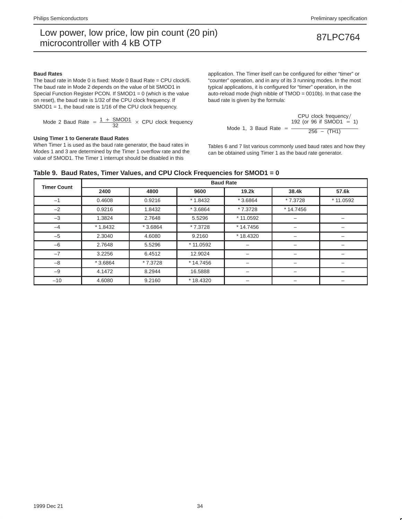### **Baud Rates**

The baud rate in Mode 0 is fixed: Mode 0 Baud Rate = CPU clock/6. The baud rate in Mode 2 depends on the value of bit SMOD1 in Special Function Register PCON. If SMOD1 = 0 (which is the value on reset), the baud rate is 1/32 of the CPU clock frequency. If SMOD1 = 1, the baud rate is 1/16 of the CPU clock frequency.

Mode 2 Baud Rate = 
$$
\frac{1 + \text{SMOD1}}{32} \times \text{CPU clock frequency}
$$

### **Using Timer 1 to Generate Baud Rates**

When Timer 1 is used as the baud rate generator, the baud rates in Modes 1 and 3 are determined by the Timer 1 overflow rate and the value of SMOD1. The Timer 1 interrupt should be disabled in this

application. The Timer itself can be configured for either "timer" or "counter" operation, and in any of its 3 running modes. In the most typical applications, it is configured for "timer" operation, in the auto-reload mode (high nibble of TMOD = 0010b). In that case the baud rate is given by the formula:

$$
CPU clock frequency/ \text{Mode 1, 3 Baud Rate} = \frac{192 (or 96 if SMOD1 = 1)}{256 - (TH1)}
$$

Tables 6 and 7 list various commonly used baud rates and how they can be obtained using Timer 1 as the baud rate generator.

## **Table 9. Baud Rates, Timer Values, and CPU Clock Frequencies for SMOD1 = 0**

| <b>Timer Count</b> | <b>Baud Rate</b> |           |           |            |                          |           |  |  |  |  |
|--------------------|------------------|-----------|-----------|------------|--------------------------|-----------|--|--|--|--|
|                    | 2400             | 4800      | 9600      | 19.2k      | 38.4k                    | 57.6k     |  |  |  |  |
| $-1$               | 0.4608           | 0.9216    | $*1.8432$ | $*3.6864$  | * 7.3728                 | * 11.0592 |  |  |  |  |
| $-2$               | 0.9216           | 1.8432    | $*3.6864$ | * 7.3728   | $*14.7456$               |           |  |  |  |  |
| $-3$               | 1.3824           | 2.7648    | 5.5296    | * 11.0592  | $\overline{\phantom{0}}$ |           |  |  |  |  |
| $-4$               | $*1.8432$        | $*3.6864$ | * 7.3728  | $*14.7456$ |                          |           |  |  |  |  |
| $-5$               | 2.3040           | 4.6080    | 9.2160    | *18.4320   | $\overline{\phantom{0}}$ |           |  |  |  |  |
| $-6$               | 2.7648           | 5.5296    | * 11.0592 |            | -                        |           |  |  |  |  |
| $-7$               | 3.2256           | 6.4512    | 12.9024   |            |                          |           |  |  |  |  |
| $-8$               | $*3.6864$        | * 7.3728  | * 14.7456 |            | -                        | -         |  |  |  |  |
| $-9$               | 4.1472           | 8.2944    | 16.5888   |            |                          |           |  |  |  |  |
| $-10$              | 4.6080           | 9.2160    | * 18.4320 |            | $\overline{\phantom{0}}$ | -         |  |  |  |  |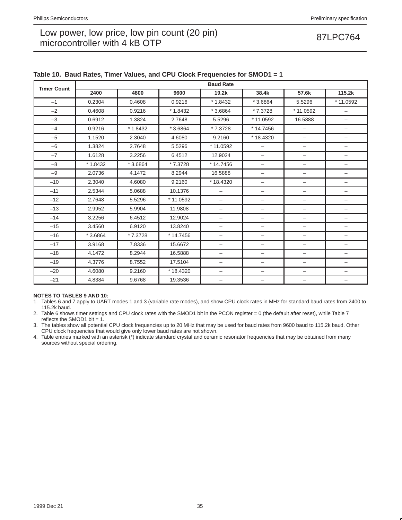| <b>Timer Count</b> |           |           |            | <b>Baud Rate</b>         |                          |                          |                          |
|--------------------|-----------|-----------|------------|--------------------------|--------------------------|--------------------------|--------------------------|
|                    | 2400      | 4800      | 9600       | 19.2k                    | 38.4k                    | 57.6k                    | 115.2k                   |
| $-1$               | 0.2304    | 0.4608    | 0.9216     | $*1.8432$                | $*3.6864$                | 5.5296                   | * 11.0592                |
| $-2$               | 0.4608    | 0.9216    | $*1.8432$  | $*3.6864$                | *7.3728                  | $*11.0592$               | $\qquad \qquad -$        |
| $-3$               | 0.6912    | 1.3824    | 2.7648     | 5.5296                   | * 11.0592                | 16.5888                  | -                        |
| $-4$               | 0.9216    | $*1.8432$ | $*3.6864$  | * 7.3728                 | *14.7456                 | $\qquad \qquad -$        | -                        |
| $-5$               | 1.1520    | 2.3040    | 4.6080     | 9.2160                   | *18.4320                 | $\overline{\phantom{m}}$ | —                        |
| $-6$               | 1.3824    | 2.7648    | 5.5296     | * 11.0592                | $\overline{\phantom{0}}$ | $\overline{\phantom{0}}$ | -                        |
| $-7$               | 1.6128    | 3.2256    | 6.4512     | 12.9024                  | $\qquad \qquad -$        | -                        | -                        |
| $-8$               | $*1.8432$ | $*3.6864$ | * 7.3728   | * 14.7456                | $\overline{\phantom{0}}$ | $\overline{\phantom{0}}$ | -                        |
| $-9$               | 2.0736    | 4.1472    | 8.2944     | 16.5888                  | $\overline{\phantom{0}}$ | $\overline{\phantom{m}}$ | -                        |
| $-10$              | 2.3040    | 4.6080    | 9.2160     | $*18.4320$               | $\overline{\phantom{0}}$ | $\overline{\phantom{m}}$ | $\overline{\phantom{0}}$ |
| $-11$              | 2.5344    | 5.0688    | 10.1376    | $\overline{\phantom{0}}$ | $\overline{\phantom{0}}$ | $\overline{\phantom{0}}$ | -                        |
| $-12$              | 2.7648    | 5.5296    | * 11.0592  | $\equiv$                 | $\overline{\phantom{0}}$ | $\qquad \qquad -$        | -                        |
| $-13$              | 2.9952    | 5.9904    | 11.9808    | $\qquad \qquad -$        | $\overline{\phantom{0}}$ | -                        | -                        |
| $-14$              | 3.2256    | 6.4512    | 12.9024    | $\overline{\phantom{0}}$ | $\qquad \qquad -$        | $\overline{\phantom{m}}$ | -                        |
| $-15$              | 3.4560    | 6.9120    | 13.8240    | $\overline{\phantom{0}}$ | $\overline{\phantom{0}}$ | $\qquad \qquad -$        | $\overline{\phantom{0}}$ |
| $-16$              | $*3.6864$ | * 7.3728  | $*14.7456$ | —                        | $\overline{\phantom{0}}$ | -                        | -                        |
| $-17$              | 3.9168    | 7.8336    | 15.6672    | $\qquad \qquad -$        | $\qquad \qquad -$        | -                        | -                        |
| $-18$              | 4.1472    | 8.2944    | 16.5888    | $\overline{\phantom{0}}$ | $\overline{\phantom{0}}$ | $\overline{\phantom{m}}$ | -                        |
| $-19$              | 4.3776    | 8.7552    | 17.5104    | $\overline{\phantom{0}}$ | $\overline{\phantom{0}}$ | $\overline{\phantom{m}}$ | -                        |
| $-20$              | 4.6080    | 9.2160    | * 18.4320  | $\qquad \qquad -$        | $\overline{\phantom{0}}$ | $\qquad \qquad -$        | -                        |
| $-21$              | 4.8384    | 9.6768    | 19.3536    | —                        | -                        |                          | -                        |

## **Table 10. Baud Rates, Timer Values, and CPU Clock Frequencies for SMOD1 = 1**

## **NOTES TO TABLES 9 AND 10:**

1. Tables 6 and 7 apply to UART modes 1 and 3 (variable rate modes), and show CPU clock rates in MHz for standard baud rates from 2400 to 115.2k baud.

2. Table 6 shows timer settings and CPU clock rates with the SMOD1 bit in the PCON register = 0 (the default after reset), while Table 7 reflects the SMOD1 bit =  $1$ .

3. The tables show all potential CPU clock frequencies up to 20 MHz that may be used for baud rates from 9600 baud to 115.2k baud. Other CPU clock frequencies that would give only lower baud rates are not shown.

4. Table entries marked with an asterisk (\*) indicate standard crystal and ceramic resonator frequencies that may be obtained from many sources without special ordering.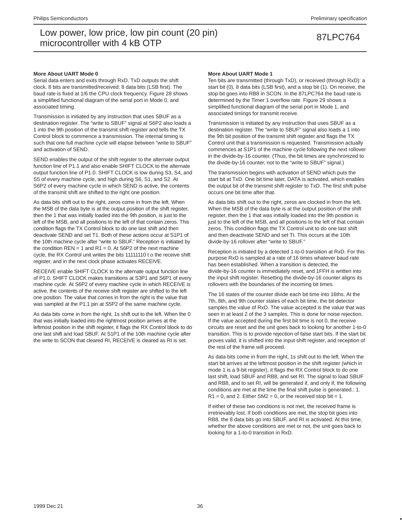### **More About UART Mode 0**

Serial data enters and exits through RxD. TxD outputs the shift clock. 8 bits are transmitted/received: 8 data bits (LSB first). The baud rate is fixed at 1/6 the CPU clock frequency. Figure 28 shows a simplified functional diagram of the serial port in Mode 0, and associated timing.

Transmission is initiated by any instruction that uses SBUF as a destination register. The "write to SBUF" signal at S6P2 also loads a 1 into the 9th position of the transmit shift register and tells the TX Control block to commence a transmission. The internal timing is such that one full machine cycle will elapse between "write to SBUF" and activation of SEND.

SEND enables the output of the shift register to the alternate output function line of P1.1 and also enable SHIFT CLOCK to the alternate output function line of P1.0. SHIFT CLOCK is low during S3, S4, and S5 of every machine cycle, and high during S6, S1, and S2. At S6P2 of every machine cycle in which SEND is active, the contents of the transmit shift are shifted to the right one position.

As data bits shift out to the right, zeros come in from the left. When the MSB of the data byte is at the output position of the shift register, then the 1 that was initially loaded into the 9th position, is just to the left of the MSB, and all positions to the left of that contain zeros. This condition flags the TX Control block to do one last shift and then deactivate SEND and set T1. Both of these actions occur at S1P1 of the 10th machine cycle after "write to SBUF." Reception is initiated by the condition  $REN = 1$  and  $R1 = 0$ . At S6P2 of the next machine cycle, the RX Control unit writes the bits 11111110 t o the receive shift register, and in the next clock phase activates RECEIVE.

RECEIVE enable SHIFT CLOCK to the alternate output function line of P1.0. SHIFT CLOCK makes transitions at S3P1 and S6P1 of every machine cycle. At S6P2 of every machine cycle in which RECEIVE is active, the contents of the receive shift register are shifted to the left one position. The value that comes in from the right is the value that was sampled at the P1.1 pin at S5P2 of the same machine cycle.

As data bits come in from the right, 1s shift out to the left. When the 0 that was initially loaded into the rightmost position arrives at the leftmost position in the shift register, it flags the RX Control block to do one last shift and load SBUF. At S1P1 of the 10th machine cycle after the write to SCON that cleared RI, RECEIVE is cleared as RI is set.

### **More About UART Mode 1**

Ten bits are transmitted (through TxD), or received (through RxD): a start bit (0), 8 data bits (LSB first), and a stop bit (1). On receive, the stop bit goes into RB8 in SCON. In the 87LPC764 the baud rate is determined by the Timer 1 overflow rate. Figure 29 shows a simplified functional diagram of the serial port in Mode 1, and associated timings for transmit receive.

Transmission is initiated by any instruction that uses SBUF as a destination register. The "write to SBUF" signal also loads a 1 into the 9th bit position of the transmit shift register and flags the TX Control unit that a transmission is requested. Transmission actually commences at S1P1 of the machine cycle following the next rollover in the divide-by-16 counter. (Thus, the bit times are synchronized to the divide-by-16 counter, not to the "write to SBUF" signal.)

The transmission begins with activation of SEND which puts the start bit at TxD. One bit time later, DATA is activated, which enables the output bit of the transmit shift register to TxD. The first shift pulse occurs one bit time after that.

As data bits shift out to the right, zeros are clocked in from the left. When the MSB of the data byte is at the output position of the shift register, then the 1 that was initially loaded into the 9th position is just to the left of the MSB, and all positions to the left of that contain zeros. This condition flags the TX Control unit to do one last shift and then deactivate SEND and set TI. This occurs at the 10th divide-by-16 rollover after "write to SBUF."

Reception is initiated by a detected 1-to-0 transition at RxD. For this purpose RxD is sampled at a rate of 16 times whatever baud rate has been established. When a transition is detected, the divide-by-16 counter is immediately reset, and 1FFH is written into the input shift register. Resetting the divide-by-16 counter aligns its rollovers with the boundaries of the incoming bit times.

The 16 states of the counter divide each bit time into 16ths. At the 7th, 8th, and 9th counter states of each bit time, the bit detector samples the value of RxD. The value accepted is the value that was seen in at least 2 of the 3 samples. This is done for noise rejection. If the value accepted during the first bit time is not 0, the receive circuits are reset and the unit goes back to looking for another 1-to-0 transition. This is to provide rejection of false start bits. If the start bit proves valid, it is shifted into the input shift register, and reception of the rest of the frame will proceed.

As data bits come in from the right, 1s shift out to the left. When the start bit arrives at the leftmost position in the shift register (which in mode 1 is a 9-bit register), it flags the RX Control block to do one last shift, load SBUF and RB8, and set RI. The signal to load SBUF and RB8, and to set RI, will be generated if, and only if, the following conditions are met at the time the final shift pulse is generated.: 1.  $R1 = 0$ , and 2. Either SM2 = 0, or the received stop bit = 1.

If either of these two conditions is not met, the received frame is irretrievably lost. If both conditions are met, the stop bit goes into RB8, the 8 data bits go into SBUF, and RI is activated. At this time, whether the above conditions are met or not, the unit goes back to looking for a 1-to-0 transition in RxD.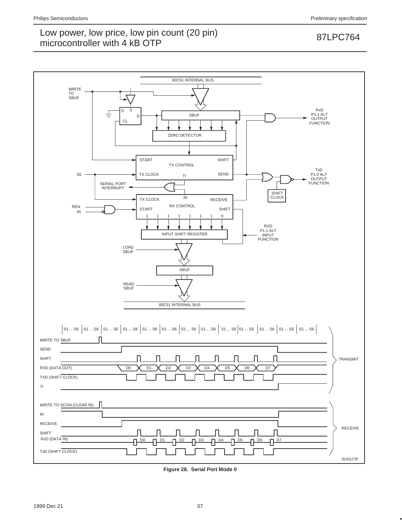

**Figure 28. Serial Port Mode 0**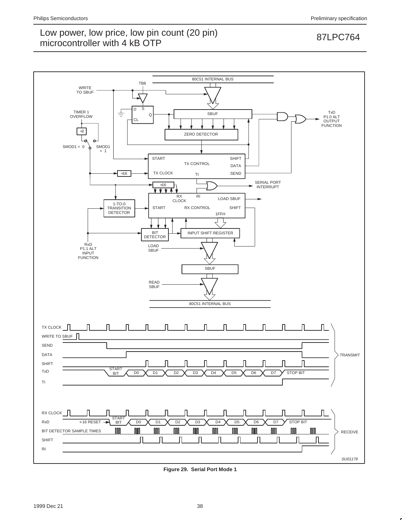

**Figure 29. Serial Port Mode 1**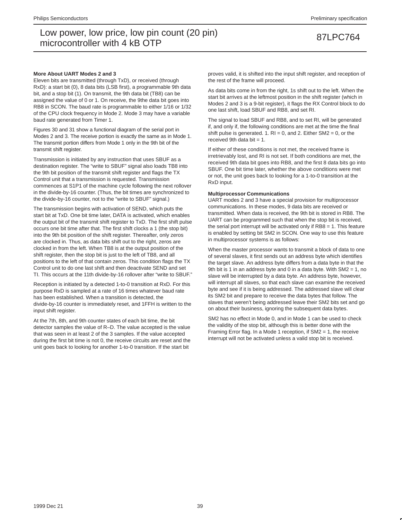### **More About UART Modes 2 and 3**

Eleven bits are transmitted (through TxD), or received (through RxD): a start bit (0), 8 data bits (LSB first), a programmable 9th data bit, and a stop bit (1). On transmit, the 9th data bit (TB8) can be assigned the value of 0 or 1. On receive, the 9the data bit goes into RB8 in SCON. The baud rate is programmable to either 1/16 or 1/32 of the CPU clock frequency in Mode 2. Mode 3 may have a variable baud rate generated from Timer 1.

Figures 30 and 31 show a functional diagram of the serial port in Modes 2 and 3. The receive portion is exactly the same as in Mode 1. The transmit portion differs from Mode 1 only in the 9th bit of the transmit shift register.

Transmission is initiated by any instruction that uses SBUF as a destination register. The "write to SBUF" signal also loads TB8 into the 9th bit position of the transmit shift register and flags the TX Control unit that a transmission is requested. Transmission commences at S1P1 of the machine cycle following the next rollover in the divide-by-16 counter. (Thus, the bit times are synchronized to the divide-by-16 counter, not to the "write to SBUF" signal.)

The transmission begins with activation of SEND, which puts the start bit at TxD. One bit time later, DATA is activated, which enables the output bit of the transmit shift register to TxD. The first shift pulse occurs one bit time after that. The first shift clocks a 1 (the stop bit) into the 9th bit position of the shift register. Thereafter, only zeros are clocked in. Thus, as data bits shift out to the right, zeros are clocked in from the left. When TB8 is at the output position of the shift register, then the stop bit is just to the left of TB8, and all positions to the left of that contain zeros. This condition flags the TX Control unit to do one last shift and then deactivate SEND and set TI. This occurs at the 11th divide-by-16 rollover after "write to SBUF."

Reception is initiated by a detected 1-to-0 transition at RxD. For this purpose RxD is sampled at a rate of 16 times whatever baud rate has been established. When a transition is detected, the divide-by-16 counter is immediately reset, and 1FFH is written to the input shift register.

At the 7th, 8th, and 9th counter states of each bit time, the bit detector samples the value of R–D. The value accepted is the value that was seen in at least 2 of the 3 samples. If the value accepted during the first bit time is not 0, the receive circuits are reset and the unit goes back to looking for another 1-to-0 transition. If the start bit

proves valid, it is shifted into the input shift register, and reception of the rest of the frame will proceed.

As data bits come in from the right, 1s shift out to the left. When the start bit arrives at the leftmost position in the shift register (which in Modes 2 and 3 is a 9-bit register), it flags the RX Control block to do one last shift, load SBUF and RB8, and set RI.

The signal to load SBUF and RB8, and to set RI, will be generated if, and only if, the following conditions are met at the time the final shift pulse is generated. 1.  $RI = 0$ , and 2. Either SM2 = 0, or the received 9th data bit  $= 1$ .

If either of these conditions is not met, the received frame is irretrievably lost, and RI is not set. If both conditions are met, the received 9th data bit goes into RB8, and the first 8 data bits go into SBUF. One bit time later, whether the above conditions were met or not, the unit goes back to looking for a 1-to-0 transition at the RxD input.

### **Multiprocessor Communications**

UART modes 2 and 3 have a special provision for multiprocessor communications. In these modes, 9 data bits are received or transmitted. When data is received, the 9th bit is stored in RB8. The UART can be programmed such that when the stop bit is received, the serial port interrupt will be activated only if RB8 = 1. This feature is enabled by setting bit SM2 in SCON. One way to use this feature in multiprocessor systems is as follows:

When the master processor wants to transmit a block of data to one of several slaves, it first sends out an address byte which identifies the target slave. An address byte differs from a data byte in that the 9th bit is 1 in an address byte and 0 in a data byte. With SM2 = 1, no slave will be interrupted by a data byte. An address byte, however, will interrupt all slaves, so that each slave can examine the received byte and see if it is being addressed. The addressed slave will clear its SM2 bit and prepare to receive the data bytes that follow. The slaves that weren't being addressed leave their SM2 bits set and go on about their business, ignoring the subsequent data bytes.

SM2 has no effect in Mode 0, and in Mode 1 can be used to check the validity of the stop bit, although this is better done with the Framing Error flag. In a Mode 1 reception, if SM2 = 1, the receive interrupt will not be activated unless a valid stop bit is received.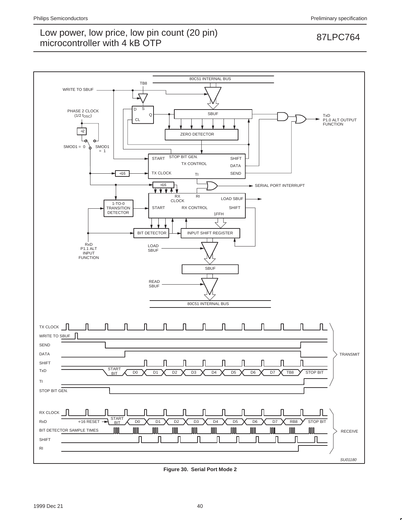

**Figure 30. Serial Port Mode 2**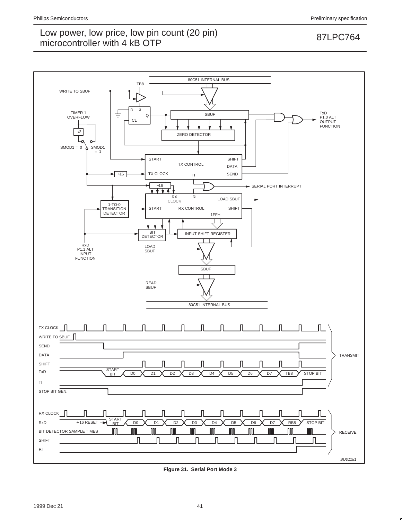

**Figure 31. Serial Port Mode 3**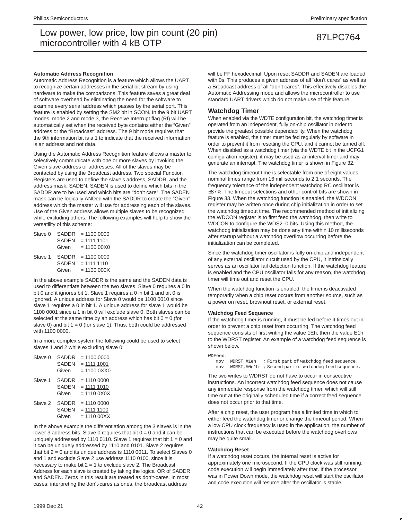### **Automatic Address Recognition**

Automatic Address Recognition is a feature which allows the UART to recognize certain addresses in the serial bit stream by using hardware to make the comparisons. This feature saves a great deal of software overhead by eliminating the need for the software to examine every serial address which passes by the serial port. This feature is enabled by setting the SM2 bit in SCON. In the 9 bit UART modes, mode 2 and mode 3, the Receive Interrupt flag (RI) will be automatically set when the received byte contains either the "Given" address or the "Broadcast" address. The 9 bit mode requires that the 9th information bit is a 1 to indicate that the received information is an address and not data.

Using the Automatic Address Recognition feature allows a master to selectively communicate with one or more slaves by invoking the Given slave address or addresses. All of the slaves may be contacted by using the Broadcast address. Two special Function Registers are used to define the slave's address, SADDR, and the address mask, SADEN. SADEN is used to define which bits in the SADDR are to be used and which bits are "don't care". The SADEN mask can be logically ANDed with the SADDR to create the "Given" address which the master will use for addressing each of the slaves. Use of the Given address allows multiple slaves to be recognized while excluding others. The following examples will help to show the versatility of this scheme:

| Slave 0 | <b>SADDR</b> | $= 11000000$  |
|---------|--------------|---------------|
|         | <b>SADEN</b> | $= 111111101$ |
|         | Given        | $= 110000000$ |
| Slave 1 | <b>SADDR</b> | $= 11000000$  |
|         | <b>SADEN</b> | $= 111111110$ |
|         | Given        | $= 11000000X$ |

In the above example SADDR is the same and the SADEN data is used to differentiate between the two slaves. Slave 0 requires a 0 in bit 0 and it ignores bit 1. Slave 1 requires a 0 in bit 1 and bit 0 is ignored. A unique address for Slave 0 would be 1100 0010 since slave 1 requires a 0 in bit 1. A unique address for slave 1 would be 1100 0001 since a 1 in bit 0 will exclude slave 0. Both slaves can be selected at the same time by an address which has bit  $0 = 0$  (for slave 0) and bit  $1 = 0$  (for slave 1). Thus, both could be addressed with 1100 0000

In a more complex system the following could be used to select slaves 1 and 2 while excluding slave 0:

| Slave 0 | <b>SADDR</b><br><b>SADEN</b><br>Given | $= 11000000$<br>$= 1111 1001$<br>$= 110000$    |
|---------|---------------------------------------|------------------------------------------------|
| Slave 1 | SADDR<br><b>SADEN</b><br>Given        | $= 11100000$<br>$= 1111 1010$<br>$= 111000X0X$ |
| Slave 2 | SADDR<br>SADEN<br>Given               | $= 11100000$<br>$= 1111 1100$<br>$= 1110000XX$ |

In the above example the differentiation among the 3 slaves is in the lower 3 address bits. Slave 0 requires that bit  $0 = 0$  and it can be uniquely addressed by 1110 0110. Slave 1 requires that bit  $1 = 0$  and it can be uniquely addressed by 1110 and 0101. Slave 2 requires that bit  $2 = 0$  and its unique address is 1110 0011. To select Slaves 0 and 1 and exclude Slave 2 use address 1110 0100, since it is necessary to make bit  $2 = 1$  to exclude slave 2. The Broadcast Address for each slave is created by taking the logical OR of SADDR and SADEN. Zeros in this result are treated as don't-cares. In most cases, interpreting the don't-cares as ones, the broadcast address

will be FF hexadecimal. Upon reset SADDR and SADEN are loaded with 0s. This produces a given address of all "don't cares" as well as a Broadcast address of all "don't cares". This effectively disables the Automatic Addressing mode and allows the microcontroller to use standard UART drivers which do not make use of this feature.

## **Watchdog Timer**

When enabled via the WDTE configuration bit, the watchdog timer is operated from an independent, fully on-chip oscillator in order to provide the greatest possible dependability. When the watchdog feature is enabled, the timer must be fed regularly by software in order to prevent it from resetting the CPU, and it cannot be turned off. When disabled as a watchdog timer (via the WDTE bit in the UCFG1 configuration register), it may be used as an interval timer and may generate an interrupt. The watchdog timer is shown in Figure 32.

The watchdog timeout time is selectable from one of eight values, nominal times range from 16 milliseconds to 2.1 seconds. The frequency tolerance of the independent watchdog RC oscillator is ±37%. The timeout selections and other control bits are shown in Figure 33. When the watchdog function is enabled, the WDCON register may be written once during chip initialization in order to set the watchdog timeout time. The recommended method of initializing the WDCON register is to first feed the watchdog, then write to WDCON to configure the WDS2–0 bits. Using this method, the watchdog initialization may be done any time within 10 milliseconds after startup without a watchdog overflow occurring before the initialization can be completed.

Since the watchdog timer oscillator is fully on-chip and independent of any external oscillator circuit used by the CPU, it intrinsically serves as an oscillator fail detection function. If the watchdog feature is enabled and the CPU oscillator fails for any reason, the watchdog timer will time out and reset the CPU.

When the watchdog function is enabled, the timer is deactivated temporarily when a chip reset occurs from another source, such as a power on reset, brownout reset, or external reset.

### **Watchdog Feed Sequence**

If the watchdog timer is running, it must be fed before it times out in order to prevent a chip reset from occurring. The watchdog feed sequence consists of first writing the value 1Eh, then the value E1h to the WDRST register. An example of a watchdog feed sequence is shown below.

```
WDFeed:
mov WDRST,#1eh ; First part of watchdog feed sequence.
 mov WDRST,#0e1h ; Second part of watchdog feed sequence.
```
The two writes to WDRST do not have to occur in consecutive instructions. An incorrect watchdog feed sequence does not cause any immediate response from the watchdog timer, which will still time out at the originally scheduled time if a correct feed sequence does not occur prior to that time.

After a chip reset, the user program has a limited time in which to either feed the watchdog timer or change the timeout period. When a low CPU clock frequency is used in the application, the number of instructions that can be executed before the watchdog overflows may be quite small.

## **Watchdog Reset**

If a watchdog reset occurs, the internal reset is active for approximately one microsecond. If the CPU clock was still running, code execution will begin immediately after that. If the processor was in Power Down mode, the watchdog reset will start the oscillator and code execution will resume after the oscillator is stable.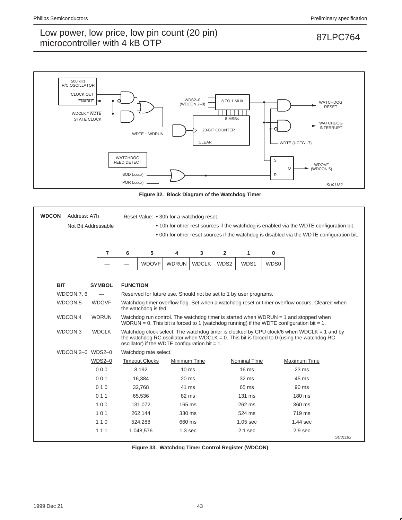

**Figure 32. Block Diagram of the Watchdog Timer**

| <b>WDCON</b><br>Address: A7h<br>Not Bit Addressable |               |                 | Reset Value: • 30h for a watchdog reset.<br>• 10h for other rest sources if the watchdog is enabled via the WDTE configuration bit.<br>. 00h for other reset sources if the watchdog is disabled via the WDTE configuration bit. |                                                                   |              |                |                     |      |                                                                                                                                                                                           |         |
|-----------------------------------------------------|---------------|-----------------|----------------------------------------------------------------------------------------------------------------------------------------------------------------------------------------------------------------------------------|-------------------------------------------------------------------|--------------|----------------|---------------------|------|-------------------------------------------------------------------------------------------------------------------------------------------------------------------------------------------|---------|
|                                                     | 7             | 6               | 5                                                                                                                                                                                                                                | 4                                                                 | 3            | $\overline{2}$ | 1                   | 0    |                                                                                                                                                                                           |         |
|                                                     |               |                 | <b>WDOVF</b>                                                                                                                                                                                                                     | <b>WDRUN</b>                                                      | <b>WDCLK</b> | WDS2           | WDS1                | WDS0 |                                                                                                                                                                                           |         |
| <b>BIT</b>                                          | <b>SYMBOL</b> | <b>FUNCTION</b> |                                                                                                                                                                                                                                  |                                                                   |              |                |                     |      |                                                                                                                                                                                           |         |
| WDCON.7, 6                                          |               |                 |                                                                                                                                                                                                                                  | Reserved for future use. Should not be set to 1 by user programs. |              |                |                     |      |                                                                                                                                                                                           |         |
| WDCON.5                                             | <b>WDOVF</b>  |                 | the watchdog is fed.                                                                                                                                                                                                             |                                                                   |              |                |                     |      | Watchdog timer overflow flag. Set when a watchdog reset or timer overflow occurs. Cleared when                                                                                            |         |
| WDCON.4                                             | <b>WDRUN</b>  |                 |                                                                                                                                                                                                                                  |                                                                   |              |                |                     |      | Watchdog run control. The watchdog timer is started when WDRUN $=$ 1 and stopped when<br>WDRUN = 0. This bit is forced to 1 (watchdog running) if the WDTE configuration bit = 1.         |         |
| WDCON.3                                             | <b>WDCLK</b>  |                 |                                                                                                                                                                                                                                  | oscillator) if the WDTE configuration bit = $1$ .                 |              |                |                     |      | Watchdog clock select. The watchdog timer is clocked by CPU clock/6 when WDCLK = 1 and by<br>the watchdog RC oscillator when WDCLK = $0$ . This bit is forced to 0 (using the watchdog RC |         |
| WDCON.2-0 WDS2-0                                    |               |                 | Watchdog rate select.                                                                                                                                                                                                            |                                                                   |              |                |                     |      |                                                                                                                                                                                           |         |
|                                                     | $WDS2-0$      |                 | <b>Timeout Clocks</b>                                                                                                                                                                                                            | Minimum Time                                                      |              |                | <b>Nominal Time</b> |      | Maximum Time                                                                                                                                                                              |         |
|                                                     | 000           |                 | 8.192                                                                                                                                                                                                                            | $10 \text{ ms}$                                                   |              |                | 16 <sub>ms</sub>    |      | $23 \text{ ms}$                                                                                                                                                                           |         |
|                                                     | 001           |                 | 16,384                                                                                                                                                                                                                           | $20 \text{ ms}$                                                   |              |                | $32 \text{ ms}$     |      | 45 ms                                                                                                                                                                                     |         |
|                                                     | 010           |                 | 32.768                                                                                                                                                                                                                           | 41 ms                                                             |              |                | 65 ms               |      | 90 ms                                                                                                                                                                                     |         |
|                                                     | 011           |                 | 65,536                                                                                                                                                                                                                           | 82 ms                                                             |              |                | 131 ms              |      | $180 \text{ ms}$                                                                                                                                                                          |         |
|                                                     | 100           |                 | 131.072                                                                                                                                                                                                                          | 165 ms                                                            |              |                | 262 ms              |      | 360 ms                                                                                                                                                                                    |         |
|                                                     | 101           |                 | 262,144                                                                                                                                                                                                                          | 330 ms                                                            |              |                | 524 ms              |      | 719 ms                                                                                                                                                                                    |         |
|                                                     | 110           |                 | 524,288                                                                                                                                                                                                                          | 660 ms                                                            |              |                | $1.05$ sec          |      | $1.44$ sec                                                                                                                                                                                |         |
|                                                     | 111           |                 | 1,048,576                                                                                                                                                                                                                        | 1.3 <sub>sec</sub>                                                |              |                | $2.1$ sec           |      | 2.9 <sub>sec</sub>                                                                                                                                                                        |         |
|                                                     |               |                 |                                                                                                                                                                                                                                  |                                                                   |              |                |                     |      |                                                                                                                                                                                           | SU01183 |

**Figure 33. Watchdog Timer Control Register (WDCON)**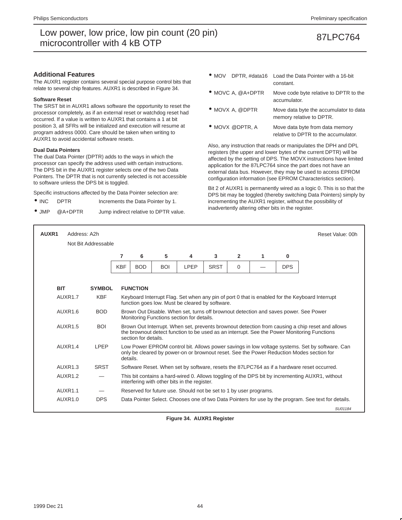## **Additional Features**

The AUXR1 register contains several special purpose control bits that relate to several chip features. AUXR1 is described in Figure 34.

### **Software Reset**

The SRST bit in AUXR1 allows software the opportunity to reset the processor completely, as if an external reset or watchdog reset had occurred. If a value is written to AUXR1 that contains a 1 at bit position 3, all SFRs will be initialized and execution will resume at program address 0000. Care should be taken when writing to AUXR1 to avoid accidental software resets.

### **Dual Data Pointers**

The dual Data Pointer (DPTR) adds to the ways in which the processor can specify the address used with certain instructions. The DPS bit in the AUXR1 register selects one of the two Data Pointers. The DPTR that is not currently selected is not accessible to software unless the DPS bit is toggled.

Specific instructions affected by the Data Pointer selection are:

- INC DPTR Increments the Data Pointer by 1.
- JMP @A+DPTR Jump indirect relative to DPTR value.
- MOV DPTR, #data16 Load the Data Pointer with a 16-bit constant.
- MOVC A, @A+DPTR Move code byte relative to DPTR to the accumulator.
- MOVX A, @DPTR Move data byte the accumulator to data memory relative to DPTR.
- MOVX @DPTR, A Move data byte from data memory relative to DPTR to the accumulator.

Also, any instruction that reads or manipulates the DPH and DPL registers (the upper and lower bytes of the current DPTR) will be affected by the setting of DPS. The MOVX instructions have limited application for the 87LPC764 since the part does not have an external data bus. However, they may be used to access EPROM configuration information (see EPROM Characteristics section).

Bit 2 of AUXR1 is permanently wired as a logic 0. This is so that the DPS bit may be toggled (thereby switching Data Pointers) simply by incrementing the AUXR1 register, without the possibility of inadvertently altering other bits in the register.

| AUXR1      | Address: A2h        |                     |            |                                                                                                                                                                                                                        |            |                                                                   |                |                |   |            | Reset Value: 00h                                                                                                                                                                           |
|------------|---------------------|---------------------|------------|------------------------------------------------------------------------------------------------------------------------------------------------------------------------------------------------------------------------|------------|-------------------------------------------------------------------|----------------|----------------|---|------------|--------------------------------------------------------------------------------------------------------------------------------------------------------------------------------------------|
|            |                     | Not Bit Addressable |            |                                                                                                                                                                                                                        |            |                                                                   |                |                |   |            |                                                                                                                                                                                            |
|            |                     |                     | 7          | 6                                                                                                                                                                                                                      | 5          | 4                                                                 | $\overline{3}$ | $\overline{2}$ | 1 | $\bf{0}$   |                                                                                                                                                                                            |
|            |                     |                     | <b>KBF</b> | <b>BOD</b>                                                                                                                                                                                                             | <b>BOI</b> | LPEP                                                              | <b>SRST</b>    | $\Omega$       |   | <b>DPS</b> |                                                                                                                                                                                            |
|            |                     |                     |            |                                                                                                                                                                                                                        |            |                                                                   |                |                |   |            |                                                                                                                                                                                            |
| <b>BIT</b> |                     | <b>SYMBOL</b>       |            | <b>FUNCTION</b>                                                                                                                                                                                                        |            |                                                                   |                |                |   |            |                                                                                                                                                                                            |
|            | AUXR1.7             | <b>KBF</b>          |            | Keyboard Interrupt Flag. Set when any pin of port 0 that is enabled for the Keyboard Interrupt<br>function goes low. Must be cleared by software.                                                                      |            |                                                                   |                |                |   |            |                                                                                                                                                                                            |
|            | AUXR1.6             | <b>BOD</b>          |            | Brown Out Disable. When set, turns off brownout detection and saves power. See Power<br>Monitoring Functions section for details.                                                                                      |            |                                                                   |                |                |   |            |                                                                                                                                                                                            |
|            | AUXR1.5             | <b>BOI</b>          |            | Brown Out Interrupt. When set, prevents brownout detection from causing a chip reset and allows<br>the brownout detect function to be used as an interrupt. See the Power Monitoring Functions<br>section for details. |            |                                                                   |                |                |   |            |                                                                                                                                                                                            |
|            | AUXR1.4             | I PFP               | details.   |                                                                                                                                                                                                                        |            |                                                                   |                |                |   |            | Low Power EPROM control bit. Allows power savings in low voltage systems. Set by software. Can<br>only be cleared by power-on or brownout reset. See the Power Reduction Modes section for |
|            | AUXR1.3             | <b>SRST</b>         |            |                                                                                                                                                                                                                        |            |                                                                   |                |                |   |            | Software Reset. When set by software, resets the 87LPC764 as if a hardware reset occurred.                                                                                                 |
|            | AUXR <sub>1.2</sub> |                     |            |                                                                                                                                                                                                                        |            | interfering with other bits in the register.                      |                |                |   |            | This bit contains a hard-wired 0. Allows toggling of the DPS bit by incrementing AUXR1, without                                                                                            |
|            | AUXR1.1             |                     |            |                                                                                                                                                                                                                        |            | Reserved for future use. Should not be set to 1 by user programs. |                |                |   |            |                                                                                                                                                                                            |
|            | AUXR1.0             | <b>DPS</b>          |            |                                                                                                                                                                                                                        |            |                                                                   |                |                |   |            | Data Pointer Select. Chooses one of two Data Pointers for use by the program. See text for details.                                                                                        |
|            |                     |                     |            |                                                                                                                                                                                                                        |            |                                                                   |                |                |   |            | SU01184                                                                                                                                                                                    |

**Figure 34. AUXR1 Register**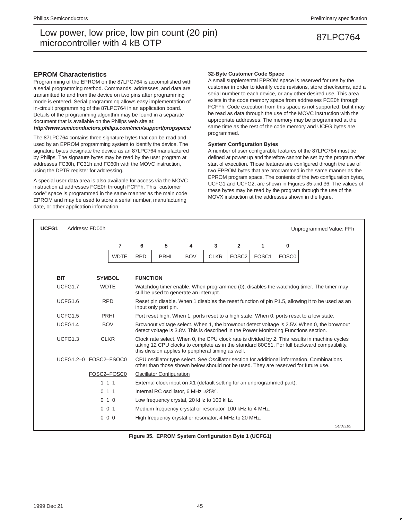## **EPROM Characteristics**

Programming of the EPROM on the 87LPC764 is accomplished with a serial programming method. Commands, addresses, and data are transmitted to and from the device on two pins after programming mode is entered. Serial programming allows easy implementation of in-circuit programming of the 87LPC764 in an application board. Details of the programming algorithm may be found in a separate document that is available on the Philips web site at: **http://www.semiconductors.philips.com/mcu/support/progspecs/**

The 87LPC764 contains three signature bytes that can be read and used by an EPROM programming system to identify the device. The signature bytes designate the device as an 87LPC764 manufactured by Philips. The signature bytes may be read by the user program at addresses FC30h, FC31h and FC60h with the MOVC instruction, using the DPTR register for addressing.

A special user data area is also available for access via the MOVC instruction at addresses FCE0h through FCFFh. This "customer code" space is programmed in the same manner as the main code EPROM and may be used to store a serial number, manufacturing date, or other application information.

### **32-Byte Customer Code Space**

A small supplemental EPROM space is reserved for use by the customer in order to identify code revisions, store checksums, add a serial number to each device, or any other desired use. This area exists in the code memory space from addresses FCE0h through FCFFh. Code execution from this space is not supported, but it may be read as data through the use of the MOVC instruction with the appropriate addresses. The memory may be programmed at the same time as the rest of the code memory and UCFG bytes are programmed.

### **System Configuration Bytes**

A number of user configurable features of the 87LPC764 must be defined at power up and therefore cannot be set by the program after start of execution. Those features are configured through the use of two EPROM bytes that are programmed in the same manner as the EPROM program space. The contents of the two configuration bytes, UCFG1 and UCFG2, are shown in Figures 35 and 36. The values of these bytes may be read by the program through the use of the MOVX instruction at the addresses shown in the figure.

| UCFG1      | Address: FD00h<br>Unprogrammed Value: FFh |                       |                |                 |                                                                                                                                                                                    |                                                                        |             |                   |                   |                   |                                                                                                                                                                                              |  |
|------------|-------------------------------------------|-----------------------|----------------|-----------------|------------------------------------------------------------------------------------------------------------------------------------------------------------------------------------|------------------------------------------------------------------------|-------------|-------------------|-------------------|-------------------|----------------------------------------------------------------------------------------------------------------------------------------------------------------------------------------------|--|
|            |                                           |                       | $\overline{7}$ | 6               | 5                                                                                                                                                                                  | 4                                                                      | 3           | $\mathbf{2}$      | 1                 | 0                 |                                                                                                                                                                                              |  |
|            |                                           |                       | <b>WDTE</b>    | <b>RPD</b>      | <b>PRHI</b>                                                                                                                                                                        | <b>BOV</b>                                                             | <b>CLKR</b> | FOSC <sub>2</sub> | FOSC <sub>1</sub> | FOSC <sub>0</sub> |                                                                                                                                                                                              |  |
|            |                                           |                       |                |                 |                                                                                                                                                                                    |                                                                        |             |                   |                   |                   |                                                                                                                                                                                              |  |
| <b>BIT</b> |                                           |                       | <b>SYMBOL</b>  | <b>FUNCTION</b> |                                                                                                                                                                                    |                                                                        |             |                   |                   |                   |                                                                                                                                                                                              |  |
|            | UCFG1.7                                   | <b>WDTE</b>           |                |                 | Watchdog timer enable. When programmed (0), disables the watchdog timer. The timer may<br>still be used to generate an interrupt.                                                  |                                                                        |             |                   |                   |                   |                                                                                                                                                                                              |  |
|            | UCFG1.6                                   |                       | <b>RPD</b>     |                 | Reset pin disable. When 1 disables the reset function of pin P1.5, allowing it to be used as an<br>input only port pin.                                                            |                                                                        |             |                   |                   |                   |                                                                                                                                                                                              |  |
|            | UCFG1.5                                   |                       | PRHI           |                 | Port reset high. When 1, ports reset to a high state. When 0, ports reset to a low state.                                                                                          |                                                                        |             |                   |                   |                   |                                                                                                                                                                                              |  |
|            | UCFG1.4                                   |                       | <b>BOV</b>     |                 | Brownout voltage select. When 1, the brownout detect voltage is 2.5V. When 0, the brownout<br>detect voltage is 3.8V. This is described in the Power Monitoring Functions section. |                                                                        |             |                   |                   |                   |                                                                                                                                                                                              |  |
|            | UCFG1.3                                   |                       | <b>CLKR</b>    |                 |                                                                                                                                                                                    | this division applies to peripheral timing as well.                    |             |                   |                   |                   | Clock rate select. When 0, the CPU clock rate is divided by 2. This results in machine cycles<br>taking 12 CPU clocks to complete as in the standard 80C51. For full backward compatibility, |  |
|            |                                           | UCFG1.2-0 FOSC2-FSOC0 |                |                 |                                                                                                                                                                                    |                                                                        |             |                   |                   |                   | CPU oscillator type select. See Oscillator section for additional information. Combinations<br>other than those shown below should not be used. They are reserved for future use.            |  |
|            |                                           |                       | FOSC2-FOSC0    |                 | <b>Oscillator Configuration</b>                                                                                                                                                    |                                                                        |             |                   |                   |                   |                                                                                                                                                                                              |  |
|            |                                           | 111                   |                |                 |                                                                                                                                                                                    | External clock input on X1 (default setting for an unprogrammed part). |             |                   |                   |                   |                                                                                                                                                                                              |  |
|            |                                           | 011                   |                |                 |                                                                                                                                                                                    | Internal RC oscillator, 6 MHz ±25%.                                    |             |                   |                   |                   |                                                                                                                                                                                              |  |
|            |                                           |                       | 010            |                 |                                                                                                                                                                                    | Low frequency crystal, 20 kHz to 100 kHz.                              |             |                   |                   |                   |                                                                                                                                                                                              |  |
|            |                                           | 001                   |                |                 |                                                                                                                                                                                    | Medium frequency crystal or resonator, 100 kHz to 4 MHz.               |             |                   |                   |                   |                                                                                                                                                                                              |  |
|            |                                           |                       | 000            |                 |                                                                                                                                                                                    | High frequency crystal or resonator, 4 MHz to 20 MHz.                  |             |                   |                   |                   |                                                                                                                                                                                              |  |
|            |                                           |                       |                |                 |                                                                                                                                                                                    |                                                                        |             |                   |                   |                   | SU01185                                                                                                                                                                                      |  |

**Figure 35. EPROM System Configuration Byte 1 (UCFG1)**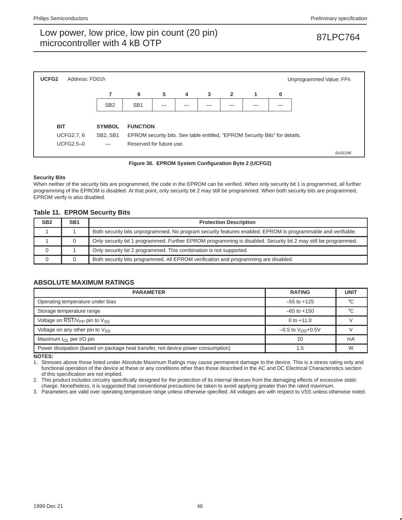

**Figure 36. EPROM System Configuration Byte 2 (UCFG2)**

## **Security Bits**

When neither of the security bits are programmed, the code in the EPROM can be verified. When only security bit 1 is programmed, all further programming of the EPROM is disabled. At that point, only security bit 2 may still be programmed. When both security bits are programmed, EPROM verify is also disabled.

## **Table 11. EPROM Security Bits**

| SB <sub>2</sub> | SB <sub>1</sub> | <b>Protection Description</b>                                                                                  |
|-----------------|-----------------|----------------------------------------------------------------------------------------------------------------|
|                 |                 | Both security bits unprogrammed. No program security features enabled. EPROM is programmable and verifiable.   |
|                 |                 | Only security bit 1 programmed. Further EPROM programming is disabled. Security bit 2 may still be programmed. |
|                 |                 | Only security bit 2 programmed. This combination is not supported.                                             |
|                 |                 | Both security bits programmed. All EPROM verification and programming are disabled.                            |

## **ABSOLUTE MAXIMUM RATINGS**

| <b>PARAMETER</b>                                                                 | <b>RATING</b>            | <b>UNIT</b> |
|----------------------------------------------------------------------------------|--------------------------|-------------|
| Operating temperature under bias                                                 | $-55$ to $+125$          |             |
| Storage temperature range                                                        | $-65$ to $+150$          |             |
| Voltage on RST/V <sub>PP</sub> pin to V <sub>SS</sub>                            | 0 to $+11.0$             |             |
| Voltage on any other pin to $V_{SS}$                                             | $-0.5$ to $V_{DD}$ +0.5V |             |
| Maximum I <sub>OL</sub> per I/O pin                                              | 20                       | mA          |
| Power dissipation (based on package heat transfer, not device power consumption) | 1.5                      | W           |

**NOTES:**

1. Stresses above those listed under Absolute Maximum Ratings may cause permanent damage to the device. This is a stress rating only and functional operation of the device at these or any conditions other than those described in the AC and DC Electrical Characteristics section of this specification are not implied.

2. This product includes circuitry specifically designed for the protection of its internal devices from the damaging effects of excessive static charge. Nonetheless, it is suggested that conventional precautions be taken to avoid applying greater than the rated maximum.

3. Parameters are valid over operating temperature range unless otherwise specified. All voltages are with respect to VSS unless otherwise noted.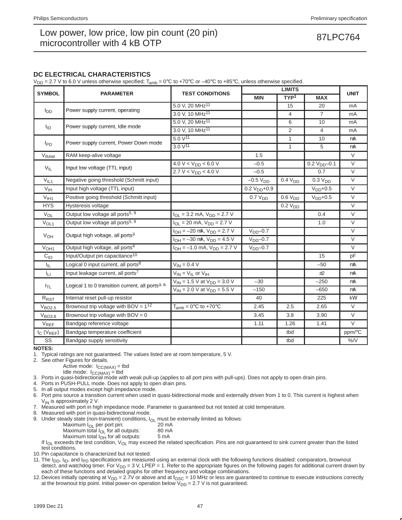## **DC ELECTRICAL CHARACTERISTICS**

 $V_{DD}$  = 2.7 V to 6.0 V unless otherwise specified;  $T_{amb}$  = 0°C to +70°C or –40°C to +85°C, unless otherwise specified.

|                        |                                                              |                                         |                     | <b>LIMITS</b>       |                     |             |
|------------------------|--------------------------------------------------------------|-----------------------------------------|---------------------|---------------------|---------------------|-------------|
| <b>SYMBOL</b>          | <b>PARAMETER</b>                                             | <b>TEST CONDITIONS</b>                  | <b>MIN</b>          | TYP <sup>1</sup>    | <b>MAX</b>          | <b>UNIT</b> |
|                        |                                                              | 5.0 V, 20 MHz <sup>11</sup>             |                     | 15                  | 20                  | mA          |
| <b>I</b> <sub>DD</sub> | Power supply current, operating                              | 3.0 V. 10 MHz <sup>11</sup>             |                     | $\overline{4}$      | $\overline{7}$      | mA          |
|                        |                                                              | 5.0 V, 20 MHz <sup>11</sup>             |                     | 6                   | 10                  | mA          |
| <sup>I</sup> ID        | Power supply current, Idle mode                              | 3.0 V, 10 MHz <sup>11</sup>             |                     | 2                   | $\overline{4}$      | mA          |
|                        |                                                              | $5.0 V^{11}$                            |                     | $\mathbf{1}$        | 10                  | μA          |
| $I_{PD}$               | Power supply current, Power Down mode                        | $3.0 V^{11}$                            |                     | $\mathbf{1}$        | 5                   | μA          |
| V <sub>RAM</sub>       | RAM keep-alive voltage                                       |                                         | 1.5                 |                     |                     | $\vee$      |
|                        |                                                              | $4.0 V < V_{DD} < 6.0 V$                | $-0.5$              |                     | $0.2 VDD - 0.1$     | $\vee$      |
| $V_{IL}$               | Input low voltage (TTL input)                                | $2.7 V < V_{DD} < 4.0 V$                | $-0.5$              |                     | 0.7                 | $\vee$      |
| $V_{IL1}$              | Negative going threshold (Schmitt input)                     |                                         | $-0.5 VDD$          | 0.4 V <sub>DD</sub> | 0.3 V <sub>DD</sub> | $\vee$      |
| V <sub>IH</sub>        | Input high voltage (TTL input)                               |                                         | $0.2 VDD+0.9$       |                     | $VDD+0.5$           | $\vee$      |
| $V_{I H1}$             | Positive going threshold (Schmitt input)                     |                                         | 0.7 V <sub>DD</sub> | 0.6 V <sub>DD</sub> | $VDD+0.5$           | $\vee$      |
| <b>HYS</b>             | Hysteresis voltage                                           |                                         |                     | 0.2 V <sub>DD</sub> |                     | $\vee$      |
| $V_{OL}$               | Output low voltage all ports <sup>5, 9</sup>                 | $I_{OL}$ = 3.2 mA, $V_{DD}$ = 2.7 V     |                     |                     | 0.4                 | $\vee$      |
| $V_{OL1}$              | Output low voltage all ports <sup>5, 9</sup>                 | $I_{OL}$ = 20 mA, $V_{DD}$ = 2.7 V      |                     |                     | 1.0                 | $\vee$      |
|                        |                                                              | $I_{OH} = -20 \mu A$ , $V_{DD} = 2.7 V$ | $VDD-0.7$           |                     |                     | $\vee$      |
| $V_{OH}$               | Output high voltage, all ports <sup>3</sup>                  | $I_{OH} = -30 \mu A$ , $V_{DD} = 4.5 V$ | $VDD-0.7$           |                     |                     | $\vee$      |
| $V_{OH1}$              | Output high voltage, all ports <sup>4</sup>                  | $I_{OH} = -1.0$ mA, $V_{DD} = 2.7$ V    | $VDD - 0.7$         |                     |                     | $\vee$      |
| C <sub>10</sub>        | Input/Output pin capacitance <sup>10</sup>                   |                                         |                     |                     | 15                  | pF          |
| $I_{IL}$               | Logical 0 input current, all ports <sup>8</sup>              | $V_{IN} = 0.4 V$                        |                     |                     | $-50$               | μA          |
| Iц                     | Input leakage current, all ports <sup>7</sup>                | $V_{IN} = V_{IL}$ or $V_{IH}$           |                     |                     | ±2                  | μA          |
|                        |                                                              | $V_{IN} = 1.5$ V at $V_{DD} = 3.0$ V    | $-30$               |                     | $-250$              | μA          |
| $I_{TL}$               | Logical 1 to 0 transition current, all ports <sup>3, 6</sup> | $V_{IN}$ = 2.0 V at $V_{DD}$ = 5.5 V    | $-150$              |                     | $-650$              | μA          |
| R <sub>RST</sub>       | Internal reset pull-up resistor                              |                                         | 40                  |                     | 225                 | $k\Omega$   |
| V <sub>BO2.5</sub>     | Brownout trip voltage with BOV = $1^{12}$                    | $T_{amb} = 0$ °C to +70°C               | 2.45                | 2.5                 | 2.65                | $\vee$      |
| V <sub>BO3.8</sub>     | Brownout trip voltage with $BOV = 0$                         |                                         | 3.45                | 3.8                 | 3.90                | $\vee$      |
| VREF                   | Bandgap reference voltage                                    |                                         | 1.11                | 1.26                | 1.41                | $\vee$      |
| $t_C$ ( $V_{REF}$ )    | Bandgap temperature coefficient                              |                                         |                     | tbd                 |                     | ppm/°C      |
| SS                     | Bandgap supply sensitivity                                   |                                         |                     | tbd                 |                     | $\%$ /V     |

**NOTES:**

1. Typical ratings are not guaranteed. The values listed are at room temperature, 5 V.

2. See other Figures for details.

Active mode:  $I_{CC(MAX)} =$  tbd

Idle mode:  $I_{CC(MAX)} =$  tbd

3. Ports in quasi-bidirectional mode with weak pull-up (applies to all port pins with pull-ups). Does not apply to open drain pins.

4. Ports in PUSH-PULL mode. Does not apply to open drain pins.

5. In all output modes except high impedance mode.

6. Port pins source a transition current when used in quasi-bidirectional mode and externally driven from 1 to 0. This current is highest when  $V_{IN}$  is approximately 2 V.

7. Measured with port in high impedance mode. Parameter is guaranteed but not tested at cold temperature.

8. Measured with port in quasi-bidirectional mode.

9. Under steady state (non-transient) conditions,  $I_{OL}$  must be externally limited as follows:<br>Maximum  $I_{OL}$  per port pin: 20 mA

Maximum  $I_{OL}$  per port pin: 20 mA<br>Maximum total  $I_{OL}$  for all outputs: 80 mA

Maximum total  $I_{OL}$  for all outputs: 80 m/<br>Maximum total  $I_{OH}$  for all outputs: 5 mA

Maximum total  $I_{OH}$  for all outputs:

If  $I_{OL}$  exceeds the test condition,  $V_{OL}$  may exceed the related specification. Pins are not guaranteed to sink current greater than the listed test conditions.

10. Pin capacitance is characterized but not tested.

11. The  $I_{DD}$ ,  $I_{ID}$ , and  $I_{PD}$  specifications are measured using an external clock with the following functions disabled: comparators, brownout detect, and watchdog timer. For  $V_{DD} = 3$  V, LPEP = 1. Refer to the appropriate figures on the following pages for additional current drawn by each of these functions and detailed graphs for other frequency and voltage combinations.

12. Devices initially operating at  $V_{DD} = 2.7V$  or above and at  $f_{OSC} = 10$  MHz or less are guaranteed to continue to execute instructions correctly at the brownout trip point. Initial power-on operation below  $V_{DD} = 2.7 V$  is not guaranteed.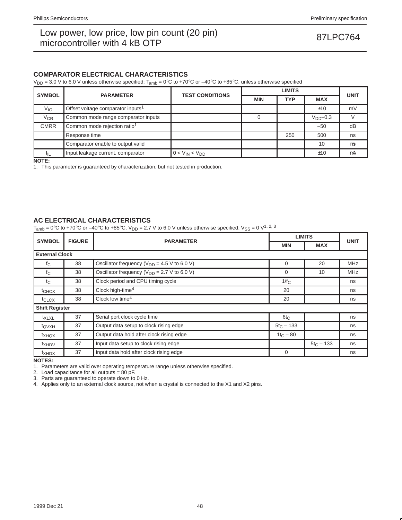## **COMPARATOR ELECTRICAL CHARACTERISTICS**

 $V_{DD}$  = 3.0 V to 6.0 V unless otherwise specified;  $T_{amb}$  = 0°C to +70°C or –40°C to +85°C, unless otherwise specified

| <b>SYMBOL</b> | <b>PARAMETER</b>                              | <b>TEST CONDITIONS</b> |            | <b>UNIT</b> |            |         |  |
|---------------|-----------------------------------------------|------------------------|------------|-------------|------------|---------|--|
|               |                                               |                        | <b>MIN</b> | <b>TYP</b>  | <b>MAX</b> |         |  |
| $V_{IO}$      | Offset voltage comparator inputs <sup>1</sup> |                        |            |             | ±10        | mV      |  |
| $V_{CR}$      | Common mode range comparator inputs           |                        |            |             | $VDD-0.3$  |         |  |
| <b>CMRR</b>   | Common mode rejection ratio <sup>1</sup>      |                        |            |             | $-50$      | dB      |  |
|               | Response time                                 |                        |            | 250         | 500        | ns      |  |
|               | Comparator enable to output valid             |                        |            |             | 10         | $\mu$ s |  |
|               | Input leakage current, comparator             | $0 < V_{IN} < V_{DD}$  |            |             | ±10        | μA      |  |

**NOTE:**

1. This parameter is guaranteed by characterization, but not tested in production.

## **AC ELECTRICAL CHARACTERISTICS**

 $T_{amb} = 0^{\circ}$ C to +70°C or -40°C to +85°C, V<sub>DD</sub> = 2.7 V to 6.0 V unless otherwise specified, V<sub>SS</sub> = 0 V<sup>1, 2, 3</sup>

| <b>SYMBOL</b>         | <b>FIGURE</b> |                                                        | <b>LIMITS</b> |              |             |
|-----------------------|---------------|--------------------------------------------------------|---------------|--------------|-------------|
|                       |               | <b>PARAMETER</b>                                       | <b>MIN</b>    | <b>MAX</b>   | <b>UNIT</b> |
| <b>External Clock</b> |               |                                                        |               |              |             |
| $f_{\rm C}$           | 38            | Oscillator frequency ( $V_{DD}$ = 4.5 V to 6.0 V)      | 0             | 20           | <b>MHz</b>  |
| $f_{\rm C}$           | 38            | Oscillator frequency ( $V_{DD}$ = 2.7 V to 6.0 V)      | $\Omega$      | 10           | <b>MHz</b>  |
| $t_{\rm C}$           | 38            | Clock period and CPU timing cycle                      | $1/f_C$       |              | ns          |
| t <sub>CHCX</sub>     | 38            | Clock high-time <sup>4</sup>                           | 20            |              | ns          |
| t <sub>CLCX</sub>     | 38            | Clock low time <sup>4</sup>                            | 20            |              | ns          |
| <b>Shift Register</b> |               |                                                        |               |              |             |
| $t_{\text{XLXL}}$     | 37            | Serial port clock cycle time                           | $6t_C$        |              | ns          |
| t <sub>QVXH</sub>     | 37            | Output data setup to clock rising edge                 | $5t_C - 133$  |              | ns          |
| $t_{XHQX}$            | 37            | Output data hold after clock rising edge               | $1t_C - 80$   |              | ns          |
| t <sub>XHDV</sub>     | 37            | Input data setup to clock rising edge                  |               | $5t_C - 133$ | ns          |
| t <sub>XHDX</sub>     | 37            | Input data hold after clock rising edge<br>$\mathbf 0$ |               |              |             |

**NOTES:**

1. Parameters are valid over operating temperature range unless otherwise specified.

2. Load capacitance for all outputs = 80 pF.

3. Parts are guaranteed to operate down to 0 Hz.

4. Applies only to an external clock source, not when a crystal is connected to the X1 and X2 pins.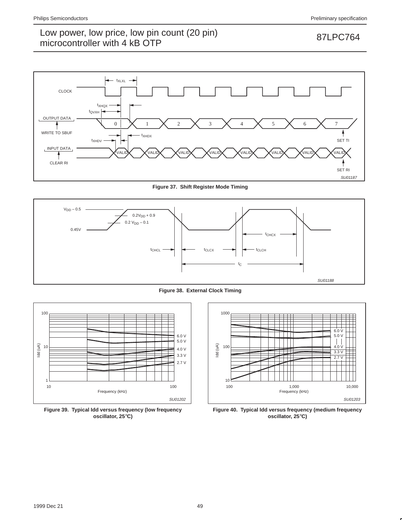

**Figure 37. Shift Register Mode Timing**



**Figure 38. External Clock Timing**



**Figure 39. Typical Idd versus frequency (low frequency oscillator, 25**°**C)**



**Figure 40. Typical Idd versus frequency (medium frequency oscillator, 25**°**C)**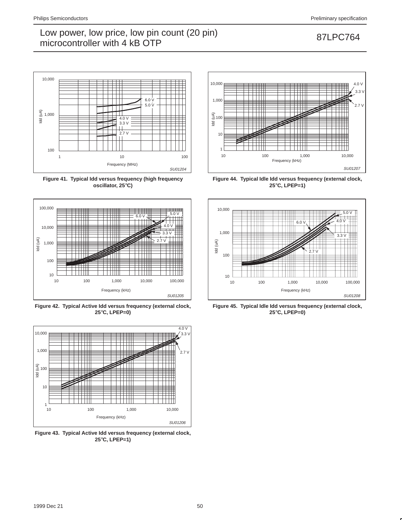

**Figure 41. Typical Idd versus frequency (high frequency oscillator, 25**°**C)**



**Figure 42. Typical Active Idd versus frequency (external clock, 25**°**C, LPEP=0)**



**Figure 43. Typical Active Idd versus frequency (external clock, 25**°**C, LPEP=1)**



**Figure 44. Typical Idle Idd versus frequency (external clock, 25**°**C, LPEP=1)**



**Figure 45. Typical Idle Idd versus frequency (external clock, 25**°**C, LPEP=0)**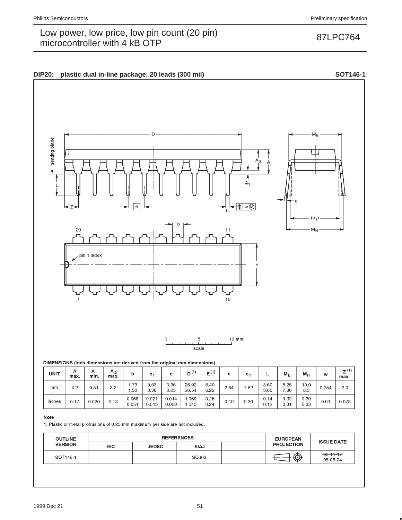

## DIMENSIONS (inch dimensions are derived from the original mm dimensions)

| UNIT   | А<br>max. | A <sub>1</sub><br>min. | A <sub>2</sub><br>max. | b              | b <sub>1</sub> | c              | (1)<br>D'      | $E^{(1)}$    | е    | е.   | ┕            | $M_{E}$      | $M_{\rm P}$  | w     | $Z^{(1)}$<br>max. |
|--------|-----------|------------------------|------------------------|----------------|----------------|----------------|----------------|--------------|------|------|--------------|--------------|--------------|-------|-------------------|
| mm     | 4.2       | 0.51                   | 3.2                    | 1.73<br>.30    | 0.53<br>0.38   | 0.36<br>0.23   | 26.92<br>26.54 | 6.40<br>6.22 | 2.54 | 7.62 | 3.60<br>3.05 | 8.25<br>7.80 | 10.0<br>8.3  | 0.254 | 2.0               |
| inches | 0.17      | 0.020                  | 0.13                   | 0.068<br>0.051 | 0.021<br>0.015 | 0.014<br>0.009 | .060<br>.045   | 0.25<br>0.24 | 0.10 | 0.30 | 0.14<br>0.12 | 0.32<br>0.31 | 0.39<br>0.33 | 0.01  | 0.078             |

### Note

1. Plastic or metal protrusions of 0.25 mm maximum per side are not included.

| <b>OUTLINE</b> |            | <b>REFERENCES</b> | <b>EUROPEAN</b> | <b>ISSUE DATE</b> |                   |                             |  |
|----------------|------------|-------------------|-----------------|-------------------|-------------------|-----------------------------|--|
| <b>VERSION</b> | <b>IEC</b> | <b>JEDEC</b>      | <b>EIAJ</b>     |                   | <b>PROJECTION</b> |                             |  |
| SOT146-1       |            |                   | SC603           |                   |                   | $-92 - 11 - 17$<br>95-05-24 |  |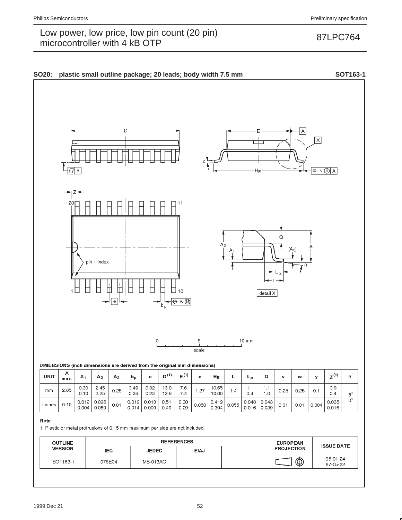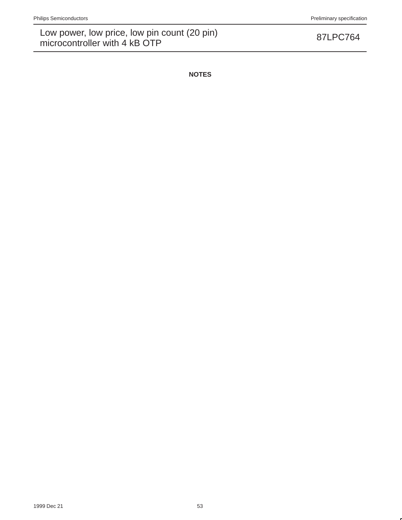**NOTES**